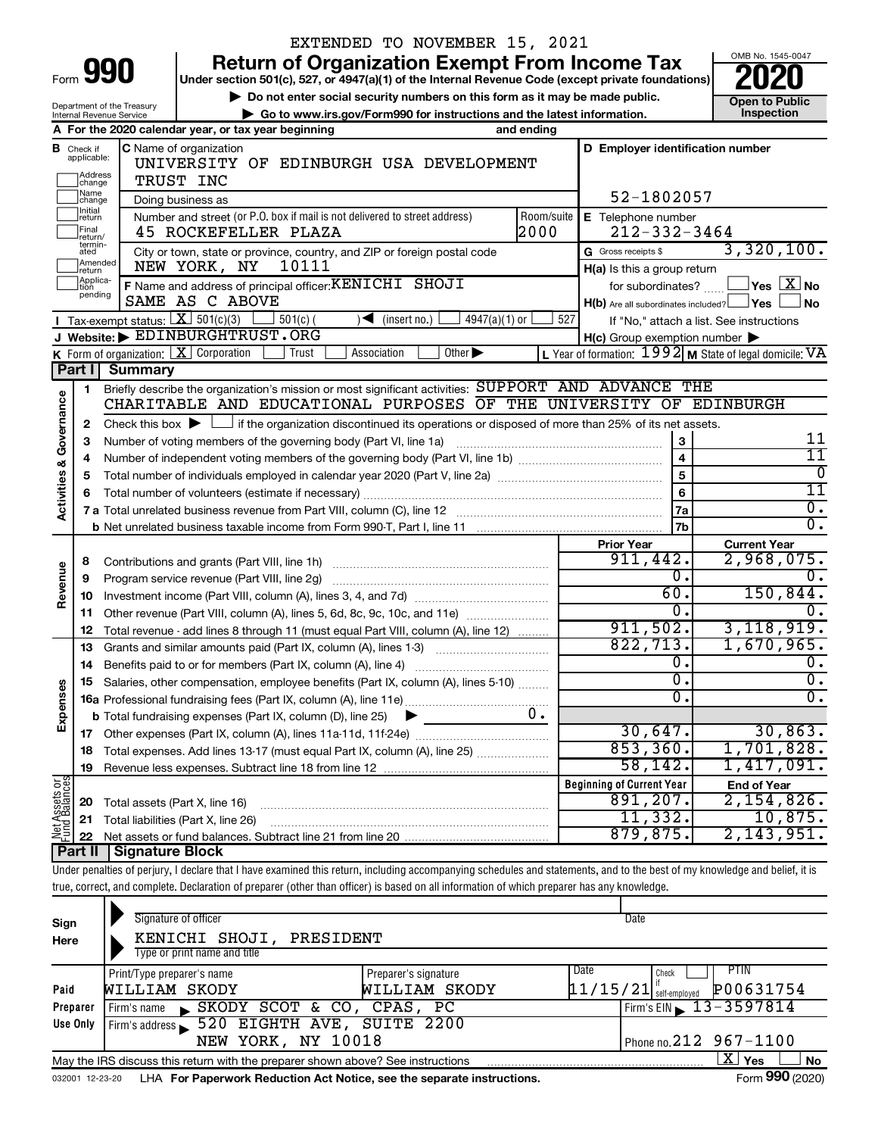| -orm |  |  |
|------|--|--|

┯

# EXTENDED TO NOVEMBER 15, 2021

**990** Return of Organization Exempt From Income Tax <br>
Under section 501(c), 527, or 4947(a)(1) of the Internal Revenue Code (except private foundations)<br> **PO20** 

**▶ Do not enter social security numbers on this form as it may be made public. Open to Public**<br>
inspection instructions and the latest information. Inspection **| Go to www.irs.gov/Form990 for instructions and the latest information. Inspection**



Department of the Treasury Internal Revenue Service

|                                    |                              | A For the 2020 calendar year, or tax year beginning                                                                                                                        | and ending |                                                         |                                                                    |
|------------------------------------|------------------------------|----------------------------------------------------------------------------------------------------------------------------------------------------------------------------|------------|---------------------------------------------------------|--------------------------------------------------------------------|
| в                                  | Check if<br>applicable:      | <b>C</b> Name of organization<br>UNIVERSITY OF EDINBURGH USA DEVELOPMENT                                                                                                   |            | D Employer identification number                        |                                                                    |
|                                    | Address<br> change<br>Name   | TRUST INC                                                                                                                                                                  |            |                                                         |                                                                    |
|                                    | change                       | Doing business as                                                                                                                                                          |            | 52-1802057                                              |                                                                    |
|                                    | ]Initial<br>]return<br>Final | Number and street (or P.O. box if mail is not delivered to street address)                                                                                                 | Room/suite | E Telephone number                                      |                                                                    |
|                                    | return/<br>termin-           | 45 ROCKEFELLER PLAZA                                                                                                                                                       | 2000       | $212 - 332 - 3464$                                      |                                                                    |
|                                    | ated<br>Amended              | City or town, state or province, country, and ZIP or foreign postal code                                                                                                   |            | G Gross receipts \$                                     | 3,320,100.                                                         |
|                                    | Ireturn                      | 10111<br>NEW YORK, NY                                                                                                                                                      |            | H(a) Is this a group return                             |                                                                    |
|                                    | Applica-<br>Ition<br>pending | F Name and address of principal officer: KENICHI SHOJI<br>SAME AS C ABOVE                                                                                                  |            | for subordinates?                                       | $\sqrt{\mathsf{Yes}\mathord{\;\mathbb{X}}\mathord{\;\mathsf{No}}}$ |
|                                    |                              |                                                                                                                                                                            |            | $H(b)$ Are all subordinates included? $\Box$ Yes $\Box$ | ∣No                                                                |
|                                    |                              | Tax-exempt status: $X \over 301(c)(3)$<br>4947(a)(1) or<br>$501(c)$ (<br>$\sqrt{\frac{1}{1}}$ (insert no.)<br>J Website: EDINBURGHTRUST.ORG                                | 527        |                                                         | If "No," attach a list. See instructions                           |
|                                    |                              | <b>K</b> Form of organization: $X$ Corporation<br>Association<br>Other $\blacktriangleright$<br>Trust                                                                      |            | $H(c)$ Group exemption number $\blacktriangleright$     | L Year of formation: $1992$ M State of legal domicile: $VA$        |
|                                    | Part I                       | <b>Summary</b>                                                                                                                                                             |            |                                                         |                                                                    |
|                                    | 1                            | Briefly describe the organization's mission or most significant activities: SUPPORT AND ADVANCE THE                                                                        |            |                                                         |                                                                    |
| <b>Activities &amp; Governance</b> |                              | CHARITABLE AND EDUCATIONAL PURPOSES OF THE UNIVERSITY OF EDINBURGH                                                                                                         |            |                                                         |                                                                    |
|                                    | 2                            | Check this box $\blacktriangleright \Box$ if the organization discontinued its operations or disposed of more than 25% of its net assets.                                  |            |                                                         |                                                                    |
|                                    | з                            |                                                                                                                                                                            |            | 3                                                       | 11                                                                 |
|                                    | 4                            |                                                                                                                                                                            |            | $\overline{\mathbf{4}}$                                 | $\overline{11}$                                                    |
|                                    | 5                            |                                                                                                                                                                            |            | $\overline{5}$                                          | $\overline{0}$                                                     |
|                                    | 6                            |                                                                                                                                                                            |            | 6                                                       | 11                                                                 |
|                                    |                              |                                                                                                                                                                            |            | 7a                                                      | $\overline{0}$ .                                                   |
|                                    |                              |                                                                                                                                                                            |            | 7b                                                      | σ.                                                                 |
|                                    |                              |                                                                                                                                                                            |            | <b>Prior Year</b>                                       | <b>Current Year</b>                                                |
|                                    | 8                            |                                                                                                                                                                            |            | 911,442.                                                | 2,968,075.                                                         |
| Revenue                            | 9                            | Program service revenue (Part VIII, line 2g)                                                                                                                               |            | $\overline{\mathfrak{o}}$ .                             | ο.                                                                 |
|                                    | 10                           |                                                                                                                                                                            |            | 60                                                      | 150,844.                                                           |
|                                    | 11                           | Other revenue (Part VIII, column (A), lines 5, 6d, 8c, 9c, 10c, and 11e)                                                                                                   |            | 0.                                                      | Ο.                                                                 |
|                                    | 12                           | Total revenue - add lines 8 through 11 (must equal Part VIII, column (A), line 12)                                                                                         |            | 911,502.                                                | 3,118,919.                                                         |
|                                    | 13                           | Grants and similar amounts paid (Part IX, column (A), lines 1-3)                                                                                                           |            | 822,713.                                                | 1,670,965.                                                         |
|                                    | 14                           | Benefits paid to or for members (Part IX, column (A), line 4)                                                                                                              |            | 0.                                                      | 0.                                                                 |
|                                    | 15                           | Salaries, other compensation, employee benefits (Part IX, column (A), lines 5-10)                                                                                          |            | 0.                                                      | $\overline{0}$ .                                                   |
| Expenses                           |                              |                                                                                                                                                                            |            | 0.                                                      | 0.                                                                 |
|                                    |                              | <b>b</b> Total fundraising expenses (Part IX, column (D), line 25)                                                                                                         | $0$ .      |                                                         |                                                                    |
|                                    |                              |                                                                                                                                                                            |            | 30,647.                                                 | 30,863.                                                            |
|                                    | 18                           | Total expenses. Add lines 13-17 (must equal Part IX, column (A), line 25)                                                                                                  |            | 853,360.                                                | 1,701,828.                                                         |
|                                    | 19                           |                                                                                                                                                                            |            | 58, 142.                                                | 1,417,091.                                                         |
| 능.<br>이                            |                              |                                                                                                                                                                            |            | <b>Beginning of Current Year</b>                        | <b>End of Year</b>                                                 |
| Net Assets<br>Fund Balanc          | 20                           | Total assets (Part X, line 16)                                                                                                                                             |            | 891, 207.                                               | 2,154,826.                                                         |
|                                    | 21                           | Total liabilities (Part X, line 26)                                                                                                                                        |            | 11,332.                                                 | 10,875.                                                            |
|                                    | 22                           |                                                                                                                                                                            |            | 879, 875.                                               | 2, 143, 951.                                                       |
|                                    |                              | Part II   Signature Block                                                                                                                                                  |            |                                                         |                                                                    |
|                                    |                              | Under penalties of perjury, I declare that I have examined this return, including accompanying schedules and statements, and to the best of my knowledge and belief, it is |            |                                                         |                                                                    |

true, correct, and complete. Declaration of preparer (other than officer) is based on all information of which preparer has any knowledge.

| Sign<br>Here    | Signature of officer<br>KENICHI SHOJI,<br>PRESIDENT<br>Type or print name and title |                      |      | Date                     |                              |
|-----------------|-------------------------------------------------------------------------------------|----------------------|------|--------------------------|------------------------------|
|                 | Print/Type preparer's name                                                          | Preparer's signature | Date | Check                    | PTIN                         |
| Paid            | WILLIAM SKODY                                                                       | WILLIAM SKODY        |      | $11/15/21$ self-employed | P00631754                    |
| Preparer        | SKODY SCOT & CO,<br>Firm's name                                                     | CPAS, PC             |      |                          | Firm's EIN $\, 13 - 3597814$ |
| Use Only        | 520 EIGHTH AVE, SUITE 2200<br>Firm's address                                        |                      |      |                          |                              |
|                 | NEW YORK, NY 10018                                                                  |                      |      |                          | Phone no. $212$ 967 - 1100   |
|                 | May the IRS discuss this return with the preparer shown above? See instructions     |                      |      |                          | X  <br>Yes<br><b>No</b>      |
| 032001 12-23-20 | LHA For Paperwork Reduction Act Notice, see the separate instructions.              |                      |      |                          | Form 990 (2020)              |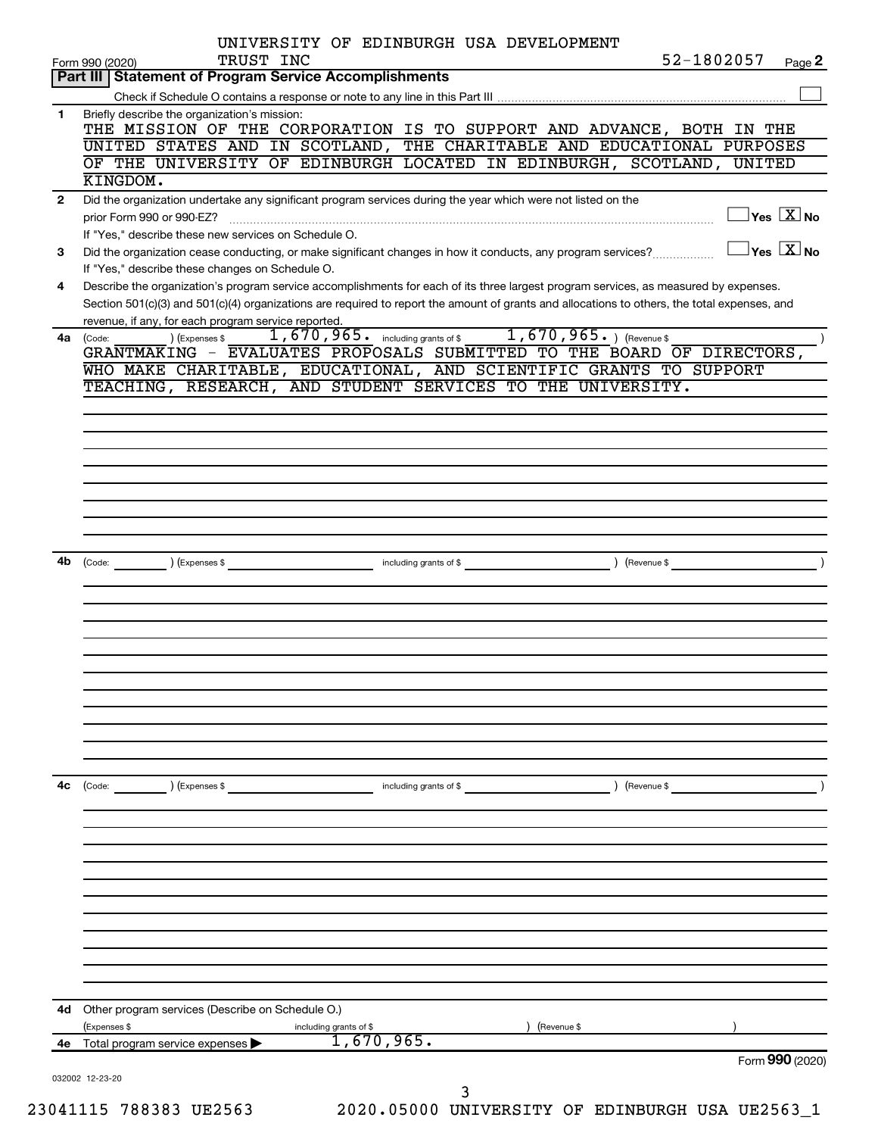|              | UNIVERSITY OF EDINBURGH USA DEVELOPMENT<br>52-1802057<br>TRUST INC                                                                           |                                         |        |
|--------------|----------------------------------------------------------------------------------------------------------------------------------------------|-----------------------------------------|--------|
|              | Form 990 (2020)<br><b>Part III Statement of Program Service Accomplishments</b>                                                              |                                         | Page 2 |
|              |                                                                                                                                              |                                         |        |
| 1            | Briefly describe the organization's mission:                                                                                                 |                                         |        |
|              | THE MISSION OF THE CORPORATION IS TO SUPPORT AND ADVANCE, BOTH IN THE                                                                        |                                         |        |
|              | UNITED STATES AND IN SCOTLAND, THE CHARITABLE AND EDUCATIONAL PURPOSES                                                                       |                                         |        |
|              | OF THE UNIVERSITY OF EDINBURGH LOCATED IN EDINBURGH, SCOTLAND, UNITED                                                                        |                                         |        |
|              | KINGDOM.                                                                                                                                     |                                         |        |
| $\mathbf{2}$ | Did the organization undertake any significant program services during the year which were not listed on the                                 |                                         |        |
|              | prior Form 990 or 990-EZ?                                                                                                                    | $\Box$ Yes $[\overline{\mathrm{X}}]$ No |        |
|              | If "Yes," describe these new services on Schedule O.                                                                                         |                                         |        |
| 3            | Did the organization cease conducting, or make significant changes in how it conducts, any program services?                                 | $\Box$ Yes $[\overline{\mathrm{X}}]$ No |        |
|              | If "Yes," describe these changes on Schedule O.                                                                                              |                                         |        |
| 4            | Describe the organization's program service accomplishments for each of its three largest program services, as measured by expenses.         |                                         |        |
|              | Section 501(c)(3) and 501(c)(4) organizations are required to report the amount of grants and allocations to others, the total expenses, and |                                         |        |
|              | revenue, if any, for each program service reported.<br>1,670,965. including grants of \$1,670,965.) (Revenue \$                              |                                         |        |
| 4a           | (Expenses \$<br>(Code:<br>GRANTMAKING - EVALUATES PROPOSALS SUBMITTED TO THE BOARD OF DIRECTORS,                                             |                                         |        |
|              | WHO MAKE CHARITABLE, EDUCATIONAL, AND SCIENTIFIC GRANTS TO SUPPORT                                                                           |                                         |        |
|              | TEACHING, RESEARCH, AND STUDENT SERVICES TO THE UNIVERSITY.                                                                                  |                                         |        |
|              |                                                                                                                                              |                                         |        |
|              |                                                                                                                                              |                                         |        |
|              |                                                                                                                                              |                                         |        |
|              |                                                                                                                                              |                                         |        |
|              |                                                                                                                                              |                                         |        |
|              |                                                                                                                                              |                                         |        |
|              |                                                                                                                                              |                                         |        |
|              |                                                                                                                                              |                                         |        |
|              |                                                                                                                                              |                                         |        |
| 4b           | (Code: ) (Expenses \$                                                                                                                        |                                         |        |
|              |                                                                                                                                              |                                         |        |
|              |                                                                                                                                              |                                         |        |
|              |                                                                                                                                              |                                         |        |
|              |                                                                                                                                              |                                         |        |
|              |                                                                                                                                              |                                         |        |
|              |                                                                                                                                              |                                         |        |
|              |                                                                                                                                              |                                         |        |
|              |                                                                                                                                              |                                         |        |
|              |                                                                                                                                              |                                         |        |
|              |                                                                                                                                              |                                         |        |
|              |                                                                                                                                              |                                         |        |
|              |                                                                                                                                              |                                         |        |
| 4c           | (Code: ) (Expenses \$<br>) (Revenue \$<br>including grants of \$                                                                             |                                         |        |
|              |                                                                                                                                              |                                         |        |
|              |                                                                                                                                              |                                         |        |
|              |                                                                                                                                              |                                         |        |
|              |                                                                                                                                              |                                         |        |
|              |                                                                                                                                              |                                         |        |
|              |                                                                                                                                              |                                         |        |
|              |                                                                                                                                              |                                         |        |
|              |                                                                                                                                              |                                         |        |
|              |                                                                                                                                              |                                         |        |
|              |                                                                                                                                              |                                         |        |
|              |                                                                                                                                              |                                         |        |
| 4d           | Other program services (Describe on Schedule O.)                                                                                             |                                         |        |
|              | (Expenses \$<br>Revenue \$<br>including grants of \$                                                                                         |                                         |        |
| 4е.          | $\overline{1,670,965}$ .<br>Total program service expenses $\blacktriangleright$                                                             |                                         |        |
|              |                                                                                                                                              | Form 990 (2020)                         |        |
|              | 032002 12-23-20                                                                                                                              |                                         |        |
|              | 3<br>041115 788383 1109563<br>1 2370סטון גפון שמסווסוגדרוס הם עם המזווחון המלחמים מכמכ                                                       |                                         |        |

23041115 788383 UE2563 2020.05000 UNIVERSITY OF EDINBURGH USA UE2563\_1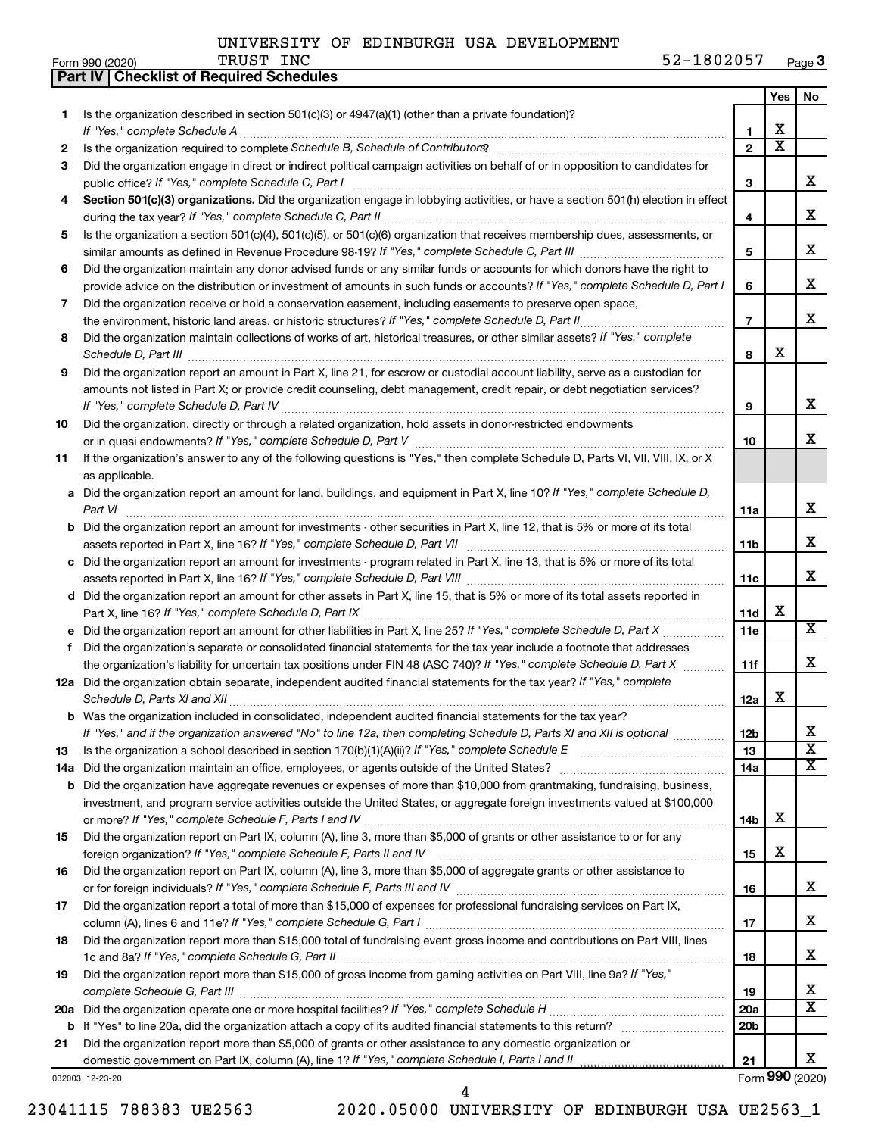| UNIVERSITY OF EDINBURGH USA DEVELOPMENT |  |  |  |  |  |
|-----------------------------------------|--|--|--|--|--|
|-----------------------------------------|--|--|--|--|--|

**Part IV Checklist of Required Schedules**

|     |                                                                                                                                                                                                                                           |                 | Yes                     | No                      |
|-----|-------------------------------------------------------------------------------------------------------------------------------------------------------------------------------------------------------------------------------------------|-----------------|-------------------------|-------------------------|
| 1   | Is the organization described in section $501(c)(3)$ or $4947(a)(1)$ (other than a private foundation)?                                                                                                                                   |                 |                         |                         |
|     |                                                                                                                                                                                                                                           | 1               | х                       |                         |
| 2   | Is the organization required to complete Schedule B, Schedule of Contributors? [11] The organization required to complete Schedule B, Schedule of Contributors?                                                                           | $\overline{2}$  | $\overline{\textbf{X}}$ |                         |
| 3   | Did the organization engage in direct or indirect political campaign activities on behalf of or in opposition to candidates for                                                                                                           |                 |                         |                         |
|     |                                                                                                                                                                                                                                           | 3               |                         | x                       |
| 4   | Section 501(c)(3) organizations. Did the organization engage in lobbying activities, or have a section 501(h) election in effect                                                                                                          |                 |                         |                         |
|     |                                                                                                                                                                                                                                           | 4               |                         | х                       |
| 5   | Is the organization a section 501(c)(4), 501(c)(5), or 501(c)(6) organization that receives membership dues, assessments, or                                                                                                              |                 |                         | х                       |
|     |                                                                                                                                                                                                                                           | 5               |                         |                         |
| 6   | Did the organization maintain any donor advised funds or any similar funds or accounts for which donors have the right to                                                                                                                 |                 |                         | х                       |
| 7   | provide advice on the distribution or investment of amounts in such funds or accounts? If "Yes," complete Schedule D, Part I<br>Did the organization receive or hold a conservation easement, including easements to preserve open space, | 6               |                         |                         |
|     |                                                                                                                                                                                                                                           | $\overline{7}$  |                         | х                       |
| 8   | Did the organization maintain collections of works of art, historical treasures, or other similar assets? If "Yes," complete                                                                                                              |                 |                         |                         |
|     | Schedule D, Part III <b>Markov Markov Alexander Schedule D, Part III Markov Markov Markov Markov Markov Markov Markov Markov Markov Markov Markov Markov Markov Markov Markov Markov Markov Markov Markov Markov Markov Markov</b>        | 8               | X                       |                         |
| 9   | Did the organization report an amount in Part X, line 21, for escrow or custodial account liability, serve as a custodian for                                                                                                             |                 |                         |                         |
|     | amounts not listed in Part X; or provide credit counseling, debt management, credit repair, or debt negotiation services?                                                                                                                 |                 |                         |                         |
|     |                                                                                                                                                                                                                                           | 9               |                         | х                       |
| 10  | Did the organization, directly or through a related organization, hold assets in donor-restricted endowments                                                                                                                              |                 |                         |                         |
|     |                                                                                                                                                                                                                                           | 10              |                         | х                       |
| 11  | If the organization's answer to any of the following questions is "Yes," then complete Schedule D, Parts VI, VII, VIII, IX, or X                                                                                                          |                 |                         |                         |
|     | as applicable.                                                                                                                                                                                                                            |                 |                         |                         |
|     | a Did the organization report an amount for land, buildings, and equipment in Part X, line 10? If "Yes," complete Schedule D,                                                                                                             |                 |                         |                         |
|     | Part VI                                                                                                                                                                                                                                   | 11a             |                         | х                       |
|     | <b>b</b> Did the organization report an amount for investments - other securities in Part X, line 12, that is 5% or more of its total                                                                                                     |                 |                         |                         |
|     | assets reported in Part X, line 16? If "Yes," complete Schedule D, Part VII [11] [11] [12] [12] [12] [12] [12] [                                                                                                                          | 11b             |                         | х                       |
|     | c Did the organization report an amount for investments - program related in Part X, line 13, that is 5% or more of its total                                                                                                             |                 |                         | X                       |
|     |                                                                                                                                                                                                                                           | 11c             |                         |                         |
|     | d Did the organization report an amount for other assets in Part X, line 15, that is 5% or more of its total assets reported in                                                                                                           |                 | х                       |                         |
|     |                                                                                                                                                                                                                                           | 11d<br>11e      |                         | $\overline{\text{X}}$   |
|     | f Did the organization's separate or consolidated financial statements for the tax year include a footnote that addresses                                                                                                                 |                 |                         |                         |
|     | the organization's liability for uncertain tax positions under FIN 48 (ASC 740)? If "Yes," complete Schedule D, Part X                                                                                                                    | 11f             |                         | х                       |
|     | 12a Did the organization obtain separate, independent audited financial statements for the tax year? If "Yes," complete                                                                                                                   |                 |                         |                         |
|     |                                                                                                                                                                                                                                           | 12a             | x                       |                         |
|     | <b>b</b> Was the organization included in consolidated, independent audited financial statements for the tax year?                                                                                                                        |                 |                         |                         |
|     | If "Yes," and if the organization answered "No" to line 12a, then completing Schedule D, Parts XI and XII is optional                                                                                                                     | 12b             |                         | X                       |
| 13  |                                                                                                                                                                                                                                           | 13              |                         | $\overline{\text{x}}$   |
| 14a | Did the organization maintain an office, employees, or agents outside of the United States? [1111] Did the organization maintain an office, employees, or agents outside of the United States?                                            | 14a             |                         | $\overline{\textbf{X}}$ |
| b   | Did the organization have aggregate revenues or expenses of more than \$10,000 from grantmaking, fundraising, business,                                                                                                                   |                 |                         |                         |
|     | investment, and program service activities outside the United States, or aggregate foreign investments valued at \$100,000                                                                                                                |                 |                         |                         |
|     |                                                                                                                                                                                                                                           | 14b             | X                       |                         |
| 15  | Did the organization report on Part IX, column (A), line 3, more than \$5,000 of grants or other assistance to or for any                                                                                                                 |                 |                         |                         |
|     |                                                                                                                                                                                                                                           | 15              | х                       |                         |
| 16  | Did the organization report on Part IX, column (A), line 3, more than \$5,000 of aggregate grants or other assistance to                                                                                                                  |                 |                         |                         |
|     |                                                                                                                                                                                                                                           | 16              |                         | х                       |
| 17  | Did the organization report a total of more than \$15,000 of expenses for professional fundraising services on Part IX,                                                                                                                   |                 |                         | х                       |
| 18  | Did the organization report more than \$15,000 total of fundraising event gross income and contributions on Part VIII, lines                                                                                                              | 17              |                         |                         |
|     |                                                                                                                                                                                                                                           | 18              |                         | х                       |
| 19  | Did the organization report more than \$15,000 of gross income from gaming activities on Part VIII, line 9a? If "Yes,"                                                                                                                    |                 |                         |                         |
|     |                                                                                                                                                                                                                                           | 19              |                         | х                       |
|     |                                                                                                                                                                                                                                           | 20a             |                         | $\overline{\text{x}}$   |
| b   |                                                                                                                                                                                                                                           | 20 <sub>b</sub> |                         |                         |
| 21  | Did the organization report more than \$5,000 of grants or other assistance to any domestic organization or                                                                                                                               |                 |                         |                         |
|     | domestic government on Part IX, column (A), line 1? If "Yes," complete Schedule I, Parts I and II                                                                                                                                         | 21              |                         | х                       |
|     | 032003 12-23-20                                                                                                                                                                                                                           |                 |                         | Form 990 (2020)         |

23041115 788383 UE2563 2020.05000 UNIVERSITY OF EDINBURGH USA UE2563\_1

4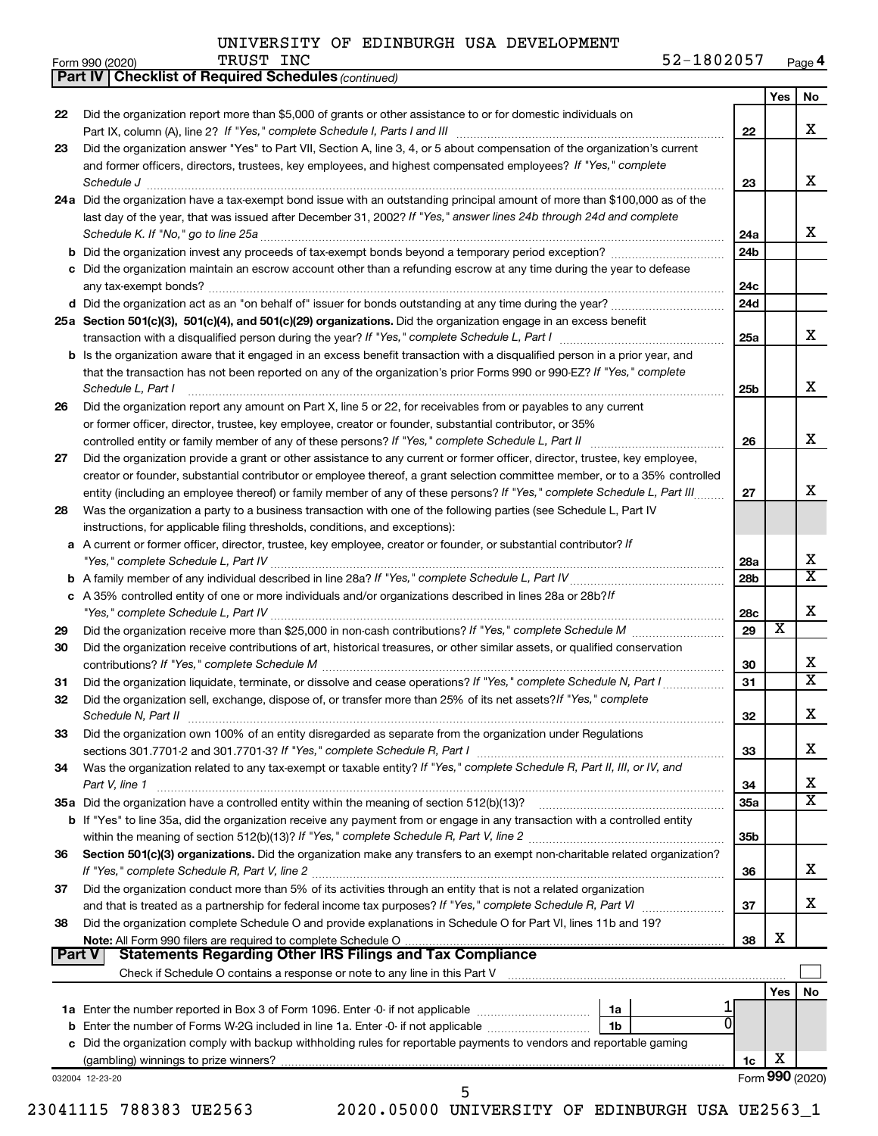*(continued)* **Part IV Checklist of Required Schedules**

|               |                                                                                                                                                                                                                                      |                 | Yes                     | No                      |
|---------------|--------------------------------------------------------------------------------------------------------------------------------------------------------------------------------------------------------------------------------------|-----------------|-------------------------|-------------------------|
| 22            | Did the organization report more than \$5,000 of grants or other assistance to or for domestic individuals on                                                                                                                        |                 |                         |                         |
|               |                                                                                                                                                                                                                                      | 22              |                         | х                       |
| 23            | Did the organization answer "Yes" to Part VII, Section A, line 3, 4, or 5 about compensation of the organization's current                                                                                                           |                 |                         |                         |
|               | and former officers, directors, trustees, key employees, and highest compensated employees? If "Yes," complete                                                                                                                       |                 |                         |                         |
|               | Schedule J <b>Martin Communication Contract Contract Contract Contract Contract Contract Contract Contract Contract Contract Contract Contract Contract Contract Contract Contract Contract Contract Contract Contract Contract </b> | 23              |                         | х                       |
|               | 24a Did the organization have a tax-exempt bond issue with an outstanding principal amount of more than \$100,000 as of the                                                                                                          |                 |                         |                         |
|               | last day of the year, that was issued after December 31, 2002? If "Yes," answer lines 24b through 24d and complete                                                                                                                   |                 |                         |                         |
|               |                                                                                                                                                                                                                                      | 24a             |                         | x                       |
|               |                                                                                                                                                                                                                                      | 24 <sub>b</sub> |                         |                         |
|               | c Did the organization maintain an escrow account other than a refunding escrow at any time during the year to defease                                                                                                               |                 |                         |                         |
|               |                                                                                                                                                                                                                                      | 24c             |                         |                         |
|               |                                                                                                                                                                                                                                      | 24 <sub>d</sub> |                         |                         |
|               | 25a Section 501(c)(3), 501(c)(4), and 501(c)(29) organizations. Did the organization engage in an excess benefit                                                                                                                     |                 |                         |                         |
|               |                                                                                                                                                                                                                                      | 25a             |                         | x                       |
|               | <b>b</b> Is the organization aware that it engaged in an excess benefit transaction with a disqualified person in a prior year, and                                                                                                  |                 |                         |                         |
|               | that the transaction has not been reported on any of the organization's prior Forms 990 or 990-EZ? If "Yes," complete                                                                                                                |                 |                         |                         |
|               | Schedule L, Part I                                                                                                                                                                                                                   | 25b             |                         | x                       |
| 26            | Did the organization report any amount on Part X, line 5 or 22, for receivables from or payables to any current                                                                                                                      |                 |                         |                         |
|               | or former officer, director, trustee, key employee, creator or founder, substantial contributor, or 35%                                                                                                                              |                 |                         |                         |
|               | controlled entity or family member of any of these persons? If "Yes," complete Schedule L, Part II                                                                                                                                   | 26              |                         | х                       |
| 27            | Did the organization provide a grant or other assistance to any current or former officer, director, trustee, key employee,                                                                                                          |                 |                         |                         |
|               | creator or founder, substantial contributor or employee thereof, a grant selection committee member, or to a 35% controlled                                                                                                          |                 |                         |                         |
|               | entity (including an employee thereof) or family member of any of these persons? If "Yes," complete Schedule L, Part III                                                                                                             | 27              |                         | X                       |
| 28            | Was the organization a party to a business transaction with one of the following parties (see Schedule L, Part IV                                                                                                                    |                 |                         |                         |
|               | instructions, for applicable filing thresholds, conditions, and exceptions):                                                                                                                                                         |                 |                         |                         |
| а             | A current or former officer, director, trustee, key employee, creator or founder, or substantial contributor? If                                                                                                                     |                 |                         |                         |
|               |                                                                                                                                                                                                                                      | 28a             |                         | х                       |
|               |                                                                                                                                                                                                                                      | 28 <sub>b</sub> |                         | $\overline{\mathbf{X}}$ |
|               | c A 35% controlled entity of one or more individuals and/or organizations described in lines 28a or 28b?!f                                                                                                                           |                 |                         |                         |
|               |                                                                                                                                                                                                                                      | 28c             |                         | x                       |
| 29            |                                                                                                                                                                                                                                      | 29              | $\overline{\textbf{x}}$ |                         |
| 30            | Did the organization receive contributions of art, historical treasures, or other similar assets, or qualified conservation                                                                                                          |                 |                         |                         |
|               |                                                                                                                                                                                                                                      | 30              |                         | х                       |
| 31            | Did the organization liquidate, terminate, or dissolve and cease operations? If "Yes," complete Schedule N, Part I                                                                                                                   | 31              |                         | X                       |
| 32            | Did the organization sell, exchange, dispose of, or transfer more than 25% of its net assets? If "Yes," complete                                                                                                                     |                 |                         |                         |
|               |                                                                                                                                                                                                                                      | 32              |                         | х                       |
| 33            | Did the organization own 100% of an entity disregarded as separate from the organization under Regulations                                                                                                                           |                 |                         |                         |
|               |                                                                                                                                                                                                                                      | 33              |                         | х                       |
| 34            | Was the organization related to any tax-exempt or taxable entity? If "Yes," complete Schedule R, Part II, III, or IV, and                                                                                                            |                 |                         |                         |
|               | Part V, line 1                                                                                                                                                                                                                       | 34              |                         | x                       |
|               | 35a Did the organization have a controlled entity within the meaning of section 512(b)(13)?                                                                                                                                          | 35a             |                         | X                       |
|               | b If "Yes" to line 35a, did the organization receive any payment from or engage in any transaction with a controlled entity                                                                                                          |                 |                         |                         |
|               |                                                                                                                                                                                                                                      | 35 <sub>b</sub> |                         |                         |
| 36            | Section 501(c)(3) organizations. Did the organization make any transfers to an exempt non-charitable related organization?                                                                                                           |                 |                         |                         |
|               |                                                                                                                                                                                                                                      | 36              |                         | x                       |
| 37            | Did the organization conduct more than 5% of its activities through an entity that is not a related organization                                                                                                                     |                 |                         |                         |
|               |                                                                                                                                                                                                                                      | 37              |                         | х                       |
| 38            | Did the organization complete Schedule O and provide explanations in Schedule O for Part VI, lines 11b and 19?                                                                                                                       |                 |                         |                         |
|               |                                                                                                                                                                                                                                      | 38              | X                       |                         |
| <b>Part V</b> |                                                                                                                                                                                                                                      |                 |                         |                         |
|               | Check if Schedule O contains a response or note to any line in this Part V [11] [12] Check if Schedule O contains a response or note to any line in this Part V                                                                      |                 |                         |                         |
|               |                                                                                                                                                                                                                                      |                 | <b>Yes</b>              | No                      |
|               | 1a                                                                                                                                                                                                                                   |                 |                         |                         |
|               | 0<br>Enter the number of Forms W-2G included in line 1a. Enter -0- if not applicable<br>1b                                                                                                                                           |                 |                         |                         |
|               | c Did the organization comply with backup withholding rules for reportable payments to vendors and reportable gaming                                                                                                                 |                 |                         |                         |
|               |                                                                                                                                                                                                                                      | 1c              | х                       |                         |
|               | 032004 12-23-20<br>5                                                                                                                                                                                                                 |                 |                         | Form 990 (2020)         |
|               |                                                                                                                                                                                                                                      |                 |                         |                         |

23041115 788383 UE2563 2020.05000 UNIVERSITY OF EDINBURGH USA UE2563\_1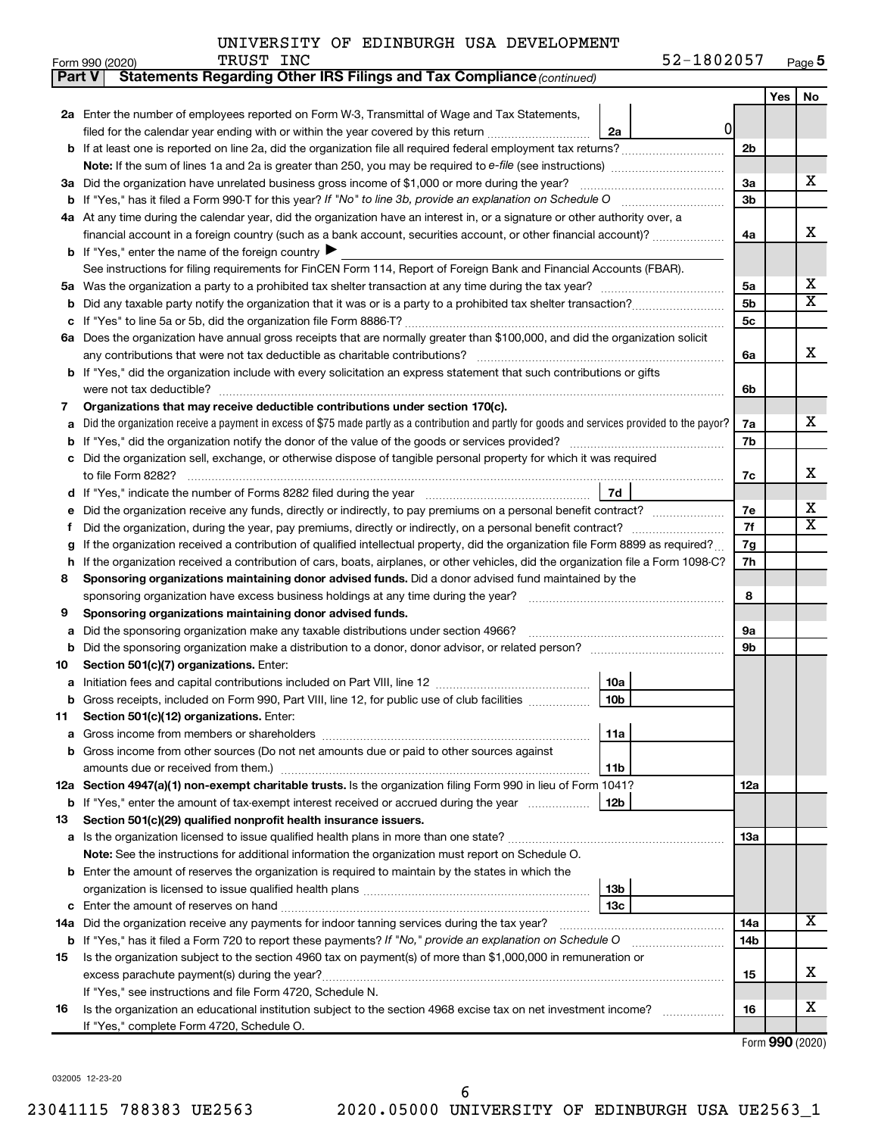| Form 990 (2020) | TRUST | につ<br>INC<br>′ − ∡د | 1802057 | Page 5 |
|-----------------|-------|---------------------|---------|--------|
|-----------------|-------|---------------------|---------|--------|

| Yes<br>No<br>2a Enter the number of employees reported on Form W-3, Transmittal of Wage and Tax Statements,<br>0<br>filed for the calendar year ending with or within the year covered by this return<br>2a<br>2 <sub>b</sub><br>b<br>х<br>3a<br>3a Did the organization have unrelated business gross income of \$1,000 or more during the year?<br>3b<br>4a At any time during the calendar year, did the organization have an interest in, or a signature or other authority over, a<br>x<br>financial account in a foreign country (such as a bank account, securities account, or other financial account)?<br>4a<br><b>b</b> If "Yes," enter the name of the foreign country $\blacktriangleright$<br>See instructions for filing requirements for FinCEN Form 114, Report of Foreign Bank and Financial Accounts (FBAR).<br>х<br>5a<br>5а<br>$\overline{\textbf{X}}$<br>5b<br>b<br>5с<br>c<br>6a Does the organization have annual gross receipts that are normally greater than \$100,000, and did the organization solicit<br>x<br>6a<br><b>b</b> If "Yes," did the organization include with every solicitation an express statement that such contributions or gifts<br>6b<br>Organizations that may receive deductible contributions under section 170(c).<br>7<br>x.<br>Did the organization receive a payment in excess of \$75 made partly as a contribution and partly for goods and services provided to the payor?<br>7a<br>a<br>7b<br>b<br>Did the organization sell, exchange, or otherwise dispose of tangible personal property for which it was required<br>х<br>7c<br>7d<br>d<br>х<br>7е<br>е<br>X<br>7f<br>f<br>If the organization received a contribution of qualified intellectual property, did the organization file Form 8899 as required?<br>7g<br>g<br>If the organization received a contribution of cars, boats, airplanes, or other vehicles, did the organization file a Form 1098-C?<br>7h<br>h<br>Sponsoring organizations maintaining donor advised funds. Did a donor advised fund maintained by the<br>8<br>8<br>sponsoring organization have excess business holdings at any time during the year?<br>Sponsoring organizations maintaining donor advised funds.<br>9<br>9a<br>Did the sponsoring organization make any taxable distributions under section 4966?<br>а<br>Did the sponsoring organization make a distribution to a donor, donor advisor, or related person?<br>9b<br>b<br>Section 501(c)(7) organizations. Enter:<br>10<br>10a<br>10 <sub>b</sub><br>Gross receipts, included on Form 990, Part VIII, line 12, for public use of club facilities<br>Section 501(c)(12) organizations. Enter:<br>11<br>11a<br>Gross income from other sources (Do not net amounts due or paid to other sources against<br>11b<br>12a Section 4947(a)(1) non-exempt charitable trusts. Is the organization filing Form 990 in lieu of Form 1041?<br>12a<br>12 <sub>b</sub><br><b>b</b> If "Yes," enter the amount of tax-exempt interest received or accrued during the year<br>Section 501(c)(29) qualified nonprofit health insurance issuers.<br>13<br>Is the organization licensed to issue qualified health plans in more than one state?<br>13a<br>а<br>Note: See the instructions for additional information the organization must report on Schedule O.<br>Enter the amount of reserves the organization is required to maintain by the states in which the<br>b<br>13b<br>13c<br>c<br>x<br>Did the organization receive any payments for indoor tanning services during the tax year?<br>14a<br>14a<br><b>b</b> If "Yes," has it filed a Form 720 to report these payments? If "No," provide an explanation on Schedule O<br>14b<br>Is the organization subject to the section 4960 tax on payment(s) of more than \$1,000,000 in remuneration or<br>15<br>x.<br>15<br>If "Yes," see instructions and file Form 4720, Schedule N.<br>х<br>Is the organization an educational institution subject to the section 4968 excise tax on net investment income?<br>16<br>16 | <b>Part V</b> | Statements Regarding Other IRS Filings and Tax Compliance (continued) |  |  |
|------------------------------------------------------------------------------------------------------------------------------------------------------------------------------------------------------------------------------------------------------------------------------------------------------------------------------------------------------------------------------------------------------------------------------------------------------------------------------------------------------------------------------------------------------------------------------------------------------------------------------------------------------------------------------------------------------------------------------------------------------------------------------------------------------------------------------------------------------------------------------------------------------------------------------------------------------------------------------------------------------------------------------------------------------------------------------------------------------------------------------------------------------------------------------------------------------------------------------------------------------------------------------------------------------------------------------------------------------------------------------------------------------------------------------------------------------------------------------------------------------------------------------------------------------------------------------------------------------------------------------------------------------------------------------------------------------------------------------------------------------------------------------------------------------------------------------------------------------------------------------------------------------------------------------------------------------------------------------------------------------------------------------------------------------------------------------------------------------------------------------------------------------------------------------------------------------------------------------------------------------------------------------------------------------------------------------------------------------------------------------------------------------------------------------------------------------------------------------------------------------------------------------------------------------------------------------------------------------------------------------------------------------------------------------------------------------------------------------------------------------------------------------------------------------------------------------------------------------------------------------------------------------------------------------------------------------------------------------------------------------------------------------------------------------------------------------------------------------------------------------------------------------------------------------------------------------------------------------------------------------------------------------------------------------------------------------------------------------------------------------------------------------------------------------------------------------------------------------------------------------------------------------------------------------------------------------------------------------------------------------------------------------------------------------------------------------------------------------------------------------------------------------------------------------------------------------------------------------------------------------------------------------------------------------------------------------------------------------------------------------------------------|---------------|-----------------------------------------------------------------------|--|--|
|                                                                                                                                                                                                                                                                                                                                                                                                                                                                                                                                                                                                                                                                                                                                                                                                                                                                                                                                                                                                                                                                                                                                                                                                                                                                                                                                                                                                                                                                                                                                                                                                                                                                                                                                                                                                                                                                                                                                                                                                                                                                                                                                                                                                                                                                                                                                                                                                                                                                                                                                                                                                                                                                                                                                                                                                                                                                                                                                                                                                                                                                                                                                                                                                                                                                                                                                                                                                                                                                                                                                                                                                                                                                                                                                                                                                                                                                                                                                                                                                                        |               |                                                                       |  |  |
|                                                                                                                                                                                                                                                                                                                                                                                                                                                                                                                                                                                                                                                                                                                                                                                                                                                                                                                                                                                                                                                                                                                                                                                                                                                                                                                                                                                                                                                                                                                                                                                                                                                                                                                                                                                                                                                                                                                                                                                                                                                                                                                                                                                                                                                                                                                                                                                                                                                                                                                                                                                                                                                                                                                                                                                                                                                                                                                                                                                                                                                                                                                                                                                                                                                                                                                                                                                                                                                                                                                                                                                                                                                                                                                                                                                                                                                                                                                                                                                                                        |               |                                                                       |  |  |
|                                                                                                                                                                                                                                                                                                                                                                                                                                                                                                                                                                                                                                                                                                                                                                                                                                                                                                                                                                                                                                                                                                                                                                                                                                                                                                                                                                                                                                                                                                                                                                                                                                                                                                                                                                                                                                                                                                                                                                                                                                                                                                                                                                                                                                                                                                                                                                                                                                                                                                                                                                                                                                                                                                                                                                                                                                                                                                                                                                                                                                                                                                                                                                                                                                                                                                                                                                                                                                                                                                                                                                                                                                                                                                                                                                                                                                                                                                                                                                                                                        |               |                                                                       |  |  |
|                                                                                                                                                                                                                                                                                                                                                                                                                                                                                                                                                                                                                                                                                                                                                                                                                                                                                                                                                                                                                                                                                                                                                                                                                                                                                                                                                                                                                                                                                                                                                                                                                                                                                                                                                                                                                                                                                                                                                                                                                                                                                                                                                                                                                                                                                                                                                                                                                                                                                                                                                                                                                                                                                                                                                                                                                                                                                                                                                                                                                                                                                                                                                                                                                                                                                                                                                                                                                                                                                                                                                                                                                                                                                                                                                                                                                                                                                                                                                                                                                        |               |                                                                       |  |  |
|                                                                                                                                                                                                                                                                                                                                                                                                                                                                                                                                                                                                                                                                                                                                                                                                                                                                                                                                                                                                                                                                                                                                                                                                                                                                                                                                                                                                                                                                                                                                                                                                                                                                                                                                                                                                                                                                                                                                                                                                                                                                                                                                                                                                                                                                                                                                                                                                                                                                                                                                                                                                                                                                                                                                                                                                                                                                                                                                                                                                                                                                                                                                                                                                                                                                                                                                                                                                                                                                                                                                                                                                                                                                                                                                                                                                                                                                                                                                                                                                                        |               |                                                                       |  |  |
|                                                                                                                                                                                                                                                                                                                                                                                                                                                                                                                                                                                                                                                                                                                                                                                                                                                                                                                                                                                                                                                                                                                                                                                                                                                                                                                                                                                                                                                                                                                                                                                                                                                                                                                                                                                                                                                                                                                                                                                                                                                                                                                                                                                                                                                                                                                                                                                                                                                                                                                                                                                                                                                                                                                                                                                                                                                                                                                                                                                                                                                                                                                                                                                                                                                                                                                                                                                                                                                                                                                                                                                                                                                                                                                                                                                                                                                                                                                                                                                                                        |               |                                                                       |  |  |
|                                                                                                                                                                                                                                                                                                                                                                                                                                                                                                                                                                                                                                                                                                                                                                                                                                                                                                                                                                                                                                                                                                                                                                                                                                                                                                                                                                                                                                                                                                                                                                                                                                                                                                                                                                                                                                                                                                                                                                                                                                                                                                                                                                                                                                                                                                                                                                                                                                                                                                                                                                                                                                                                                                                                                                                                                                                                                                                                                                                                                                                                                                                                                                                                                                                                                                                                                                                                                                                                                                                                                                                                                                                                                                                                                                                                                                                                                                                                                                                                                        |               |                                                                       |  |  |
|                                                                                                                                                                                                                                                                                                                                                                                                                                                                                                                                                                                                                                                                                                                                                                                                                                                                                                                                                                                                                                                                                                                                                                                                                                                                                                                                                                                                                                                                                                                                                                                                                                                                                                                                                                                                                                                                                                                                                                                                                                                                                                                                                                                                                                                                                                                                                                                                                                                                                                                                                                                                                                                                                                                                                                                                                                                                                                                                                                                                                                                                                                                                                                                                                                                                                                                                                                                                                                                                                                                                                                                                                                                                                                                                                                                                                                                                                                                                                                                                                        |               |                                                                       |  |  |
|                                                                                                                                                                                                                                                                                                                                                                                                                                                                                                                                                                                                                                                                                                                                                                                                                                                                                                                                                                                                                                                                                                                                                                                                                                                                                                                                                                                                                                                                                                                                                                                                                                                                                                                                                                                                                                                                                                                                                                                                                                                                                                                                                                                                                                                                                                                                                                                                                                                                                                                                                                                                                                                                                                                                                                                                                                                                                                                                                                                                                                                                                                                                                                                                                                                                                                                                                                                                                                                                                                                                                                                                                                                                                                                                                                                                                                                                                                                                                                                                                        |               |                                                                       |  |  |
|                                                                                                                                                                                                                                                                                                                                                                                                                                                                                                                                                                                                                                                                                                                                                                                                                                                                                                                                                                                                                                                                                                                                                                                                                                                                                                                                                                                                                                                                                                                                                                                                                                                                                                                                                                                                                                                                                                                                                                                                                                                                                                                                                                                                                                                                                                                                                                                                                                                                                                                                                                                                                                                                                                                                                                                                                                                                                                                                                                                                                                                                                                                                                                                                                                                                                                                                                                                                                                                                                                                                                                                                                                                                                                                                                                                                                                                                                                                                                                                                                        |               |                                                                       |  |  |
|                                                                                                                                                                                                                                                                                                                                                                                                                                                                                                                                                                                                                                                                                                                                                                                                                                                                                                                                                                                                                                                                                                                                                                                                                                                                                                                                                                                                                                                                                                                                                                                                                                                                                                                                                                                                                                                                                                                                                                                                                                                                                                                                                                                                                                                                                                                                                                                                                                                                                                                                                                                                                                                                                                                                                                                                                                                                                                                                                                                                                                                                                                                                                                                                                                                                                                                                                                                                                                                                                                                                                                                                                                                                                                                                                                                                                                                                                                                                                                                                                        |               |                                                                       |  |  |
|                                                                                                                                                                                                                                                                                                                                                                                                                                                                                                                                                                                                                                                                                                                                                                                                                                                                                                                                                                                                                                                                                                                                                                                                                                                                                                                                                                                                                                                                                                                                                                                                                                                                                                                                                                                                                                                                                                                                                                                                                                                                                                                                                                                                                                                                                                                                                                                                                                                                                                                                                                                                                                                                                                                                                                                                                                                                                                                                                                                                                                                                                                                                                                                                                                                                                                                                                                                                                                                                                                                                                                                                                                                                                                                                                                                                                                                                                                                                                                                                                        |               |                                                                       |  |  |
|                                                                                                                                                                                                                                                                                                                                                                                                                                                                                                                                                                                                                                                                                                                                                                                                                                                                                                                                                                                                                                                                                                                                                                                                                                                                                                                                                                                                                                                                                                                                                                                                                                                                                                                                                                                                                                                                                                                                                                                                                                                                                                                                                                                                                                                                                                                                                                                                                                                                                                                                                                                                                                                                                                                                                                                                                                                                                                                                                                                                                                                                                                                                                                                                                                                                                                                                                                                                                                                                                                                                                                                                                                                                                                                                                                                                                                                                                                                                                                                                                        |               |                                                                       |  |  |
|                                                                                                                                                                                                                                                                                                                                                                                                                                                                                                                                                                                                                                                                                                                                                                                                                                                                                                                                                                                                                                                                                                                                                                                                                                                                                                                                                                                                                                                                                                                                                                                                                                                                                                                                                                                                                                                                                                                                                                                                                                                                                                                                                                                                                                                                                                                                                                                                                                                                                                                                                                                                                                                                                                                                                                                                                                                                                                                                                                                                                                                                                                                                                                                                                                                                                                                                                                                                                                                                                                                                                                                                                                                                                                                                                                                                                                                                                                                                                                                                                        |               |                                                                       |  |  |
|                                                                                                                                                                                                                                                                                                                                                                                                                                                                                                                                                                                                                                                                                                                                                                                                                                                                                                                                                                                                                                                                                                                                                                                                                                                                                                                                                                                                                                                                                                                                                                                                                                                                                                                                                                                                                                                                                                                                                                                                                                                                                                                                                                                                                                                                                                                                                                                                                                                                                                                                                                                                                                                                                                                                                                                                                                                                                                                                                                                                                                                                                                                                                                                                                                                                                                                                                                                                                                                                                                                                                                                                                                                                                                                                                                                                                                                                                                                                                                                                                        |               |                                                                       |  |  |
|                                                                                                                                                                                                                                                                                                                                                                                                                                                                                                                                                                                                                                                                                                                                                                                                                                                                                                                                                                                                                                                                                                                                                                                                                                                                                                                                                                                                                                                                                                                                                                                                                                                                                                                                                                                                                                                                                                                                                                                                                                                                                                                                                                                                                                                                                                                                                                                                                                                                                                                                                                                                                                                                                                                                                                                                                                                                                                                                                                                                                                                                                                                                                                                                                                                                                                                                                                                                                                                                                                                                                                                                                                                                                                                                                                                                                                                                                                                                                                                                                        |               |                                                                       |  |  |
|                                                                                                                                                                                                                                                                                                                                                                                                                                                                                                                                                                                                                                                                                                                                                                                                                                                                                                                                                                                                                                                                                                                                                                                                                                                                                                                                                                                                                                                                                                                                                                                                                                                                                                                                                                                                                                                                                                                                                                                                                                                                                                                                                                                                                                                                                                                                                                                                                                                                                                                                                                                                                                                                                                                                                                                                                                                                                                                                                                                                                                                                                                                                                                                                                                                                                                                                                                                                                                                                                                                                                                                                                                                                                                                                                                                                                                                                                                                                                                                                                        |               |                                                                       |  |  |
|                                                                                                                                                                                                                                                                                                                                                                                                                                                                                                                                                                                                                                                                                                                                                                                                                                                                                                                                                                                                                                                                                                                                                                                                                                                                                                                                                                                                                                                                                                                                                                                                                                                                                                                                                                                                                                                                                                                                                                                                                                                                                                                                                                                                                                                                                                                                                                                                                                                                                                                                                                                                                                                                                                                                                                                                                                                                                                                                                                                                                                                                                                                                                                                                                                                                                                                                                                                                                                                                                                                                                                                                                                                                                                                                                                                                                                                                                                                                                                                                                        |               |                                                                       |  |  |
|                                                                                                                                                                                                                                                                                                                                                                                                                                                                                                                                                                                                                                                                                                                                                                                                                                                                                                                                                                                                                                                                                                                                                                                                                                                                                                                                                                                                                                                                                                                                                                                                                                                                                                                                                                                                                                                                                                                                                                                                                                                                                                                                                                                                                                                                                                                                                                                                                                                                                                                                                                                                                                                                                                                                                                                                                                                                                                                                                                                                                                                                                                                                                                                                                                                                                                                                                                                                                                                                                                                                                                                                                                                                                                                                                                                                                                                                                                                                                                                                                        |               |                                                                       |  |  |
|                                                                                                                                                                                                                                                                                                                                                                                                                                                                                                                                                                                                                                                                                                                                                                                                                                                                                                                                                                                                                                                                                                                                                                                                                                                                                                                                                                                                                                                                                                                                                                                                                                                                                                                                                                                                                                                                                                                                                                                                                                                                                                                                                                                                                                                                                                                                                                                                                                                                                                                                                                                                                                                                                                                                                                                                                                                                                                                                                                                                                                                                                                                                                                                                                                                                                                                                                                                                                                                                                                                                                                                                                                                                                                                                                                                                                                                                                                                                                                                                                        |               |                                                                       |  |  |
|                                                                                                                                                                                                                                                                                                                                                                                                                                                                                                                                                                                                                                                                                                                                                                                                                                                                                                                                                                                                                                                                                                                                                                                                                                                                                                                                                                                                                                                                                                                                                                                                                                                                                                                                                                                                                                                                                                                                                                                                                                                                                                                                                                                                                                                                                                                                                                                                                                                                                                                                                                                                                                                                                                                                                                                                                                                                                                                                                                                                                                                                                                                                                                                                                                                                                                                                                                                                                                                                                                                                                                                                                                                                                                                                                                                                                                                                                                                                                                                                                        |               |                                                                       |  |  |
|                                                                                                                                                                                                                                                                                                                                                                                                                                                                                                                                                                                                                                                                                                                                                                                                                                                                                                                                                                                                                                                                                                                                                                                                                                                                                                                                                                                                                                                                                                                                                                                                                                                                                                                                                                                                                                                                                                                                                                                                                                                                                                                                                                                                                                                                                                                                                                                                                                                                                                                                                                                                                                                                                                                                                                                                                                                                                                                                                                                                                                                                                                                                                                                                                                                                                                                                                                                                                                                                                                                                                                                                                                                                                                                                                                                                                                                                                                                                                                                                                        |               |                                                                       |  |  |
|                                                                                                                                                                                                                                                                                                                                                                                                                                                                                                                                                                                                                                                                                                                                                                                                                                                                                                                                                                                                                                                                                                                                                                                                                                                                                                                                                                                                                                                                                                                                                                                                                                                                                                                                                                                                                                                                                                                                                                                                                                                                                                                                                                                                                                                                                                                                                                                                                                                                                                                                                                                                                                                                                                                                                                                                                                                                                                                                                                                                                                                                                                                                                                                                                                                                                                                                                                                                                                                                                                                                                                                                                                                                                                                                                                                                                                                                                                                                                                                                                        |               |                                                                       |  |  |
|                                                                                                                                                                                                                                                                                                                                                                                                                                                                                                                                                                                                                                                                                                                                                                                                                                                                                                                                                                                                                                                                                                                                                                                                                                                                                                                                                                                                                                                                                                                                                                                                                                                                                                                                                                                                                                                                                                                                                                                                                                                                                                                                                                                                                                                                                                                                                                                                                                                                                                                                                                                                                                                                                                                                                                                                                                                                                                                                                                                                                                                                                                                                                                                                                                                                                                                                                                                                                                                                                                                                                                                                                                                                                                                                                                                                                                                                                                                                                                                                                        |               |                                                                       |  |  |
|                                                                                                                                                                                                                                                                                                                                                                                                                                                                                                                                                                                                                                                                                                                                                                                                                                                                                                                                                                                                                                                                                                                                                                                                                                                                                                                                                                                                                                                                                                                                                                                                                                                                                                                                                                                                                                                                                                                                                                                                                                                                                                                                                                                                                                                                                                                                                                                                                                                                                                                                                                                                                                                                                                                                                                                                                                                                                                                                                                                                                                                                                                                                                                                                                                                                                                                                                                                                                                                                                                                                                                                                                                                                                                                                                                                                                                                                                                                                                                                                                        |               |                                                                       |  |  |
|                                                                                                                                                                                                                                                                                                                                                                                                                                                                                                                                                                                                                                                                                                                                                                                                                                                                                                                                                                                                                                                                                                                                                                                                                                                                                                                                                                                                                                                                                                                                                                                                                                                                                                                                                                                                                                                                                                                                                                                                                                                                                                                                                                                                                                                                                                                                                                                                                                                                                                                                                                                                                                                                                                                                                                                                                                                                                                                                                                                                                                                                                                                                                                                                                                                                                                                                                                                                                                                                                                                                                                                                                                                                                                                                                                                                                                                                                                                                                                                                                        |               |                                                                       |  |  |
|                                                                                                                                                                                                                                                                                                                                                                                                                                                                                                                                                                                                                                                                                                                                                                                                                                                                                                                                                                                                                                                                                                                                                                                                                                                                                                                                                                                                                                                                                                                                                                                                                                                                                                                                                                                                                                                                                                                                                                                                                                                                                                                                                                                                                                                                                                                                                                                                                                                                                                                                                                                                                                                                                                                                                                                                                                                                                                                                                                                                                                                                                                                                                                                                                                                                                                                                                                                                                                                                                                                                                                                                                                                                                                                                                                                                                                                                                                                                                                                                                        |               |                                                                       |  |  |
|                                                                                                                                                                                                                                                                                                                                                                                                                                                                                                                                                                                                                                                                                                                                                                                                                                                                                                                                                                                                                                                                                                                                                                                                                                                                                                                                                                                                                                                                                                                                                                                                                                                                                                                                                                                                                                                                                                                                                                                                                                                                                                                                                                                                                                                                                                                                                                                                                                                                                                                                                                                                                                                                                                                                                                                                                                                                                                                                                                                                                                                                                                                                                                                                                                                                                                                                                                                                                                                                                                                                                                                                                                                                                                                                                                                                                                                                                                                                                                                                                        |               |                                                                       |  |  |
|                                                                                                                                                                                                                                                                                                                                                                                                                                                                                                                                                                                                                                                                                                                                                                                                                                                                                                                                                                                                                                                                                                                                                                                                                                                                                                                                                                                                                                                                                                                                                                                                                                                                                                                                                                                                                                                                                                                                                                                                                                                                                                                                                                                                                                                                                                                                                                                                                                                                                                                                                                                                                                                                                                                                                                                                                                                                                                                                                                                                                                                                                                                                                                                                                                                                                                                                                                                                                                                                                                                                                                                                                                                                                                                                                                                                                                                                                                                                                                                                                        |               |                                                                       |  |  |
|                                                                                                                                                                                                                                                                                                                                                                                                                                                                                                                                                                                                                                                                                                                                                                                                                                                                                                                                                                                                                                                                                                                                                                                                                                                                                                                                                                                                                                                                                                                                                                                                                                                                                                                                                                                                                                                                                                                                                                                                                                                                                                                                                                                                                                                                                                                                                                                                                                                                                                                                                                                                                                                                                                                                                                                                                                                                                                                                                                                                                                                                                                                                                                                                                                                                                                                                                                                                                                                                                                                                                                                                                                                                                                                                                                                                                                                                                                                                                                                                                        |               |                                                                       |  |  |
|                                                                                                                                                                                                                                                                                                                                                                                                                                                                                                                                                                                                                                                                                                                                                                                                                                                                                                                                                                                                                                                                                                                                                                                                                                                                                                                                                                                                                                                                                                                                                                                                                                                                                                                                                                                                                                                                                                                                                                                                                                                                                                                                                                                                                                                                                                                                                                                                                                                                                                                                                                                                                                                                                                                                                                                                                                                                                                                                                                                                                                                                                                                                                                                                                                                                                                                                                                                                                                                                                                                                                                                                                                                                                                                                                                                                                                                                                                                                                                                                                        |               |                                                                       |  |  |
|                                                                                                                                                                                                                                                                                                                                                                                                                                                                                                                                                                                                                                                                                                                                                                                                                                                                                                                                                                                                                                                                                                                                                                                                                                                                                                                                                                                                                                                                                                                                                                                                                                                                                                                                                                                                                                                                                                                                                                                                                                                                                                                                                                                                                                                                                                                                                                                                                                                                                                                                                                                                                                                                                                                                                                                                                                                                                                                                                                                                                                                                                                                                                                                                                                                                                                                                                                                                                                                                                                                                                                                                                                                                                                                                                                                                                                                                                                                                                                                                                        |               |                                                                       |  |  |
|                                                                                                                                                                                                                                                                                                                                                                                                                                                                                                                                                                                                                                                                                                                                                                                                                                                                                                                                                                                                                                                                                                                                                                                                                                                                                                                                                                                                                                                                                                                                                                                                                                                                                                                                                                                                                                                                                                                                                                                                                                                                                                                                                                                                                                                                                                                                                                                                                                                                                                                                                                                                                                                                                                                                                                                                                                                                                                                                                                                                                                                                                                                                                                                                                                                                                                                                                                                                                                                                                                                                                                                                                                                                                                                                                                                                                                                                                                                                                                                                                        |               |                                                                       |  |  |
|                                                                                                                                                                                                                                                                                                                                                                                                                                                                                                                                                                                                                                                                                                                                                                                                                                                                                                                                                                                                                                                                                                                                                                                                                                                                                                                                                                                                                                                                                                                                                                                                                                                                                                                                                                                                                                                                                                                                                                                                                                                                                                                                                                                                                                                                                                                                                                                                                                                                                                                                                                                                                                                                                                                                                                                                                                                                                                                                                                                                                                                                                                                                                                                                                                                                                                                                                                                                                                                                                                                                                                                                                                                                                                                                                                                                                                                                                                                                                                                                                        |               |                                                                       |  |  |
|                                                                                                                                                                                                                                                                                                                                                                                                                                                                                                                                                                                                                                                                                                                                                                                                                                                                                                                                                                                                                                                                                                                                                                                                                                                                                                                                                                                                                                                                                                                                                                                                                                                                                                                                                                                                                                                                                                                                                                                                                                                                                                                                                                                                                                                                                                                                                                                                                                                                                                                                                                                                                                                                                                                                                                                                                                                                                                                                                                                                                                                                                                                                                                                                                                                                                                                                                                                                                                                                                                                                                                                                                                                                                                                                                                                                                                                                                                                                                                                                                        |               |                                                                       |  |  |
|                                                                                                                                                                                                                                                                                                                                                                                                                                                                                                                                                                                                                                                                                                                                                                                                                                                                                                                                                                                                                                                                                                                                                                                                                                                                                                                                                                                                                                                                                                                                                                                                                                                                                                                                                                                                                                                                                                                                                                                                                                                                                                                                                                                                                                                                                                                                                                                                                                                                                                                                                                                                                                                                                                                                                                                                                                                                                                                                                                                                                                                                                                                                                                                                                                                                                                                                                                                                                                                                                                                                                                                                                                                                                                                                                                                                                                                                                                                                                                                                                        |               |                                                                       |  |  |
|                                                                                                                                                                                                                                                                                                                                                                                                                                                                                                                                                                                                                                                                                                                                                                                                                                                                                                                                                                                                                                                                                                                                                                                                                                                                                                                                                                                                                                                                                                                                                                                                                                                                                                                                                                                                                                                                                                                                                                                                                                                                                                                                                                                                                                                                                                                                                                                                                                                                                                                                                                                                                                                                                                                                                                                                                                                                                                                                                                                                                                                                                                                                                                                                                                                                                                                                                                                                                                                                                                                                                                                                                                                                                                                                                                                                                                                                                                                                                                                                                        |               |                                                                       |  |  |
|                                                                                                                                                                                                                                                                                                                                                                                                                                                                                                                                                                                                                                                                                                                                                                                                                                                                                                                                                                                                                                                                                                                                                                                                                                                                                                                                                                                                                                                                                                                                                                                                                                                                                                                                                                                                                                                                                                                                                                                                                                                                                                                                                                                                                                                                                                                                                                                                                                                                                                                                                                                                                                                                                                                                                                                                                                                                                                                                                                                                                                                                                                                                                                                                                                                                                                                                                                                                                                                                                                                                                                                                                                                                                                                                                                                                                                                                                                                                                                                                                        |               |                                                                       |  |  |
|                                                                                                                                                                                                                                                                                                                                                                                                                                                                                                                                                                                                                                                                                                                                                                                                                                                                                                                                                                                                                                                                                                                                                                                                                                                                                                                                                                                                                                                                                                                                                                                                                                                                                                                                                                                                                                                                                                                                                                                                                                                                                                                                                                                                                                                                                                                                                                                                                                                                                                                                                                                                                                                                                                                                                                                                                                                                                                                                                                                                                                                                                                                                                                                                                                                                                                                                                                                                                                                                                                                                                                                                                                                                                                                                                                                                                                                                                                                                                                                                                        |               |                                                                       |  |  |
|                                                                                                                                                                                                                                                                                                                                                                                                                                                                                                                                                                                                                                                                                                                                                                                                                                                                                                                                                                                                                                                                                                                                                                                                                                                                                                                                                                                                                                                                                                                                                                                                                                                                                                                                                                                                                                                                                                                                                                                                                                                                                                                                                                                                                                                                                                                                                                                                                                                                                                                                                                                                                                                                                                                                                                                                                                                                                                                                                                                                                                                                                                                                                                                                                                                                                                                                                                                                                                                                                                                                                                                                                                                                                                                                                                                                                                                                                                                                                                                                                        |               |                                                                       |  |  |
|                                                                                                                                                                                                                                                                                                                                                                                                                                                                                                                                                                                                                                                                                                                                                                                                                                                                                                                                                                                                                                                                                                                                                                                                                                                                                                                                                                                                                                                                                                                                                                                                                                                                                                                                                                                                                                                                                                                                                                                                                                                                                                                                                                                                                                                                                                                                                                                                                                                                                                                                                                                                                                                                                                                                                                                                                                                                                                                                                                                                                                                                                                                                                                                                                                                                                                                                                                                                                                                                                                                                                                                                                                                                                                                                                                                                                                                                                                                                                                                                                        |               |                                                                       |  |  |
|                                                                                                                                                                                                                                                                                                                                                                                                                                                                                                                                                                                                                                                                                                                                                                                                                                                                                                                                                                                                                                                                                                                                                                                                                                                                                                                                                                                                                                                                                                                                                                                                                                                                                                                                                                                                                                                                                                                                                                                                                                                                                                                                                                                                                                                                                                                                                                                                                                                                                                                                                                                                                                                                                                                                                                                                                                                                                                                                                                                                                                                                                                                                                                                                                                                                                                                                                                                                                                                                                                                                                                                                                                                                                                                                                                                                                                                                                                                                                                                                                        |               |                                                                       |  |  |
|                                                                                                                                                                                                                                                                                                                                                                                                                                                                                                                                                                                                                                                                                                                                                                                                                                                                                                                                                                                                                                                                                                                                                                                                                                                                                                                                                                                                                                                                                                                                                                                                                                                                                                                                                                                                                                                                                                                                                                                                                                                                                                                                                                                                                                                                                                                                                                                                                                                                                                                                                                                                                                                                                                                                                                                                                                                                                                                                                                                                                                                                                                                                                                                                                                                                                                                                                                                                                                                                                                                                                                                                                                                                                                                                                                                                                                                                                                                                                                                                                        |               |                                                                       |  |  |
|                                                                                                                                                                                                                                                                                                                                                                                                                                                                                                                                                                                                                                                                                                                                                                                                                                                                                                                                                                                                                                                                                                                                                                                                                                                                                                                                                                                                                                                                                                                                                                                                                                                                                                                                                                                                                                                                                                                                                                                                                                                                                                                                                                                                                                                                                                                                                                                                                                                                                                                                                                                                                                                                                                                                                                                                                                                                                                                                                                                                                                                                                                                                                                                                                                                                                                                                                                                                                                                                                                                                                                                                                                                                                                                                                                                                                                                                                                                                                                                                                        |               |                                                                       |  |  |
|                                                                                                                                                                                                                                                                                                                                                                                                                                                                                                                                                                                                                                                                                                                                                                                                                                                                                                                                                                                                                                                                                                                                                                                                                                                                                                                                                                                                                                                                                                                                                                                                                                                                                                                                                                                                                                                                                                                                                                                                                                                                                                                                                                                                                                                                                                                                                                                                                                                                                                                                                                                                                                                                                                                                                                                                                                                                                                                                                                                                                                                                                                                                                                                                                                                                                                                                                                                                                                                                                                                                                                                                                                                                                                                                                                                                                                                                                                                                                                                                                        |               |                                                                       |  |  |
|                                                                                                                                                                                                                                                                                                                                                                                                                                                                                                                                                                                                                                                                                                                                                                                                                                                                                                                                                                                                                                                                                                                                                                                                                                                                                                                                                                                                                                                                                                                                                                                                                                                                                                                                                                                                                                                                                                                                                                                                                                                                                                                                                                                                                                                                                                                                                                                                                                                                                                                                                                                                                                                                                                                                                                                                                                                                                                                                                                                                                                                                                                                                                                                                                                                                                                                                                                                                                                                                                                                                                                                                                                                                                                                                                                                                                                                                                                                                                                                                                        |               |                                                                       |  |  |
|                                                                                                                                                                                                                                                                                                                                                                                                                                                                                                                                                                                                                                                                                                                                                                                                                                                                                                                                                                                                                                                                                                                                                                                                                                                                                                                                                                                                                                                                                                                                                                                                                                                                                                                                                                                                                                                                                                                                                                                                                                                                                                                                                                                                                                                                                                                                                                                                                                                                                                                                                                                                                                                                                                                                                                                                                                                                                                                                                                                                                                                                                                                                                                                                                                                                                                                                                                                                                                                                                                                                                                                                                                                                                                                                                                                                                                                                                                                                                                                                                        |               |                                                                       |  |  |
|                                                                                                                                                                                                                                                                                                                                                                                                                                                                                                                                                                                                                                                                                                                                                                                                                                                                                                                                                                                                                                                                                                                                                                                                                                                                                                                                                                                                                                                                                                                                                                                                                                                                                                                                                                                                                                                                                                                                                                                                                                                                                                                                                                                                                                                                                                                                                                                                                                                                                                                                                                                                                                                                                                                                                                                                                                                                                                                                                                                                                                                                                                                                                                                                                                                                                                                                                                                                                                                                                                                                                                                                                                                                                                                                                                                                                                                                                                                                                                                                                        |               |                                                                       |  |  |
|                                                                                                                                                                                                                                                                                                                                                                                                                                                                                                                                                                                                                                                                                                                                                                                                                                                                                                                                                                                                                                                                                                                                                                                                                                                                                                                                                                                                                                                                                                                                                                                                                                                                                                                                                                                                                                                                                                                                                                                                                                                                                                                                                                                                                                                                                                                                                                                                                                                                                                                                                                                                                                                                                                                                                                                                                                                                                                                                                                                                                                                                                                                                                                                                                                                                                                                                                                                                                                                                                                                                                                                                                                                                                                                                                                                                                                                                                                                                                                                                                        |               |                                                                       |  |  |
|                                                                                                                                                                                                                                                                                                                                                                                                                                                                                                                                                                                                                                                                                                                                                                                                                                                                                                                                                                                                                                                                                                                                                                                                                                                                                                                                                                                                                                                                                                                                                                                                                                                                                                                                                                                                                                                                                                                                                                                                                                                                                                                                                                                                                                                                                                                                                                                                                                                                                                                                                                                                                                                                                                                                                                                                                                                                                                                                                                                                                                                                                                                                                                                                                                                                                                                                                                                                                                                                                                                                                                                                                                                                                                                                                                                                                                                                                                                                                                                                                        |               |                                                                       |  |  |
|                                                                                                                                                                                                                                                                                                                                                                                                                                                                                                                                                                                                                                                                                                                                                                                                                                                                                                                                                                                                                                                                                                                                                                                                                                                                                                                                                                                                                                                                                                                                                                                                                                                                                                                                                                                                                                                                                                                                                                                                                                                                                                                                                                                                                                                                                                                                                                                                                                                                                                                                                                                                                                                                                                                                                                                                                                                                                                                                                                                                                                                                                                                                                                                                                                                                                                                                                                                                                                                                                                                                                                                                                                                                                                                                                                                                                                                                                                                                                                                                                        |               |                                                                       |  |  |
|                                                                                                                                                                                                                                                                                                                                                                                                                                                                                                                                                                                                                                                                                                                                                                                                                                                                                                                                                                                                                                                                                                                                                                                                                                                                                                                                                                                                                                                                                                                                                                                                                                                                                                                                                                                                                                                                                                                                                                                                                                                                                                                                                                                                                                                                                                                                                                                                                                                                                                                                                                                                                                                                                                                                                                                                                                                                                                                                                                                                                                                                                                                                                                                                                                                                                                                                                                                                                                                                                                                                                                                                                                                                                                                                                                                                                                                                                                                                                                                                                        |               |                                                                       |  |  |
|                                                                                                                                                                                                                                                                                                                                                                                                                                                                                                                                                                                                                                                                                                                                                                                                                                                                                                                                                                                                                                                                                                                                                                                                                                                                                                                                                                                                                                                                                                                                                                                                                                                                                                                                                                                                                                                                                                                                                                                                                                                                                                                                                                                                                                                                                                                                                                                                                                                                                                                                                                                                                                                                                                                                                                                                                                                                                                                                                                                                                                                                                                                                                                                                                                                                                                                                                                                                                                                                                                                                                                                                                                                                                                                                                                                                                                                                                                                                                                                                                        |               |                                                                       |  |  |
|                                                                                                                                                                                                                                                                                                                                                                                                                                                                                                                                                                                                                                                                                                                                                                                                                                                                                                                                                                                                                                                                                                                                                                                                                                                                                                                                                                                                                                                                                                                                                                                                                                                                                                                                                                                                                                                                                                                                                                                                                                                                                                                                                                                                                                                                                                                                                                                                                                                                                                                                                                                                                                                                                                                                                                                                                                                                                                                                                                                                                                                                                                                                                                                                                                                                                                                                                                                                                                                                                                                                                                                                                                                                                                                                                                                                                                                                                                                                                                                                                        |               | If "Yes," complete Form 4720, Schedule O.                             |  |  |

Form (2020) **990**

032005 12-23-20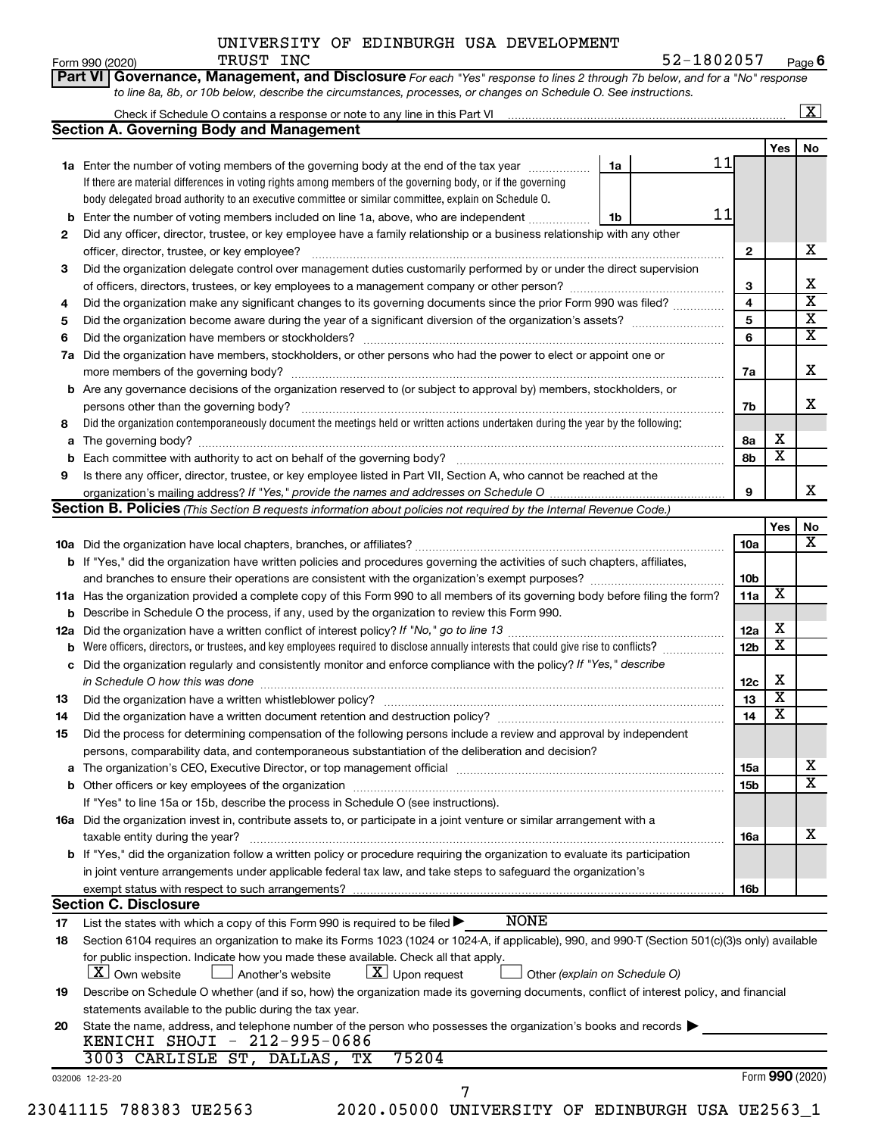| UNIVERSITY OF EDINBURGH USA DEVELOPMENT |  |
|-----------------------------------------|--|
|-----------------------------------------|--|

**Part VI Governance, Management, and Disclosure** 

Form 990 (2020) Page **6** TRUST INC 52-1802057

*For each "Yes" response to lines 2 through 7b below, and for a "No" response*

|                | <b>Section A. Governing Body and Management</b>                                                                                                                                                                                |    |                         |                         |  |
|----------------|--------------------------------------------------------------------------------------------------------------------------------------------------------------------------------------------------------------------------------|----|-------------------------|-------------------------|--|
|                |                                                                                                                                                                                                                                |    |                         | Yes                     |  |
|                | 1a Enter the number of voting members of the governing body at the end of the tax year                                                                                                                                         | 1a | 11                      |                         |  |
|                | If there are material differences in voting rights among members of the governing body, or if the governing                                                                                                                    |    |                         |                         |  |
|                | body delegated broad authority to an executive committee or similar committee, explain on Schedule O.                                                                                                                          |    |                         |                         |  |
|                | <b>b</b> Enter the number of voting members included on line 1a, above, who are independent                                                                                                                                    | 1b | 11                      |                         |  |
| 2              | Did any officer, director, trustee, or key employee have a family relationship or a business relationship with any other                                                                                                       |    |                         |                         |  |
|                |                                                                                                                                                                                                                                |    | $\mathbf{2}$            |                         |  |
| З              | Did the organization delegate control over management duties customarily performed by or under the direct supervision                                                                                                          |    |                         |                         |  |
|                |                                                                                                                                                                                                                                |    | 3                       |                         |  |
| 4              | Did the organization make any significant changes to its governing documents since the prior Form 990 was filed?                                                                                                               |    | $\overline{\mathbf{4}}$ |                         |  |
| 5              |                                                                                                                                                                                                                                |    | 5                       |                         |  |
| 6              |                                                                                                                                                                                                                                |    | 6                       |                         |  |
|                | 7a Did the organization have members, stockholders, or other persons who had the power to elect or appoint one or                                                                                                              |    |                         |                         |  |
|                |                                                                                                                                                                                                                                |    | 7a                      |                         |  |
|                | <b>b</b> Are any governance decisions of the organization reserved to (or subject to approval by) members, stockholders, or                                                                                                    |    |                         |                         |  |
|                | persons other than the governing body?                                                                                                                                                                                         |    | 7b                      |                         |  |
| 8              | Did the organization contemporaneously document the meetings held or written actions undertaken during the year by the following:                                                                                              |    |                         |                         |  |
|                |                                                                                                                                                                                                                                |    | 8а                      | X                       |  |
|                |                                                                                                                                                                                                                                |    | 8b                      | $\overline{\mathbf{x}}$ |  |
|                |                                                                                                                                                                                                                                |    |                         |                         |  |
| 9              | Is there any officer, director, trustee, or key employee listed in Part VII, Section A, who cannot be reached at the                                                                                                           |    | 9                       |                         |  |
|                |                                                                                                                                                                                                                                |    |                         |                         |  |
|                | Section B. Policies (This Section B requests information about policies not required by the Internal Revenue Code.)                                                                                                            |    |                         |                         |  |
|                |                                                                                                                                                                                                                                |    |                         | Yes                     |  |
|                |                                                                                                                                                                                                                                |    | 10a                     |                         |  |
|                | b If "Yes," did the organization have written policies and procedures governing the activities of such chapters, affiliates,                                                                                                   |    |                         |                         |  |
|                |                                                                                                                                                                                                                                |    | 10b                     |                         |  |
|                | 11a Has the organization provided a complete copy of this Form 990 to all members of its governing body before filing the form?                                                                                                |    | 11a                     | х                       |  |
|                | <b>b</b> Describe in Schedule O the process, if any, used by the organization to review this Form 990.                                                                                                                         |    |                         |                         |  |
|                |                                                                                                                                                                                                                                |    | 12a                     | x                       |  |
|                |                                                                                                                                                                                                                                |    | 12 <sub>b</sub>         | $\overline{\textbf{x}}$ |  |
|                | c Did the organization regularly and consistently monitor and enforce compliance with the policy? If "Yes," describe                                                                                                           |    |                         |                         |  |
|                | in Schedule O how this was done manufactured and continuum and contact the way to have a set of the state of t                                                                                                                 |    | 12c                     | х                       |  |
| 13             | Did the organization have a written whistleblower policy? [11] matter content to the organization have a written whistleblower policy? [11] matter content content content of the organization have a written which was a cont |    | 13                      | $\overline{\mathbf{x}}$ |  |
| 14             | Did the organization have a written document retention and destruction policy? [11] manufaction manufaction in                                                                                                                 |    | 14                      | $\overline{\textbf{x}}$ |  |
| 15             | Did the process for determining compensation of the following persons include a review and approval by independent                                                                                                             |    |                         |                         |  |
|                | persons, comparability data, and contemporaneous substantiation of the deliberation and decision?                                                                                                                              |    |                         |                         |  |
|                |                                                                                                                                                                                                                                |    | <b>15a</b>              |                         |  |
|                |                                                                                                                                                                                                                                |    | 15b                     |                         |  |
|                | If "Yes" to line 15a or 15b, describe the process in Schedule O (see instructions).                                                                                                                                            |    |                         |                         |  |
|                | 16a Did the organization invest in, contribute assets to, or participate in a joint venture or similar arrangement with a                                                                                                      |    |                         |                         |  |
|                | taxable entity during the year?                                                                                                                                                                                                |    | 16a                     |                         |  |
|                | <b>b</b> If "Yes," did the organization follow a written policy or procedure requiring the organization to evaluate its participation                                                                                          |    |                         |                         |  |
|                | in joint venture arrangements under applicable federal tax law, and take steps to safeguard the organization's                                                                                                                 |    |                         |                         |  |
|                | exempt status with respect to such arrangements?                                                                                                                                                                               |    | 16b                     |                         |  |
|                | <b>Section C. Disclosure</b>                                                                                                                                                                                                   |    |                         |                         |  |
|                | <b>NONE</b>                                                                                                                                                                                                                    |    |                         |                         |  |
| 17             | List the states with which a copy of this Form 990 is required to be filed $\blacktriangleright$                                                                                                                               |    |                         |                         |  |
|                | Section 6104 requires an organization to make its Forms 1023 (1024 or 1024-A, if applicable), 990, and 990-T (Section 501(c)(3)s only) available                                                                               |    |                         |                         |  |
|                | for public inspection. Indicate how you made these available. Check all that apply.                                                                                                                                            |    |                         |                         |  |
|                |                                                                                                                                                                                                                                |    |                         |                         |  |
|                | <b>X</b> Own website<br>$ \underline{X} $ Upon request<br>Another's website<br>Other (explain on Schedule O)                                                                                                                   |    |                         |                         |  |
|                | Describe on Schedule O whether (and if so, how) the organization made its governing documents, conflict of interest policy, and financial                                                                                      |    |                         |                         |  |
|                | statements available to the public during the tax year.                                                                                                                                                                        |    |                         |                         |  |
|                | State the name, address, and telephone number of the person who possesses the organization's books and records                                                                                                                 |    |                         |                         |  |
|                | KENICHI SHOJI - 212-995-0686                                                                                                                                                                                                   |    |                         |                         |  |
|                | 75204<br>3003 CARLISLE ST, DALLAS, TX                                                                                                                                                                                          |    |                         |                         |  |
| 18<br>19<br>20 | 032006 12-23-20<br>7                                                                                                                                                                                                           |    |                         | Form 990 (2020)         |  |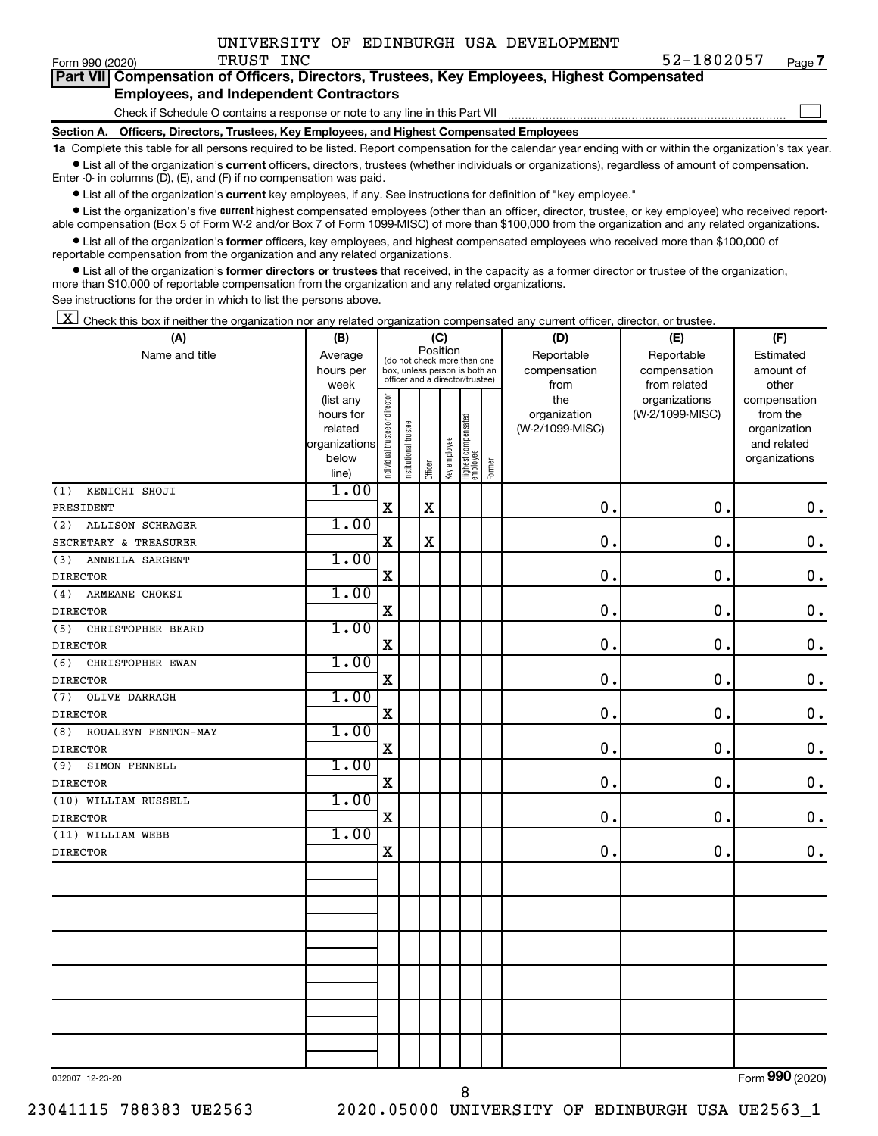| UNIVERSITY OF EDINBURGH USA DEVELOPMENT |
|-----------------------------------------|
|-----------------------------------------|

| Form 990 (2020) | TRUST INC                                                                                  | 52-1802057 | Page |
|-----------------|--------------------------------------------------------------------------------------------|------------|------|
|                 | Part VII Compensation of Officers, Directors, Trustees, Key Employees, Highest Compensated |            |      |

#### **Employees, and Independent Contractors**

Check if Schedule O contains a response or note to any line in this Part VII

**Section A. Officers, Directors, Trustees, Key Employees, and Highest Compensated Employees**

**1a**  Complete this table for all persons required to be listed. Report compensation for the calendar year ending with or within the organization's tax year.  $\bullet$  List all of the organization's current officers, directors, trustees (whether individuals or organizations), regardless of amount of compensation.

Enter -0- in columns (D), (E), and (F) if no compensation was paid.

**•** List all of the organization's current key employees, if any. See instructions for definition of "key employee."

• List the organization's five *current* highest compensated employees (other than an officer, director, trustee, or key employee) who received reportable compensation (Box 5 of Form W-2 and/or Box 7 of Form 1099-MISC) of more than \$100,000 from the organization and any related organizations.

 $\bullet$  List all of the organization's former officers, key employees, and highest compensated employees who received more than \$100,000 of reportable compensation from the organization and any related organizations.

**•** List all of the organization's former directors or trustees that received, in the capacity as a former director or trustee of the organization, more than \$10,000 of reportable compensation from the organization and any related organizations.

See instructions for the order in which to list the persons above.

 $\boxed{\textbf{X}}$  Check this box if neither the organization nor any related organization compensated any current officer, director, or trustee.

| (A)                            | (B)                    | (C)                            |                                                                  |             |              |                                 |        | (D)             | (E)                           | (F)                      |  |  |
|--------------------------------|------------------------|--------------------------------|------------------------------------------------------------------|-------------|--------------|---------------------------------|--------|-----------------|-------------------------------|--------------------------|--|--|
| Name and title                 | Average                |                                |                                                                  | Position    |              | (do not check more than one     |        | Reportable      | Reportable                    | Estimated                |  |  |
|                                | hours per              |                                | box, unless person is both an<br>officer and a director/trustee) |             |              |                                 |        | compensation    | compensation                  | amount of                |  |  |
|                                | week                   |                                |                                                                  |             |              |                                 |        | from<br>the     | from related<br>organizations | other                    |  |  |
|                                | (list any<br>hours for |                                |                                                                  |             |              |                                 |        | organization    | (W-2/1099-MISC)               | compensation<br>from the |  |  |
|                                | related                |                                |                                                                  |             |              |                                 |        | (W-2/1099-MISC) |                               | organization             |  |  |
|                                | organizations          |                                |                                                                  |             |              |                                 |        |                 |                               | and related              |  |  |
|                                | below                  | Individual trustee or director | Institutional trustee                                            |             | Key employee | Highest compensated<br>employee |        |                 |                               | organizations            |  |  |
|                                | line)                  |                                |                                                                  | Officer     |              |                                 | Former |                 |                               |                          |  |  |
| KENICHI SHOJI<br>(1)           | 1.00                   |                                |                                                                  |             |              |                                 |        |                 |                               |                          |  |  |
| PRESIDENT                      |                        | $\mathbf X$                    |                                                                  | $\mathbf X$ |              |                                 |        | $\mathbf 0$ .   | 0.                            | $\boldsymbol{0}$ .       |  |  |
| (2)<br><b>ALLISON SCHRAGER</b> | 1.00                   |                                |                                                                  |             |              |                                 |        |                 |                               |                          |  |  |
| SECRETARY & TREASURER          |                        | $\mathbf X$                    |                                                                  | $\mathbf X$ |              |                                 |        | 0               | $\mathbf 0$ .                 | $\mathbf 0$ .            |  |  |
| ANNEILA SARGENT<br>(3)         | 1.00                   |                                |                                                                  |             |              |                                 |        |                 |                               |                          |  |  |
| <b>DIRECTOR</b>                |                        | $\mathbf X$                    |                                                                  |             |              |                                 |        | $\mathbf 0$     | 0.                            | $\mathbf 0$ .            |  |  |
| ARMEANE CHOKSI<br>(4)          | 1.00                   |                                |                                                                  |             |              |                                 |        |                 |                               |                          |  |  |
| <b>DIRECTOR</b>                |                        | $\mathbf X$                    |                                                                  |             |              |                                 |        | $\mathbf 0$     | $\mathbf 0$ .                 | $\mathbf 0$ .            |  |  |
| CHRISTOPHER BEARD<br>(5)       | 1.00                   |                                |                                                                  |             |              |                                 |        |                 |                               |                          |  |  |
| <b>DIRECTOR</b>                |                        | X                              |                                                                  |             |              |                                 |        | $\mathbf 0$     | $\mathbf 0$ .                 | $\mathbf 0$ .            |  |  |
| (6)<br>CHRISTOPHER EWAN        | 1.00                   |                                |                                                                  |             |              |                                 |        |                 |                               |                          |  |  |
| <b>DIRECTOR</b>                |                        | $\mathbf X$                    |                                                                  |             |              |                                 |        | 0               | $\mathbf 0$ .                 | $0$ .                    |  |  |
| OLIVE DARRAGH<br>(7)           | 1.00                   |                                |                                                                  |             |              |                                 |        |                 |                               |                          |  |  |
| <b>DIRECTOR</b>                |                        | $\mathbf X$                    |                                                                  |             |              |                                 |        | $\mathbf 0$     | $\mathbf 0$ .                 | $\mathbf 0$ .            |  |  |
| ROUALEYN FENTON-MAY<br>(8)     | 1.00                   |                                |                                                                  |             |              |                                 |        |                 |                               |                          |  |  |
| <b>DIRECTOR</b>                |                        | $\mathbf X$                    |                                                                  |             |              |                                 |        | 0.              | $\mathbf 0$ .                 | $0$ .                    |  |  |
| SIMON FENNELL<br>(9)           | 1.00                   |                                |                                                                  |             |              |                                 |        |                 |                               |                          |  |  |
| <b>DIRECTOR</b>                |                        | $\mathbf X$                    |                                                                  |             |              |                                 |        | $\mathbf 0$     | $\mathbf 0$ .                 | $\mathbf 0$ .            |  |  |
| (10) WILLIAM RUSSELL           | 1.00                   |                                |                                                                  |             |              |                                 |        |                 |                               |                          |  |  |
| <b>DIRECTOR</b>                |                        | $\mathbf X$                    |                                                                  |             |              |                                 |        | $\mathbf 0$     | $\mathbf 0$ .                 | 0.                       |  |  |
| (11) WILLIAM WEBB              | 1.00                   |                                |                                                                  |             |              |                                 |        |                 |                               |                          |  |  |
| <b>DIRECTOR</b>                |                        | $\mathbf X$                    |                                                                  |             |              |                                 |        | $\mathbf 0$     | 0.                            | $\mathbf 0$ .            |  |  |
|                                |                        |                                |                                                                  |             |              |                                 |        |                 |                               |                          |  |  |
|                                |                        |                                |                                                                  |             |              |                                 |        |                 |                               |                          |  |  |
|                                |                        |                                |                                                                  |             |              |                                 |        |                 |                               |                          |  |  |
|                                |                        |                                |                                                                  |             |              |                                 |        |                 |                               |                          |  |  |
|                                |                        |                                |                                                                  |             |              |                                 |        |                 |                               |                          |  |  |
|                                |                        |                                |                                                                  |             |              |                                 |        |                 |                               |                          |  |  |
|                                |                        |                                |                                                                  |             |              |                                 |        |                 |                               |                          |  |  |
|                                |                        |                                |                                                                  |             |              |                                 |        |                 |                               |                          |  |  |
|                                |                        |                                |                                                                  |             |              |                                 |        |                 |                               |                          |  |  |
|                                |                        |                                |                                                                  |             |              |                                 |        |                 |                               |                          |  |  |
|                                |                        |                                |                                                                  |             |              |                                 |        |                 |                               |                          |  |  |
|                                |                        |                                |                                                                  |             |              |                                 |        |                 |                               |                          |  |  |

8

032007 12-23-20

Form (2020) **990**

**7**

 $\Box$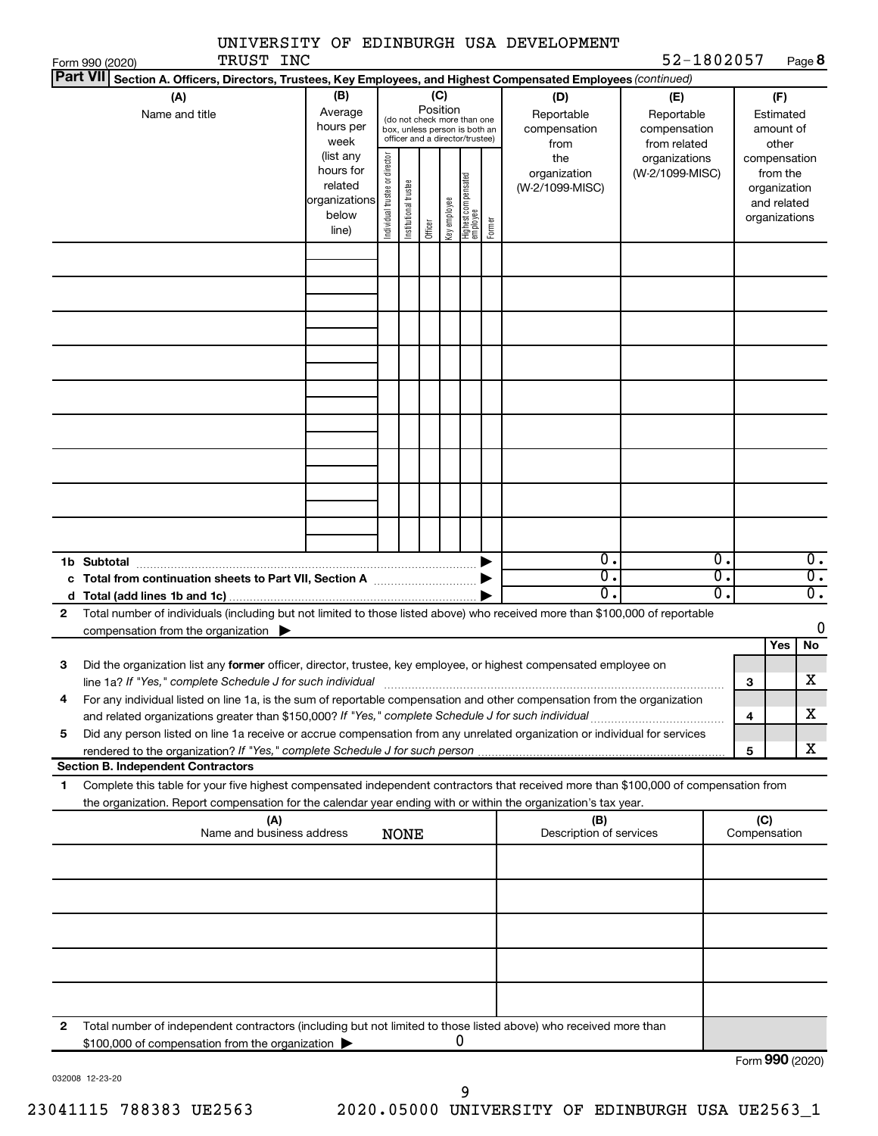|                                                                                                                                                                                                                                                             |                                                                                                                                                                                                                                                                                                                                                                                           |  |             |                 |                             |                                                                                   | UNIVERSITY OF EDINBURGH USA DEVELOPMENT         |                                   |          |                     |                                      |
|-------------------------------------------------------------------------------------------------------------------------------------------------------------------------------------------------------------------------------------------------------------|-------------------------------------------------------------------------------------------------------------------------------------------------------------------------------------------------------------------------------------------------------------------------------------------------------------------------------------------------------------------------------------------|--|-------------|-----------------|-----------------------------|-----------------------------------------------------------------------------------|-------------------------------------------------|-----------------------------------|----------|---------------------|--------------------------------------|
| TRUST INC<br>Form 990 (2020)<br><b>Part VII</b>                                                                                                                                                                                                             |                                                                                                                                                                                                                                                                                                                                                                                           |  |             |                 |                             |                                                                                   |                                                 | 52-1802057                        |          |                     | Page 8                               |
| Section A. Officers, Directors, Trustees, Key Employees, and Highest Compensated Employees (continued)<br>(A)<br>Name and title                                                                                                                             | (B)<br>Average<br>hours per                                                                                                                                                                                                                                                                                                                                                               |  |             | (C)<br>Position | (do not check more than one |                                                                                   | (D)<br>Reportable<br>compensation               | (E)<br>Reportable<br>compensation |          |                     | (F)<br>Estimated<br>amount of        |
|                                                                                                                                                                                                                                                             | box, unless person is both an<br>officer and a director/trustee)<br>week<br>from related<br>from<br>(list any<br>Individual trustee or director<br>the<br>organizations<br>hours for<br>(W-2/1099-MISC)<br>organization<br>Highest compensated<br>employee<br>Institutional trustee<br>related<br>(W-2/1099-MISC)<br>organizations<br>Key employee<br>below<br>Former<br>Officer<br>line) |  |             |                 |                             | other<br>compensation<br>from the<br>organization<br>and related<br>organizations |                                                 |                                   |          |                     |                                      |
|                                                                                                                                                                                                                                                             |                                                                                                                                                                                                                                                                                                                                                                                           |  |             |                 |                             |                                                                                   |                                                 |                                   |          |                     |                                      |
|                                                                                                                                                                                                                                                             |                                                                                                                                                                                                                                                                                                                                                                                           |  |             |                 |                             |                                                                                   |                                                 |                                   |          |                     |                                      |
|                                                                                                                                                                                                                                                             |                                                                                                                                                                                                                                                                                                                                                                                           |  |             |                 |                             |                                                                                   |                                                 |                                   |          |                     |                                      |
|                                                                                                                                                                                                                                                             |                                                                                                                                                                                                                                                                                                                                                                                           |  |             |                 |                             |                                                                                   |                                                 |                                   |          |                     |                                      |
|                                                                                                                                                                                                                                                             |                                                                                                                                                                                                                                                                                                                                                                                           |  |             |                 |                             |                                                                                   |                                                 |                                   |          |                     |                                      |
| 1b Subtotal<br>c Total from continuation sheets to Part VII, Section A manuscription.                                                                                                                                                                       |                                                                                                                                                                                                                                                                                                                                                                                           |  |             |                 |                             | $\blacktriangleright$<br>▶                                                        | $\overline{\mathfrak{o}}$ .<br>$\overline{0}$ . |                                   | Ο.<br>Ο. |                     | $\overline{0}$ .<br>$\overline{0}$ . |
| Total number of individuals (including but not limited to those listed above) who received more than \$100,000 of reportable<br>2                                                                                                                           |                                                                                                                                                                                                                                                                                                                                                                                           |  |             |                 |                             |                                                                                   | 0.                                              |                                   | σ.       |                     | $\overline{0}$ .<br>0                |
| compensation from the organization $\blacktriangleright$<br>Did the organization list any <b>former</b> officer, director, trustee, key employee, or highest compensated employee on<br>З                                                                   |                                                                                                                                                                                                                                                                                                                                                                                           |  |             |                 |                             |                                                                                   |                                                 |                                   |          |                     | Yes<br>No                            |
| line 1a? If "Yes," complete Schedule J for such individual<br>For any individual listed on line 1a, is the sum of reportable compensation and other compensation from the organization<br>4                                                                 |                                                                                                                                                                                                                                                                                                                                                                                           |  |             |                 |                             |                                                                                   |                                                 |                                   |          | 3                   | X                                    |
| and related organizations greater than \$150,000? If "Yes," complete Schedule J for such individual<br>Did any person listed on line 1a receive or accrue compensation from any unrelated organization or individual for services<br>5                      |                                                                                                                                                                                                                                                                                                                                                                                           |  |             |                 |                             |                                                                                   |                                                 |                                   |          | 4                   | х                                    |
| rendered to the organization? If "Yes," complete Schedule J for such person manufactured to the organization? If "Yes," complete Schedule J for such person manufactured and the organization?<br><b>Section B. Independent Contractors</b>                 |                                                                                                                                                                                                                                                                                                                                                                                           |  |             |                 |                             |                                                                                   |                                                 |                                   |          | 5                   | х                                    |
| Complete this table for your five highest compensated independent contractors that received more than \$100,000 of compensation from<br>1<br>the organization. Report compensation for the calendar year ending with or within the organization's tax year. |                                                                                                                                                                                                                                                                                                                                                                                           |  |             |                 |                             |                                                                                   |                                                 |                                   |          |                     |                                      |
| (A)<br>Name and business address                                                                                                                                                                                                                            |                                                                                                                                                                                                                                                                                                                                                                                           |  | <b>NONE</b> |                 |                             |                                                                                   | (B)<br>Description of services                  |                                   |          | (C)<br>Compensation |                                      |
|                                                                                                                                                                                                                                                             |                                                                                                                                                                                                                                                                                                                                                                                           |  |             |                 |                             |                                                                                   |                                                 |                                   |          |                     |                                      |
|                                                                                                                                                                                                                                                             |                                                                                                                                                                                                                                                                                                                                                                                           |  |             |                 |                             |                                                                                   |                                                 |                                   |          |                     |                                      |
|                                                                                                                                                                                                                                                             |                                                                                                                                                                                                                                                                                                                                                                                           |  |             |                 |                             |                                                                                   |                                                 |                                   |          |                     |                                      |
|                                                                                                                                                                                                                                                             |                                                                                                                                                                                                                                                                                                                                                                                           |  |             |                 |                             |                                                                                   |                                                 |                                   |          |                     |                                      |
| Total number of independent contractors (including but not limited to those listed above) who received more than<br>2<br>\$100,000 of compensation from the organization                                                                                    |                                                                                                                                                                                                                                                                                                                                                                                           |  |             |                 | U                           |                                                                                   |                                                 |                                   |          |                     |                                      |

9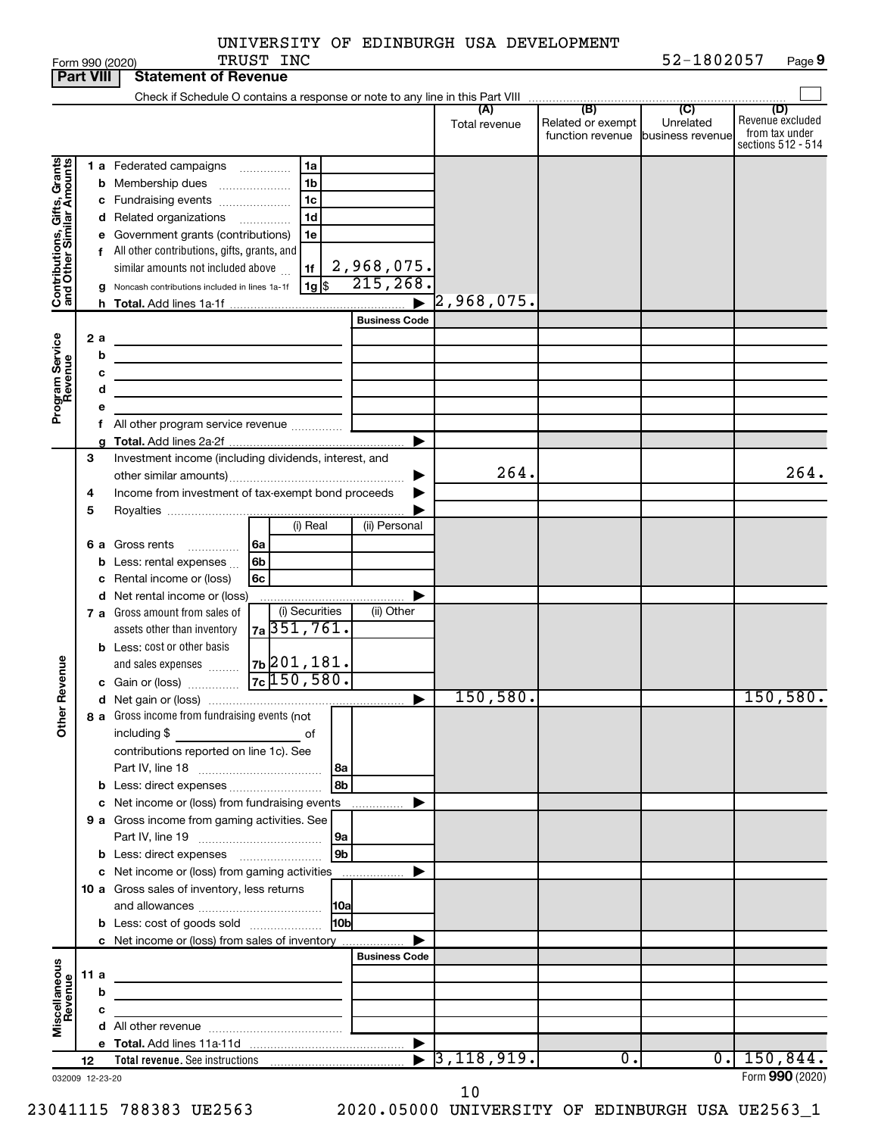|  |  | UNIVERSITY OF EDINBURGH USA DEVELOPMENT |
|--|--|-----------------------------------------|
|  |  |                                         |

|                              |    |      | TRUST INC<br>Form 990 (2020)                                                                                          |                       |                         |                                   | 52-1802057       | Page 9                  |
|------------------------------|----|------|-----------------------------------------------------------------------------------------------------------------------|-----------------------|-------------------------|-----------------------------------|------------------|-------------------------|
| <b>Part VIII</b>             |    |      | <b>Statement of Revenue</b>                                                                                           |                       |                         |                                   |                  |                         |
|                              |    |      | Check if Schedule O contains a response or note to any line in this Part VIII                                         |                       |                         |                                   |                  |                         |
|                              |    |      |                                                                                                                       |                       | (A)                     | (B)<br>Related or exempt          | (C)<br>Unrelated | (D)<br>Revenue excluded |
|                              |    |      |                                                                                                                       |                       | Total revenue           | function revenue business revenue |                  | from tax under          |
|                              |    |      |                                                                                                                       |                       |                         |                                   |                  | sections 512 - 514      |
| Contributions, Gifts, Grants |    |      | 1a<br>1 a Federated campaigns                                                                                         |                       |                         |                                   |                  |                         |
|                              |    | b    | 1 <sub>b</sub><br>Membership dues<br>$\overline{\phantom{a}}$                                                         |                       |                         |                                   |                  |                         |
|                              |    |      | 1 <sub>c</sub><br>c Fundraising events                                                                                |                       |                         |                                   |                  |                         |
|                              |    |      | 1 <sub>d</sub><br>d Related organizations                                                                             |                       |                         |                                   |                  |                         |
|                              |    |      | e Government grants (contributions)<br>1e                                                                             |                       |                         |                                   |                  |                         |
|                              |    |      | f All other contributions, gifts, grants, and                                                                         |                       |                         |                                   |                  |                         |
|                              |    |      | similar amounts not included above<br>1f                                                                              | 2,968,075.            |                         |                                   |                  |                         |
|                              |    |      | $1g$ \$<br>g Noncash contributions included in lines 1a-1f                                                            | 215, 268              |                         |                                   |                  |                         |
|                              |    |      |                                                                                                                       |                       | $\rceil$ 2,968,075.     |                                   |                  |                         |
|                              |    |      |                                                                                                                       | <b>Business Code</b>  |                         |                                   |                  |                         |
|                              |    | 2a   |                                                                                                                       |                       |                         |                                   |                  |                         |
|                              |    | b    |                                                                                                                       |                       |                         |                                   |                  |                         |
|                              |    | с    | the control of the control of the control of the control of the control of                                            |                       |                         |                                   |                  |                         |
|                              |    |      |                                                                                                                       |                       |                         |                                   |                  |                         |
| Program Service<br>Revenue   |    | d    | <u> 1989 - Johann Barbara, martin amerikan basar dan berasal dalam basar dalam basar dalam basar dalam basar dala</u> |                       |                         |                                   |                  |                         |
|                              |    | е    |                                                                                                                       |                       |                         |                                   |                  |                         |
|                              |    |      |                                                                                                                       |                       |                         |                                   |                  |                         |
|                              |    | g    |                                                                                                                       |                       |                         |                                   |                  |                         |
|                              | 3  |      | Investment income (including dividends, interest, and                                                                 |                       | 264.                    |                                   |                  | 264.                    |
|                              |    |      |                                                                                                                       |                       |                         |                                   |                  |                         |
|                              | 4  |      | Income from investment of tax-exempt bond proceeds                                                                    |                       |                         |                                   |                  |                         |
|                              | 5  |      |                                                                                                                       |                       |                         |                                   |                  |                         |
|                              |    |      | (i) Real                                                                                                              | (ii) Personal         |                         |                                   |                  |                         |
|                              |    |      | 6 a Gross rents<br>6a<br>.                                                                                            |                       |                         |                                   |                  |                         |
|                              |    | b    | 6b<br>Less: rental expenses                                                                                           |                       |                         |                                   |                  |                         |
|                              |    | с    | 6c<br>Rental income or (loss)                                                                                         |                       |                         |                                   |                  |                         |
|                              |    |      | d Net rental income or (loss)                                                                                         |                       |                         |                                   |                  |                         |
|                              |    |      | (i) Securities<br>7 a Gross amount from sales of                                                                      | (ii) Other            |                         |                                   |                  |                         |
|                              |    |      | 7a 351, 761.<br>assets other than inventory                                                                           |                       |                         |                                   |                  |                         |
|                              |    |      | <b>b</b> Less: cost or other basis                                                                                    |                       |                         |                                   |                  |                         |
|                              |    |      | $7b$ 201, 181.<br>and sales expenses                                                                                  |                       |                         |                                   |                  |                         |
| evenue                       |    |      | $7c$ 150,580.<br>c Gain or (loss)                                                                                     |                       |                         |                                   |                  |                         |
| œ                            |    |      |                                                                                                                       |                       | 150, 580.               |                                   |                  | 150, 580.               |
| Other                        |    |      | 8 a Gross income from fundraising events (not                                                                         |                       |                         |                                   |                  |                         |
|                              |    |      | including \$<br>of                                                                                                    |                       |                         |                                   |                  |                         |
|                              |    |      | contributions reported on line 1c). See                                                                               |                       |                         |                                   |                  |                         |
|                              |    |      |                                                                                                                       |                       |                         |                                   |                  |                         |
|                              |    |      | 8b                                                                                                                    |                       |                         |                                   |                  |                         |
|                              |    |      | c Net income or (loss) from fundraising events                                                                        |                       |                         |                                   |                  |                         |
|                              |    |      | 9 a Gross income from gaming activities. See                                                                          |                       |                         |                                   |                  |                         |
|                              |    |      | 9a                                                                                                                    |                       |                         |                                   |                  |                         |
|                              |    |      | 9 <sub>b</sub><br><b>b</b> Less: direct expenses <b>manually</b>                                                      |                       |                         |                                   |                  |                         |
|                              |    |      | c Net income or (loss) from gaming activities                                                                         |                       |                         |                                   |                  |                         |
|                              |    |      | 10 a Gross sales of inventory, less returns                                                                           |                       |                         |                                   |                  |                         |
|                              |    |      |                                                                                                                       |                       |                         |                                   |                  |                         |
|                              |    |      | 10 <sub>b</sub><br><b>b</b> Less: cost of goods sold                                                                  |                       |                         |                                   |                  |                         |
|                              |    |      | c Net income or (loss) from sales of inventory                                                                        |                       |                         |                                   |                  |                         |
|                              |    |      |                                                                                                                       | <b>Business Code</b>  |                         |                                   |                  |                         |
|                              |    | 11 a |                                                                                                                       |                       |                         |                                   |                  |                         |
|                              |    | b    |                                                                                                                       |                       |                         |                                   |                  |                         |
|                              |    | с    |                                                                                                                       |                       |                         |                                   |                  |                         |
| Miscellaneous<br>Revenue     |    |      |                                                                                                                       |                       |                         |                                   |                  |                         |
|                              |    |      |                                                                                                                       | $\blacktriangleright$ |                         |                                   |                  |                         |
|                              | 12 |      |                                                                                                                       |                       | $\overline{3,118,919.}$ | О.                                | $0$ .            | 150,844.                |
| 032009 12-23-20              |    |      |                                                                                                                       |                       |                         |                                   |                  | Form 990 (2020)         |

10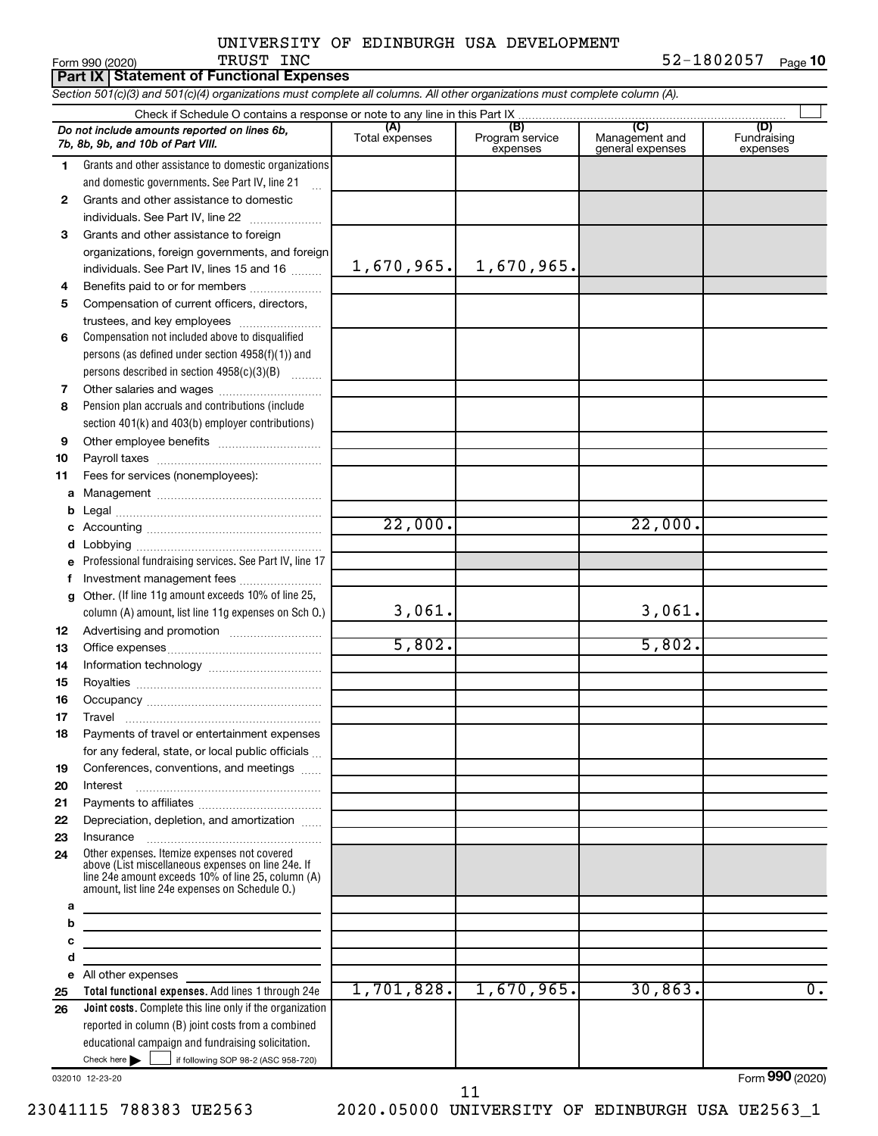Form 990 (2020) Page **10** TRUST INC 52-1802057

|              | <b>Part IX Statement of Functional Expenses</b>                                                                                                          |                       |                                    |                                           |                                |  |  |  |  |  |  |
|--------------|----------------------------------------------------------------------------------------------------------------------------------------------------------|-----------------------|------------------------------------|-------------------------------------------|--------------------------------|--|--|--|--|--|--|
|              | Section 501(c)(3) and 501(c)(4) organizations must complete all columns. All other organizations must complete column (A).                               |                       |                                    |                                           |                                |  |  |  |  |  |  |
|              |                                                                                                                                                          |                       |                                    |                                           |                                |  |  |  |  |  |  |
|              | Do not include amounts reported on lines 6b,<br>7b, 8b, 9b, and 10b of Part VIII.                                                                        | (A)<br>Total expenses | (B)<br>Program service<br>expenses | (C)<br>Management and<br>general expenses | (D)<br>Fundraising<br>expenses |  |  |  |  |  |  |
| 1.           | Grants and other assistance to domestic organizations                                                                                                    |                       |                                    |                                           |                                |  |  |  |  |  |  |
|              | and domestic governments. See Part IV, line 21                                                                                                           |                       |                                    |                                           |                                |  |  |  |  |  |  |
| $\mathbf{2}$ | Grants and other assistance to domestic                                                                                                                  |                       |                                    |                                           |                                |  |  |  |  |  |  |
|              | individuals. See Part IV, line 22                                                                                                                        |                       |                                    |                                           |                                |  |  |  |  |  |  |
| 3            | Grants and other assistance to foreign                                                                                                                   |                       |                                    |                                           |                                |  |  |  |  |  |  |
|              | organizations, foreign governments, and foreign                                                                                                          |                       |                                    |                                           |                                |  |  |  |  |  |  |
|              | individuals. See Part IV, lines 15 and 16                                                                                                                | 1,670,965.            | 1,670,965.                         |                                           |                                |  |  |  |  |  |  |
| 4            | Benefits paid to or for members                                                                                                                          |                       |                                    |                                           |                                |  |  |  |  |  |  |
| 5            | Compensation of current officers, directors,                                                                                                             |                       |                                    |                                           |                                |  |  |  |  |  |  |
|              | trustees, and key employees                                                                                                                              |                       |                                    |                                           |                                |  |  |  |  |  |  |
| 6            | Compensation not included above to disqualified                                                                                                          |                       |                                    |                                           |                                |  |  |  |  |  |  |
|              | persons (as defined under section 4958(f)(1)) and                                                                                                        |                       |                                    |                                           |                                |  |  |  |  |  |  |
|              | persons described in section $4958(c)(3)(B)$                                                                                                             |                       |                                    |                                           |                                |  |  |  |  |  |  |
| 7            |                                                                                                                                                          |                       |                                    |                                           |                                |  |  |  |  |  |  |
| 8            | Pension plan accruals and contributions (include                                                                                                         |                       |                                    |                                           |                                |  |  |  |  |  |  |
|              | section 401(k) and 403(b) employer contributions)                                                                                                        |                       |                                    |                                           |                                |  |  |  |  |  |  |
| 9            |                                                                                                                                                          |                       |                                    |                                           |                                |  |  |  |  |  |  |
| 10           |                                                                                                                                                          |                       |                                    |                                           |                                |  |  |  |  |  |  |
| 11           | Fees for services (nonemployees):                                                                                                                        |                       |                                    |                                           |                                |  |  |  |  |  |  |
| а            |                                                                                                                                                          |                       |                                    |                                           |                                |  |  |  |  |  |  |
| b            |                                                                                                                                                          | 22,000.               |                                    | 22,000.                                   |                                |  |  |  |  |  |  |
| с            |                                                                                                                                                          |                       |                                    |                                           |                                |  |  |  |  |  |  |
| d            | Professional fundraising services. See Part IV, line 17                                                                                                  |                       |                                    |                                           |                                |  |  |  |  |  |  |
| е<br>f       | Investment management fees                                                                                                                               |                       |                                    |                                           |                                |  |  |  |  |  |  |
| g            | Other. (If line 11g amount exceeds 10% of line 25,                                                                                                       |                       |                                    |                                           |                                |  |  |  |  |  |  |
|              | column (A) amount, list line 11g expenses on Sch O.)                                                                                                     | 3,061.                |                                    | 3,061.                                    |                                |  |  |  |  |  |  |
| 12           | Advertising and promotion <i>manually contained</i>                                                                                                      |                       |                                    |                                           |                                |  |  |  |  |  |  |
| 13           |                                                                                                                                                          | 5,802.                |                                    | 5,802.                                    |                                |  |  |  |  |  |  |
| 14           |                                                                                                                                                          |                       |                                    |                                           |                                |  |  |  |  |  |  |
| 15           |                                                                                                                                                          |                       |                                    |                                           |                                |  |  |  |  |  |  |
| 16           |                                                                                                                                                          |                       |                                    |                                           |                                |  |  |  |  |  |  |
| 17           | Travel                                                                                                                                                   |                       |                                    |                                           |                                |  |  |  |  |  |  |
| 18           | Payments of travel or entertainment expenses                                                                                                             |                       |                                    |                                           |                                |  |  |  |  |  |  |
|              | for any federal, state, or local public officials                                                                                                        |                       |                                    |                                           |                                |  |  |  |  |  |  |
| 19           | Conferences, conventions, and meetings                                                                                                                   |                       |                                    |                                           |                                |  |  |  |  |  |  |
| 20           | Interest                                                                                                                                                 |                       |                                    |                                           |                                |  |  |  |  |  |  |
| 21           |                                                                                                                                                          |                       |                                    |                                           |                                |  |  |  |  |  |  |
| 22           | Depreciation, depletion, and amortization                                                                                                                |                       |                                    |                                           |                                |  |  |  |  |  |  |
| 23           |                                                                                                                                                          |                       |                                    |                                           |                                |  |  |  |  |  |  |
| 24           | Other expenses. Itemize expenses not covered<br>above (List miscellaneous expenses on line 24e. If<br>line 24e amount exceeds 10% of line 25, column (A) |                       |                                    |                                           |                                |  |  |  |  |  |  |
|              | amount, list line 24e expenses on Schedule 0.)                                                                                                           |                       |                                    |                                           |                                |  |  |  |  |  |  |
| а            |                                                                                                                                                          |                       |                                    |                                           |                                |  |  |  |  |  |  |
| b            |                                                                                                                                                          |                       |                                    |                                           |                                |  |  |  |  |  |  |
| с<br>d       |                                                                                                                                                          |                       |                                    |                                           |                                |  |  |  |  |  |  |
| е            | All other expenses                                                                                                                                       |                       |                                    |                                           |                                |  |  |  |  |  |  |
| 25           | Total functional expenses. Add lines 1 through 24e                                                                                                       | 1,701,828.            | 1,670,965.                         | 30,863.                                   | $\overline{0}$ .               |  |  |  |  |  |  |
| 26           | Joint costs. Complete this line only if the organization                                                                                                 |                       |                                    |                                           |                                |  |  |  |  |  |  |
|              | reported in column (B) joint costs from a combined                                                                                                       |                       |                                    |                                           |                                |  |  |  |  |  |  |
|              | educational campaign and fundraising solicitation.                                                                                                       |                       |                                    |                                           |                                |  |  |  |  |  |  |
|              | Check here $\blacktriangleright$<br>if following SOP 98-2 (ASC 958-720)                                                                                  |                       |                                    |                                           |                                |  |  |  |  |  |  |

032010 12-23-20

23041115 788383 UE2563 2020.05000 UNIVERSITY OF EDINBURGH USA UE2563\_1 11

Form (2020) **990**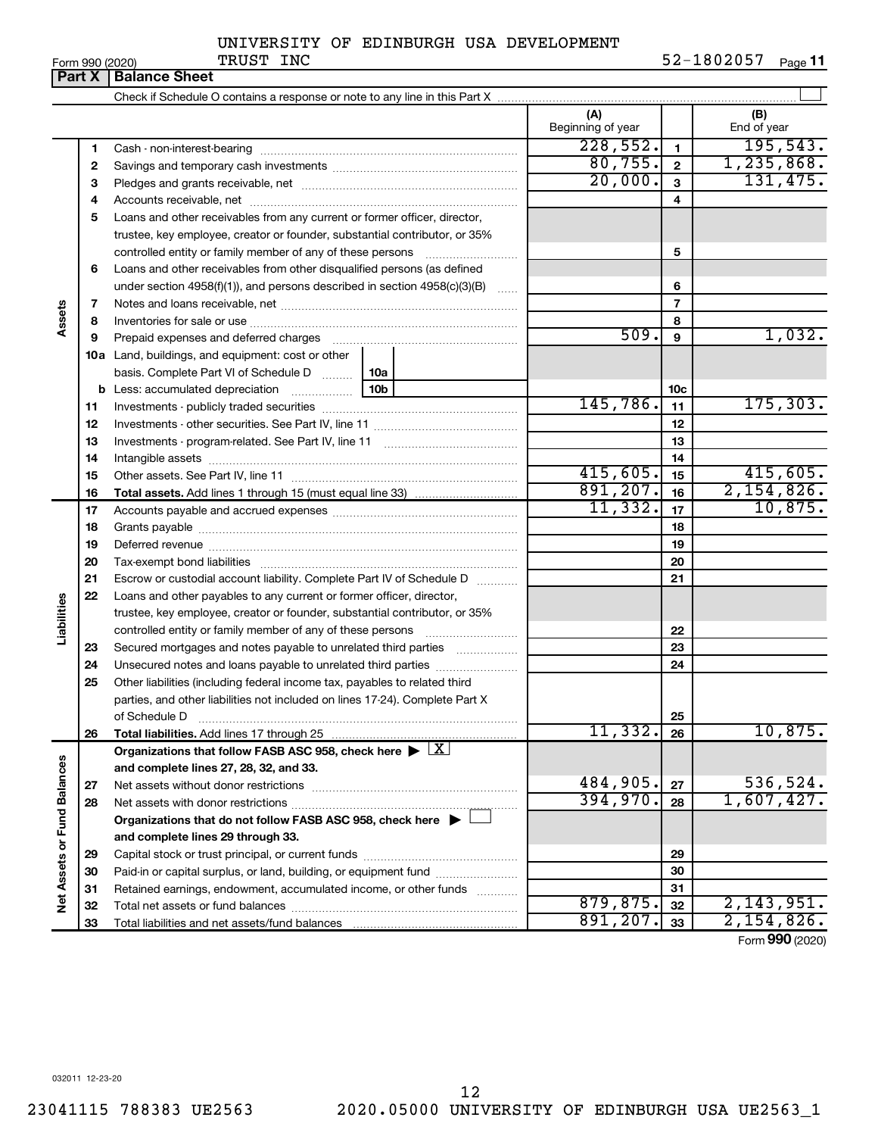| Form 990 (2020 |  |  |
|----------------|--|--|

|                             | Part X | <b>Balance Sheet</b>                                                                                                                                                                                                           |                          |                |                    |  |  |  |  |  |  |  |
|-----------------------------|--------|--------------------------------------------------------------------------------------------------------------------------------------------------------------------------------------------------------------------------------|--------------------------|----------------|--------------------|--|--|--|--|--|--|--|
|                             |        |                                                                                                                                                                                                                                |                          |                |                    |  |  |  |  |  |  |  |
|                             |        |                                                                                                                                                                                                                                | (A)<br>Beginning of year |                | (B)<br>End of year |  |  |  |  |  |  |  |
|                             | 1      |                                                                                                                                                                                                                                | 228,552.                 | $\mathbf{1}$   | 195, 543.          |  |  |  |  |  |  |  |
|                             | 2      |                                                                                                                                                                                                                                | 80,755.                  | $\mathbf{2}$   | 1,235,868.         |  |  |  |  |  |  |  |
|                             | з      |                                                                                                                                                                                                                                | 20,000.                  | 3              | 131,475.           |  |  |  |  |  |  |  |
|                             | 4      |                                                                                                                                                                                                                                |                          | 4              |                    |  |  |  |  |  |  |  |
|                             | 5      | Loans and other receivables from any current or former officer, director,                                                                                                                                                      |                          |                |                    |  |  |  |  |  |  |  |
|                             |        | trustee, key employee, creator or founder, substantial contributor, or 35%                                                                                                                                                     |                          |                |                    |  |  |  |  |  |  |  |
|                             |        |                                                                                                                                                                                                                                |                          | 5              |                    |  |  |  |  |  |  |  |
|                             | 6      | Loans and other receivables from other disqualified persons (as defined                                                                                                                                                        |                          |                |                    |  |  |  |  |  |  |  |
|                             |        | under section 4958(f)(1)), and persons described in section $4958(c)(3)(B)$                                                                                                                                                    |                          | 6              |                    |  |  |  |  |  |  |  |
|                             | 7      |                                                                                                                                                                                                                                |                          | $\overline{7}$ |                    |  |  |  |  |  |  |  |
| Assets                      | 8      |                                                                                                                                                                                                                                |                          | 8              |                    |  |  |  |  |  |  |  |
|                             | 9      | Prepaid expenses and deferred charges [11] matter continuum matter and referred charges [11] matter continuum matter continuum matter and continuum matter continuum matter continuum matter continuum matter continuum matter | 509.                     | 9              | 1,032.             |  |  |  |  |  |  |  |
|                             |        | <b>10a</b> Land, buildings, and equipment: cost or other                                                                                                                                                                       |                          |                |                    |  |  |  |  |  |  |  |
|                             |        | basis. Complete Part VI of Schedule D<br>10a                                                                                                                                                                                   |                          |                |                    |  |  |  |  |  |  |  |
|                             |        |                                                                                                                                                                                                                                |                          | 10c            |                    |  |  |  |  |  |  |  |
|                             | 11     |                                                                                                                                                                                                                                | 145,786.                 | 11             | 175, 303.          |  |  |  |  |  |  |  |
|                             | 12     |                                                                                                                                                                                                                                |                          | 12             |                    |  |  |  |  |  |  |  |
|                             | 13     |                                                                                                                                                                                                                                |                          | 13             |                    |  |  |  |  |  |  |  |
|                             | 14     |                                                                                                                                                                                                                                |                          | 14             |                    |  |  |  |  |  |  |  |
|                             | 15     |                                                                                                                                                                                                                                | 415,605.                 | 15             | 415,605.           |  |  |  |  |  |  |  |
|                             | 16     |                                                                                                                                                                                                                                | 891, 207.                | 16             | 2,154,826.         |  |  |  |  |  |  |  |
|                             | 17     |                                                                                                                                                                                                                                | 11,332.                  | 17             | 10,875.            |  |  |  |  |  |  |  |
|                             | 18     |                                                                                                                                                                                                                                |                          | 18             |                    |  |  |  |  |  |  |  |
|                             | 19     | Deferred revenue manual contracts and contracts are all the contracts and contracts are contracted and contracts are contracted and contract are contracted and contract are contracted and contract are contracted and contra |                          | 19             |                    |  |  |  |  |  |  |  |
|                             | 20     |                                                                                                                                                                                                                                |                          | 20             |                    |  |  |  |  |  |  |  |
|                             | 21     | Escrow or custodial account liability. Complete Part IV of Schedule D                                                                                                                                                          |                          | 21             |                    |  |  |  |  |  |  |  |
|                             | 22     | Loans and other payables to any current or former officer, director,                                                                                                                                                           |                          |                |                    |  |  |  |  |  |  |  |
| Liabilities                 |        | trustee, key employee, creator or founder, substantial contributor, or 35%                                                                                                                                                     |                          |                |                    |  |  |  |  |  |  |  |
|                             |        |                                                                                                                                                                                                                                |                          | 22             |                    |  |  |  |  |  |  |  |
|                             | 23     | Secured mortgages and notes payable to unrelated third parties                                                                                                                                                                 |                          | 23             |                    |  |  |  |  |  |  |  |
|                             | 24     |                                                                                                                                                                                                                                |                          | 24             |                    |  |  |  |  |  |  |  |
|                             | 25     | Other liabilities (including federal income tax, payables to related third                                                                                                                                                     |                          |                |                    |  |  |  |  |  |  |  |
|                             |        | parties, and other liabilities not included on lines 17-24). Complete Part X                                                                                                                                                   |                          |                |                    |  |  |  |  |  |  |  |
|                             |        | of Schedule D                                                                                                                                                                                                                  | 11,332.                  | 25             | 10,875.            |  |  |  |  |  |  |  |
|                             | 26     | Total liabilities. Add lines 17 through 25                                                                                                                                                                                     |                          | 26             |                    |  |  |  |  |  |  |  |
|                             |        | Organizations that follow FASB ASC 958, check here $\blacktriangleright \lfloor \underline{X} \rfloor$                                                                                                                         |                          |                |                    |  |  |  |  |  |  |  |
|                             |        | and complete lines 27, 28, 32, and 33.                                                                                                                                                                                         | 484,905.                 | 27             | 536,524.           |  |  |  |  |  |  |  |
|                             | 27     |                                                                                                                                                                                                                                | 394,970.                 | 28             | 1,607,427.         |  |  |  |  |  |  |  |
|                             | 28     | Organizations that do not follow FASB ASC 958, check here $\blacktriangleright \perp$                                                                                                                                          |                          |                |                    |  |  |  |  |  |  |  |
|                             |        |                                                                                                                                                                                                                                |                          |                |                    |  |  |  |  |  |  |  |
| Net Assets or Fund Balances | 29     | and complete lines 29 through 33.                                                                                                                                                                                              |                          | 29             |                    |  |  |  |  |  |  |  |
|                             | 30     | Paid-in or capital surplus, or land, building, or equipment fund                                                                                                                                                               |                          | 30             |                    |  |  |  |  |  |  |  |
|                             | 31     | Retained earnings, endowment, accumulated income, or other funds                                                                                                                                                               |                          | 31             |                    |  |  |  |  |  |  |  |
|                             | 32     |                                                                                                                                                                                                                                | 879, 875.                | 32             | 2,143,951.         |  |  |  |  |  |  |  |
|                             | 33     |                                                                                                                                                                                                                                | 891, 207.                | 33             | 2,154,826.         |  |  |  |  |  |  |  |
|                             |        |                                                                                                                                                                                                                                |                          |                |                    |  |  |  |  |  |  |  |

Form (2020) **990**

032011 12-23-20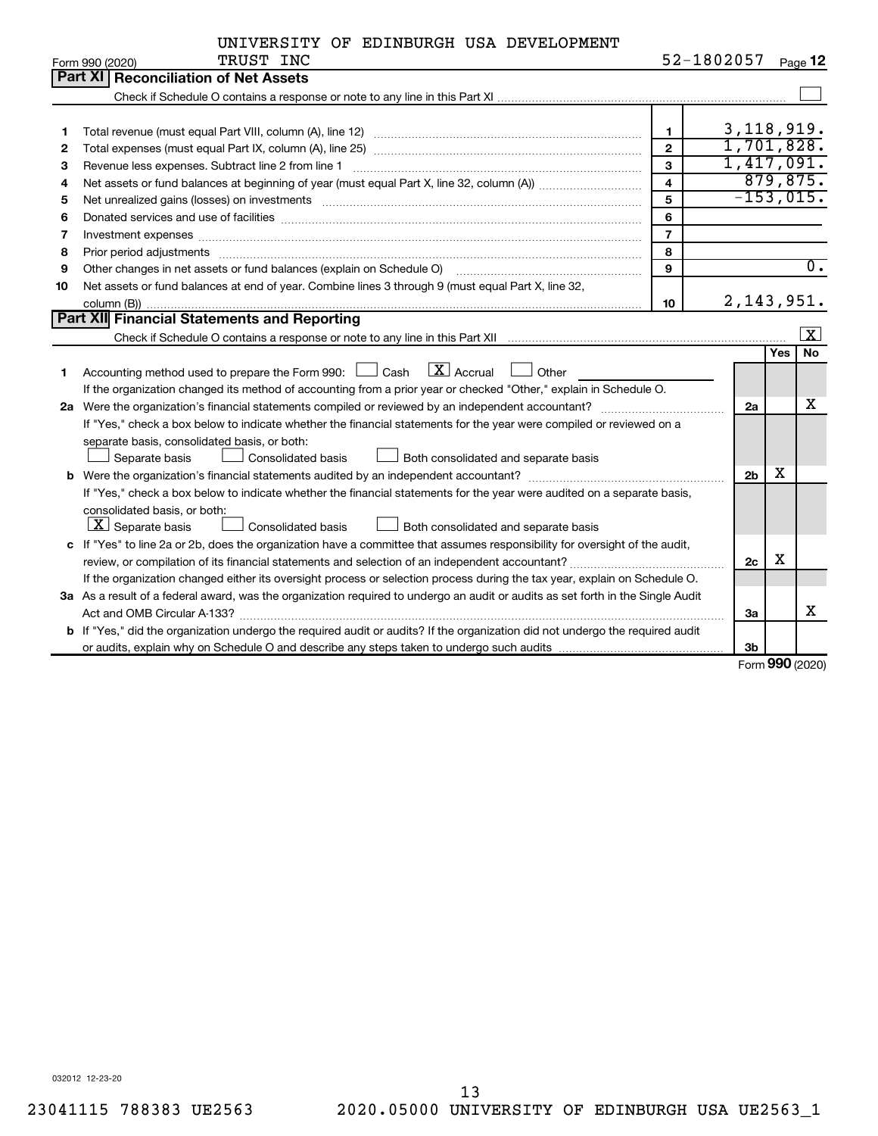|    | UNIVERSITY OF EDINBURGH USA DEVELOPMENT                                                                                         |                         |            |                |     |                         |  |  |  |
|----|---------------------------------------------------------------------------------------------------------------------------------|-------------------------|------------|----------------|-----|-------------------------|--|--|--|
|    | TRUST INC<br>Form 990 (2020)                                                                                                    |                         | 52-1802057 |                |     | Page 12                 |  |  |  |
|    | Part XI   Reconciliation of Net Assets                                                                                          |                         |            |                |     |                         |  |  |  |
|    |                                                                                                                                 |                         |            |                |     |                         |  |  |  |
|    |                                                                                                                                 |                         |            |                |     |                         |  |  |  |
| 1  |                                                                                                                                 | 1 <sup>1</sup>          |            |                |     | 3, 118, 919.            |  |  |  |
| 2  | 1,701,828.<br>$\mathbf{2}$                                                                                                      |                         |            |                |     |                         |  |  |  |
| З  |                                                                                                                                 | $\mathbf{3}$            |            |                |     | 1,417,091.              |  |  |  |
| 4  |                                                                                                                                 | $\overline{\mathbf{4}}$ |            |                |     | 879, 875.               |  |  |  |
| 5  |                                                                                                                                 | 5                       |            |                |     | $-153,015.$             |  |  |  |
| 6  |                                                                                                                                 | 6                       |            |                |     |                         |  |  |  |
| 7  | Investment expenses www.communication.com/www.communication.com/www.communication.com/www.com                                   | $\overline{7}$          |            |                |     |                         |  |  |  |
| 8  | Prior period adjustments                                                                                                        | 8                       |            |                |     |                         |  |  |  |
| 9  | Other changes in net assets or fund balances (explain on Schedule O)                                                            | 9                       |            |                |     | $\overline{0}$ .        |  |  |  |
| 10 | Net assets or fund balances at end of year. Combine lines 3 through 9 (must equal Part X, line 32,                              |                         |            |                |     |                         |  |  |  |
|    | 2, 143, 951.<br>10                                                                                                              |                         |            |                |     |                         |  |  |  |
|    | Part XII Financial Statements and Reporting                                                                                     |                         |            |                |     |                         |  |  |  |
|    |                                                                                                                                 |                         |            |                |     | $\overline{\mathbf{X}}$ |  |  |  |
|    |                                                                                                                                 |                         |            |                | Yes | <b>No</b>               |  |  |  |
| 1  | $\boxed{\text{X}}$ Accrual<br>Accounting method used to prepare the Form 990: [130] Cash<br>Other                               |                         |            |                |     |                         |  |  |  |
|    | If the organization changed its method of accounting from a prior year or checked "Other," explain in Schedule O.               |                         |            |                |     |                         |  |  |  |
|    |                                                                                                                                 |                         |            | 2a             |     | х                       |  |  |  |
|    | If "Yes," check a box below to indicate whether the financial statements for the year were compiled or reviewed on a            |                         |            |                |     |                         |  |  |  |
|    | separate basis, consolidated basis, or both:                                                                                    |                         |            |                |     |                         |  |  |  |
|    | Separate basis<br><b>Consolidated basis</b><br>Both consolidated and separate basis                                             |                         |            |                |     |                         |  |  |  |
|    | <b>b</b> Were the organization's financial statements audited by an independent accountant?                                     |                         |            | 2 <sub>b</sub> | x   |                         |  |  |  |
|    | If "Yes," check a box below to indicate whether the financial statements for the year were audited on a separate basis,         |                         |            |                |     |                         |  |  |  |
|    | consolidated basis, or both:                                                                                                    |                         |            |                |     |                         |  |  |  |
|    | $\boxed{\textbf{X}}$ Separate basis<br>Consolidated basis<br>Both consolidated and separate basis                               |                         |            |                |     |                         |  |  |  |
|    | c If "Yes" to line 2a or 2b, does the organization have a committee that assumes responsibility for oversight of the audit,     |                         |            |                | x   |                         |  |  |  |
|    |                                                                                                                                 |                         |            | 2c             |     |                         |  |  |  |
|    | If the organization changed either its oversight process or selection process during the tax year, explain on Schedule O.       |                         |            |                |     |                         |  |  |  |
|    | 3a As a result of a federal award, was the organization required to undergo an audit or audits as set forth in the Single Audit |                         |            |                |     | х                       |  |  |  |
|    |                                                                                                                                 |                         |            | За             |     |                         |  |  |  |
|    | b If "Yes," did the organization undergo the required audit or audits? If the organization did not undergo the required audit   |                         |            |                |     |                         |  |  |  |
|    |                                                                                                                                 |                         |            | 3 <sub>b</sub> |     |                         |  |  |  |

Form (2020) **990**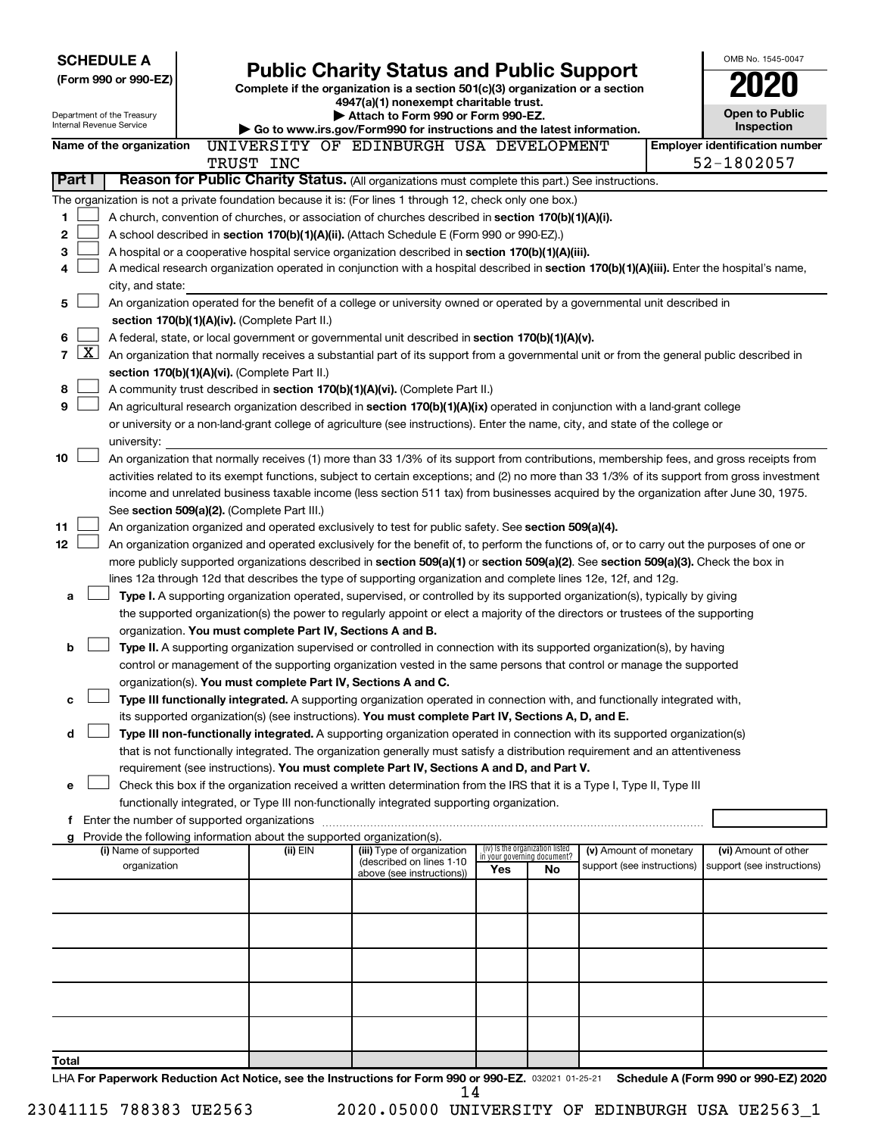| <b>SCHEDULE A</b>                                                                                                       |                                                                                                      |                                               |                                                                                                                                                                                                                                                 |     |                                                                |                            |  | OMB No. 1545-0047                     |  |  |  |
|-------------------------------------------------------------------------------------------------------------------------|------------------------------------------------------------------------------------------------------|-----------------------------------------------|-------------------------------------------------------------------------------------------------------------------------------------------------------------------------------------------------------------------------------------------------|-----|----------------------------------------------------------------|----------------------------|--|---------------------------------------|--|--|--|
| (Form 990 or 990-EZ)                                                                                                    |                                                                                                      |                                               | <b>Public Charity Status and Public Support</b>                                                                                                                                                                                                 |     |                                                                |                            |  |                                       |  |  |  |
| Complete if the organization is a section 501(c)(3) organization or a section<br>4947(a)(1) nonexempt charitable trust. |                                                                                                      |                                               |                                                                                                                                                                                                                                                 |     |                                                                |                            |  |                                       |  |  |  |
| Department of the Treasury                                                                                              |                                                                                                      |                                               | Attach to Form 990 or Form 990-EZ.                                                                                                                                                                                                              |     |                                                                |                            |  | <b>Open to Public</b>                 |  |  |  |
| Internal Revenue Service                                                                                                |                                                                                                      |                                               | Go to www.irs.gov/Form990 for instructions and the latest information.                                                                                                                                                                          |     |                                                                |                            |  | Inspection                            |  |  |  |
| Name of the organization                                                                                                |                                                                                                      |                                               | UNIVERSITY OF EDINBURGH USA DEVELOPMENT                                                                                                                                                                                                         |     |                                                                |                            |  | <b>Employer identification number</b> |  |  |  |
|                                                                                                                         |                                                                                                      | TRUST INC                                     |                                                                                                                                                                                                                                                 |     |                                                                |                            |  | 52-1802057                            |  |  |  |
| Part I                                                                                                                  |                                                                                                      |                                               | Reason for Public Charity Status. (All organizations must complete this part.) See instructions.                                                                                                                                                |     |                                                                |                            |  |                                       |  |  |  |
|                                                                                                                         |                                                                                                      |                                               | The organization is not a private foundation because it is: (For lines 1 through 12, check only one box.)                                                                                                                                       |     |                                                                |                            |  |                                       |  |  |  |
| 1                                                                                                                       |                                                                                                      |                                               | A church, convention of churches, or association of churches described in section 170(b)(1)(A)(i).                                                                                                                                              |     |                                                                |                            |  |                                       |  |  |  |
| 2                                                                                                                       |                                                                                                      |                                               | A school described in section 170(b)(1)(A)(ii). (Attach Schedule E (Form 990 or 990-EZ).)                                                                                                                                                       |     |                                                                |                            |  |                                       |  |  |  |
| з                                                                                                                       |                                                                                                      |                                               | A hospital or a cooperative hospital service organization described in section 170(b)(1)(A)(iii).                                                                                                                                               |     |                                                                |                            |  |                                       |  |  |  |
| 4<br>city, and state:                                                                                                   |                                                                                                      |                                               | A medical research organization operated in conjunction with a hospital described in section 170(b)(1)(A)(iii). Enter the hospital's name,                                                                                                      |     |                                                                |                            |  |                                       |  |  |  |
| 5                                                                                                                       |                                                                                                      |                                               | An organization operated for the benefit of a college or university owned or operated by a governmental unit described in                                                                                                                       |     |                                                                |                            |  |                                       |  |  |  |
|                                                                                                                         |                                                                                                      | section 170(b)(1)(A)(iv). (Complete Part II.) |                                                                                                                                                                                                                                                 |     |                                                                |                            |  |                                       |  |  |  |
| 6                                                                                                                       |                                                                                                      |                                               | A federal, state, or local government or governmental unit described in section 170(b)(1)(A)(v).                                                                                                                                                |     |                                                                |                            |  |                                       |  |  |  |
| <u>x</u><br>$\overline{7}$                                                                                              |                                                                                                      |                                               | An organization that normally receives a substantial part of its support from a governmental unit or from the general public described in                                                                                                       |     |                                                                |                            |  |                                       |  |  |  |
|                                                                                                                         |                                                                                                      | section 170(b)(1)(A)(vi). (Complete Part II.) |                                                                                                                                                                                                                                                 |     |                                                                |                            |  |                                       |  |  |  |
| 8                                                                                                                       |                                                                                                      |                                               | A community trust described in section 170(b)(1)(A)(vi). (Complete Part II.)                                                                                                                                                                    |     |                                                                |                            |  |                                       |  |  |  |
| 9                                                                                                                       |                                                                                                      |                                               | An agricultural research organization described in section 170(b)(1)(A)(ix) operated in conjunction with a land-grant college                                                                                                                   |     |                                                                |                            |  |                                       |  |  |  |
|                                                                                                                         |                                                                                                      |                                               | or university or a non-land-grant college of agriculture (see instructions). Enter the name, city, and state of the college or                                                                                                                  |     |                                                                |                            |  |                                       |  |  |  |
| university:                                                                                                             |                                                                                                      |                                               |                                                                                                                                                                                                                                                 |     |                                                                |                            |  |                                       |  |  |  |
| 10                                                                                                                      |                                                                                                      |                                               | An organization that normally receives (1) more than 33 1/3% of its support from contributions, membership fees, and gross receipts from                                                                                                        |     |                                                                |                            |  |                                       |  |  |  |
|                                                                                                                         |                                                                                                      |                                               | activities related to its exempt functions, subject to certain exceptions; and (2) no more than 33 1/3% of its support from gross investment                                                                                                    |     |                                                                |                            |  |                                       |  |  |  |
|                                                                                                                         |                                                                                                      |                                               | income and unrelated business taxable income (less section 511 tax) from businesses acquired by the organization after June 30, 1975.                                                                                                           |     |                                                                |                            |  |                                       |  |  |  |
|                                                                                                                         |                                                                                                      | See section 509(a)(2). (Complete Part III.)   |                                                                                                                                                                                                                                                 |     |                                                                |                            |  |                                       |  |  |  |
| 11                                                                                                                      | An organization organized and operated exclusively to test for public safety. See section 509(a)(4). |                                               |                                                                                                                                                                                                                                                 |     |                                                                |                            |  |                                       |  |  |  |
| 12                                                                                                                      |                                                                                                      |                                               | An organization organized and operated exclusively for the benefit of, to perform the functions of, or to carry out the purposes of one or                                                                                                      |     |                                                                |                            |  |                                       |  |  |  |
|                                                                                                                         |                                                                                                      |                                               | more publicly supported organizations described in section 509(a)(1) or section 509(a)(2). See section 509(a)(3). Check the box in                                                                                                              |     |                                                                |                            |  |                                       |  |  |  |
|                                                                                                                         |                                                                                                      |                                               | lines 12a through 12d that describes the type of supporting organization and complete lines 12e, 12f, and 12g.                                                                                                                                  |     |                                                                |                            |  |                                       |  |  |  |
| a                                                                                                                       |                                                                                                      |                                               | Type I. A supporting organization operated, supervised, or controlled by its supported organization(s), typically by giving                                                                                                                     |     |                                                                |                            |  |                                       |  |  |  |
|                                                                                                                         |                                                                                                      |                                               | the supported organization(s) the power to regularly appoint or elect a majority of the directors or trustees of the supporting                                                                                                                 |     |                                                                |                            |  |                                       |  |  |  |
| b                                                                                                                       |                                                                                                      |                                               | organization. You must complete Part IV, Sections A and B.                                                                                                                                                                                      |     |                                                                |                            |  |                                       |  |  |  |
|                                                                                                                         |                                                                                                      |                                               | Type II. A supporting organization supervised or controlled in connection with its supported organization(s), by having<br>control or management of the supporting organization vested in the same persons that control or manage the supported |     |                                                                |                            |  |                                       |  |  |  |
|                                                                                                                         |                                                                                                      |                                               | organization(s). You must complete Part IV, Sections A and C.                                                                                                                                                                                   |     |                                                                |                            |  |                                       |  |  |  |
| с                                                                                                                       |                                                                                                      |                                               | Type III functionally integrated. A supporting organization operated in connection with, and functionally integrated with,                                                                                                                      |     |                                                                |                            |  |                                       |  |  |  |
|                                                                                                                         |                                                                                                      |                                               | its supported organization(s) (see instructions). You must complete Part IV, Sections A, D, and E.                                                                                                                                              |     |                                                                |                            |  |                                       |  |  |  |
| d                                                                                                                       |                                                                                                      |                                               | Type III non-functionally integrated. A supporting organization operated in connection with its supported organization(s)                                                                                                                       |     |                                                                |                            |  |                                       |  |  |  |
|                                                                                                                         |                                                                                                      |                                               | that is not functionally integrated. The organization generally must satisfy a distribution requirement and an attentiveness                                                                                                                    |     |                                                                |                            |  |                                       |  |  |  |
|                                                                                                                         |                                                                                                      |                                               | requirement (see instructions). You must complete Part IV, Sections A and D, and Part V.                                                                                                                                                        |     |                                                                |                            |  |                                       |  |  |  |
| e                                                                                                                       |                                                                                                      |                                               | Check this box if the organization received a written determination from the IRS that it is a Type I, Type II, Type III                                                                                                                         |     |                                                                |                            |  |                                       |  |  |  |
|                                                                                                                         |                                                                                                      |                                               | functionally integrated, or Type III non-functionally integrated supporting organization.                                                                                                                                                       |     |                                                                |                            |  |                                       |  |  |  |
|                                                                                                                         |                                                                                                      |                                               |                                                                                                                                                                                                                                                 |     |                                                                |                            |  |                                       |  |  |  |
|                                                                                                                         |                                                                                                      |                                               | Provide the following information about the supported organization(s).                                                                                                                                                                          |     |                                                                |                            |  |                                       |  |  |  |
| (i) Name of supported                                                                                                   |                                                                                                      | (ii) EIN                                      | (iii) Type of organization<br>(described on lines 1-10                                                                                                                                                                                          |     | (iv) Is the organization listed<br>in your governing document? | (v) Amount of monetary     |  | (vi) Amount of other                  |  |  |  |
| organization                                                                                                            |                                                                                                      |                                               | above (see instructions))                                                                                                                                                                                                                       | Yes | No                                                             | support (see instructions) |  | support (see instructions)            |  |  |  |
|                                                                                                                         |                                                                                                      |                                               |                                                                                                                                                                                                                                                 |     |                                                                |                            |  |                                       |  |  |  |
|                                                                                                                         |                                                                                                      |                                               |                                                                                                                                                                                                                                                 |     |                                                                |                            |  |                                       |  |  |  |
|                                                                                                                         |                                                                                                      |                                               |                                                                                                                                                                                                                                                 |     |                                                                |                            |  |                                       |  |  |  |
|                                                                                                                         |                                                                                                      |                                               |                                                                                                                                                                                                                                                 |     |                                                                |                            |  |                                       |  |  |  |
|                                                                                                                         |                                                                                                      |                                               |                                                                                                                                                                                                                                                 |     |                                                                |                            |  |                                       |  |  |  |
|                                                                                                                         |                                                                                                      |                                               |                                                                                                                                                                                                                                                 |     |                                                                |                            |  |                                       |  |  |  |
|                                                                                                                         |                                                                                                      |                                               |                                                                                                                                                                                                                                                 |     |                                                                |                            |  |                                       |  |  |  |
|                                                                                                                         |                                                                                                      |                                               |                                                                                                                                                                                                                                                 |     |                                                                |                            |  |                                       |  |  |  |
|                                                                                                                         |                                                                                                      |                                               |                                                                                                                                                                                                                                                 |     |                                                                |                            |  |                                       |  |  |  |
| Total                                                                                                                   |                                                                                                      |                                               |                                                                                                                                                                                                                                                 |     |                                                                |                            |  |                                       |  |  |  |
|                                                                                                                         |                                                                                                      |                                               | LHA For Paperwork Reduction Act Notice, see the Instructions for Form 990 or 990-F7, 02001, 01.25.21 Schedule A (Form 990 or 990-F7) 2020                                                                                                       |     |                                                                |                            |  |                                       |  |  |  |

032021 01-25-21 **For Paperwork Reduction Act Notice, see the Instructions for Form 990 or 990-EZ. Schedule A (Form 990 or 990-EZ) 2020** LHA 14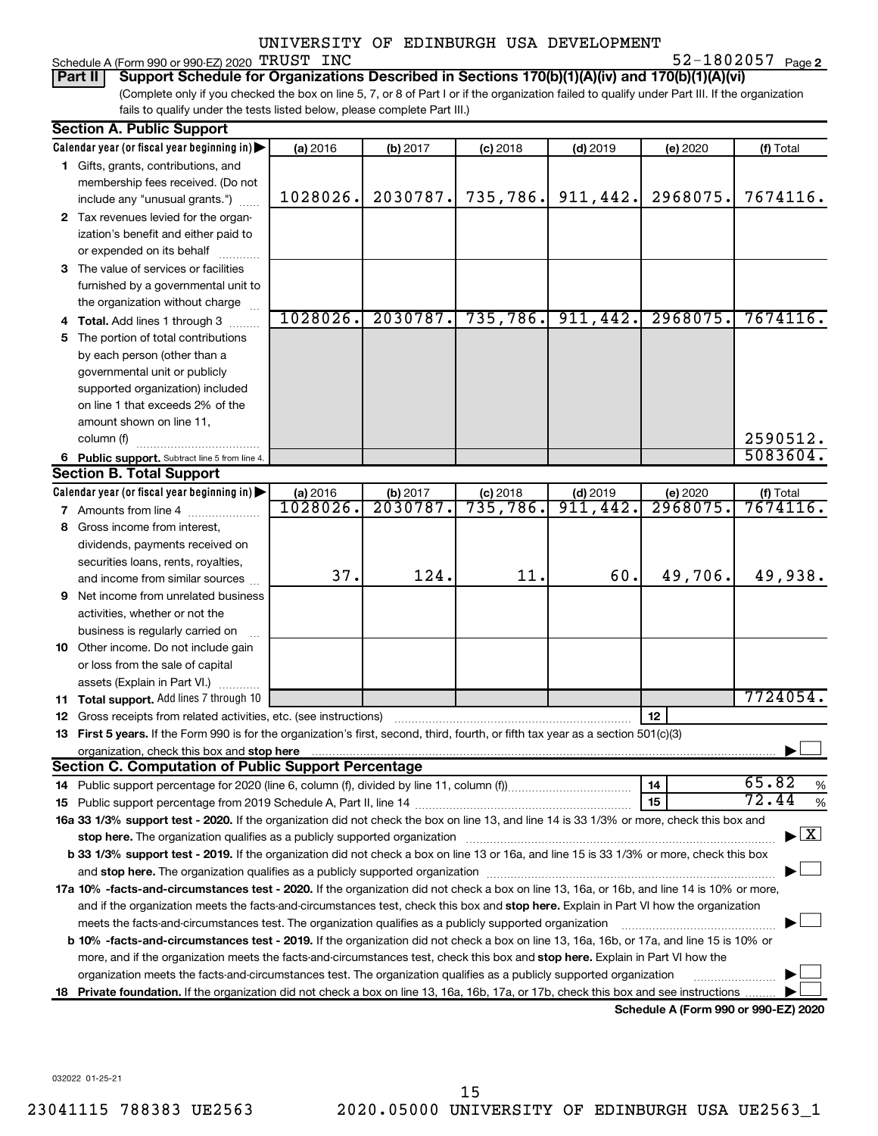Schedule A (Form 990 or 990-EZ) 2020 TRUST INC

**2** TRUST INC 52-1802057

(Complete only if you checked the box on line 5, 7, or 8 of Part I or if the organization failed to qualify under Part III. If the organization fails to qualify under the tests listed below, please complete Part III.) **Part II Support Schedule for Organizations Described in Sections 170(b)(1)(A)(iv) and 170(b)(1)(A)(vi)**

|    | <b>Section A. Public Support</b>                                                                                                               |          |                     |            |            |                                      |                                    |
|----|------------------------------------------------------------------------------------------------------------------------------------------------|----------|---------------------|------------|------------|--------------------------------------|------------------------------------|
|    | Calendar year (or fiscal year beginning in)                                                                                                    | (a) 2016 | (b) 2017            | $(c)$ 2018 | $(d)$ 2019 | (e) 2020                             | (f) Total                          |
|    | 1 Gifts, grants, contributions, and                                                                                                            |          |                     |            |            |                                      |                                    |
|    | membership fees received. (Do not                                                                                                              |          |                     |            |            |                                      |                                    |
|    | include any "unusual grants.")                                                                                                                 | 1028026. | 2030787.            | 735,786.   | 911,442.   | 2968075.                             | 7674116.                           |
|    | 2 Tax revenues levied for the organ-                                                                                                           |          |                     |            |            |                                      |                                    |
|    | ization's benefit and either paid to                                                                                                           |          |                     |            |            |                                      |                                    |
|    | or expended on its behalf                                                                                                                      |          |                     |            |            |                                      |                                    |
|    | 3 The value of services or facilities                                                                                                          |          |                     |            |            |                                      |                                    |
|    | furnished by a governmental unit to                                                                                                            |          |                     |            |            |                                      |                                    |
|    | the organization without charge                                                                                                                |          |                     |            |            |                                      |                                    |
|    | 4 Total. Add lines 1 through 3                                                                                                                 | 1028026. | 2030787.            | 735,786.   | 911, 442.  | 2968075.                             | 7674116.                           |
| 5  | The portion of total contributions                                                                                                             |          |                     |            |            |                                      |                                    |
|    | by each person (other than a                                                                                                                   |          |                     |            |            |                                      |                                    |
|    | governmental unit or publicly                                                                                                                  |          |                     |            |            |                                      |                                    |
|    | supported organization) included                                                                                                               |          |                     |            |            |                                      |                                    |
|    | on line 1 that exceeds 2% of the                                                                                                               |          |                     |            |            |                                      |                                    |
|    | amount shown on line 11,                                                                                                                       |          |                     |            |            |                                      |                                    |
|    | column (f)                                                                                                                                     |          |                     |            |            |                                      | 2590512.                           |
|    | 6 Public support. Subtract line 5 from line 4.                                                                                                 |          |                     |            |            |                                      | 5083604.                           |
|    | <b>Section B. Total Support</b>                                                                                                                |          |                     |            |            |                                      |                                    |
|    | Calendar year (or fiscal year beginning in)                                                                                                    | (a) 2016 |                     | $(c)$ 2018 | $(d)$ 2019 | (e) 2020                             | (f) Total                          |
|    | <b>7</b> Amounts from line 4                                                                                                                   | 1028026. | $\frac{1}{2030787}$ | 735,786.   | 911,442.   | 2968075.                             | 7674116.                           |
| 8  | Gross income from interest,                                                                                                                    |          |                     |            |            |                                      |                                    |
|    | dividends, payments received on                                                                                                                |          |                     |            |            |                                      |                                    |
|    | securities loans, rents, royalties,                                                                                                            |          |                     |            |            |                                      |                                    |
|    | and income from similar sources                                                                                                                | 37.      | 124.                | 11.        | 60.        | 49,706.                              | 49,938.                            |
| 9  | Net income from unrelated business                                                                                                             |          |                     |            |            |                                      |                                    |
|    | activities, whether or not the                                                                                                                 |          |                     |            |            |                                      |                                    |
|    | business is regularly carried on                                                                                                               |          |                     |            |            |                                      |                                    |
|    | 10 Other income. Do not include gain                                                                                                           |          |                     |            |            |                                      |                                    |
|    | or loss from the sale of capital                                                                                                               |          |                     |            |            |                                      |                                    |
|    | assets (Explain in Part VI.)                                                                                                                   |          |                     |            |            |                                      |                                    |
|    | 11 Total support. Add lines 7 through 10                                                                                                       |          |                     |            |            |                                      | 7724054.                           |
|    | <b>12</b> Gross receipts from related activities, etc. (see instructions)                                                                      |          |                     |            |            | 12                                   |                                    |
|    | 13 First 5 years. If the Form 990 is for the organization's first, second, third, fourth, or fifth tax year as a section 501(c)(3)             |          |                     |            |            |                                      |                                    |
|    | organization, check this box and stop here                                                                                                     |          |                     |            |            |                                      |                                    |
|    | <b>Section C. Computation of Public Support Percentage</b>                                                                                     |          |                     |            |            |                                      |                                    |
|    |                                                                                                                                                |          |                     |            |            | 14                                   | 65.82<br>%                         |
|    |                                                                                                                                                |          |                     |            |            | 15                                   | 72.44<br>%                         |
|    | 16a 33 1/3% support test - 2020. If the organization did not check the box on line 13, and line 14 is 33 1/3% or more, check this box and      |          |                     |            |            |                                      |                                    |
|    | stop here. The organization qualifies as a publicly supported organization manufaction manufacture or the organization                         |          |                     |            |            |                                      | $\blacktriangleright$ $\mathbf{X}$ |
|    | b 33 1/3% support test - 2019. If the organization did not check a box on line 13 or 16a, and line 15 is 33 1/3% or more, check this box       |          |                     |            |            |                                      |                                    |
|    |                                                                                                                                                |          |                     |            |            |                                      |                                    |
|    | 17a 10% -facts-and-circumstances test - 2020. If the organization did not check a box on line 13, 16a, or 16b, and line 14 is 10% or more,     |          |                     |            |            |                                      |                                    |
|    | and if the organization meets the facts-and-circumstances test, check this box and stop here. Explain in Part VI how the organization          |          |                     |            |            |                                      |                                    |
|    | meets the facts-and-circumstances test. The organization qualifies as a publicly supported organization                                        |          |                     |            |            |                                      |                                    |
|    | <b>b 10%</b> -facts-and-circumstances test - 2019. If the organization did not check a box on line 13, 16a, 16b, or 17a, and line 15 is 10% or |          |                     |            |            |                                      |                                    |
|    | more, and if the organization meets the facts-and-circumstances test, check this box and <b>stop here.</b> Explain in Part VI how the          |          |                     |            |            |                                      |                                    |
|    | organization meets the facts-and-circumstances test. The organization qualifies as a publicly supported organization                           |          |                     |            |            |                                      |                                    |
|    | Private foundation. If the organization did not check a box on line 13, 16a, 16b, 17a, or 17b, check this box and see instructions             |          |                     |            |            |                                      |                                    |
| 18 |                                                                                                                                                |          |                     |            |            | Schodule A (Form 000 or 000 EZ) 2020 |                                    |

**Schedule A (Form 990 or 990-EZ) 2020**

032022 01-25-21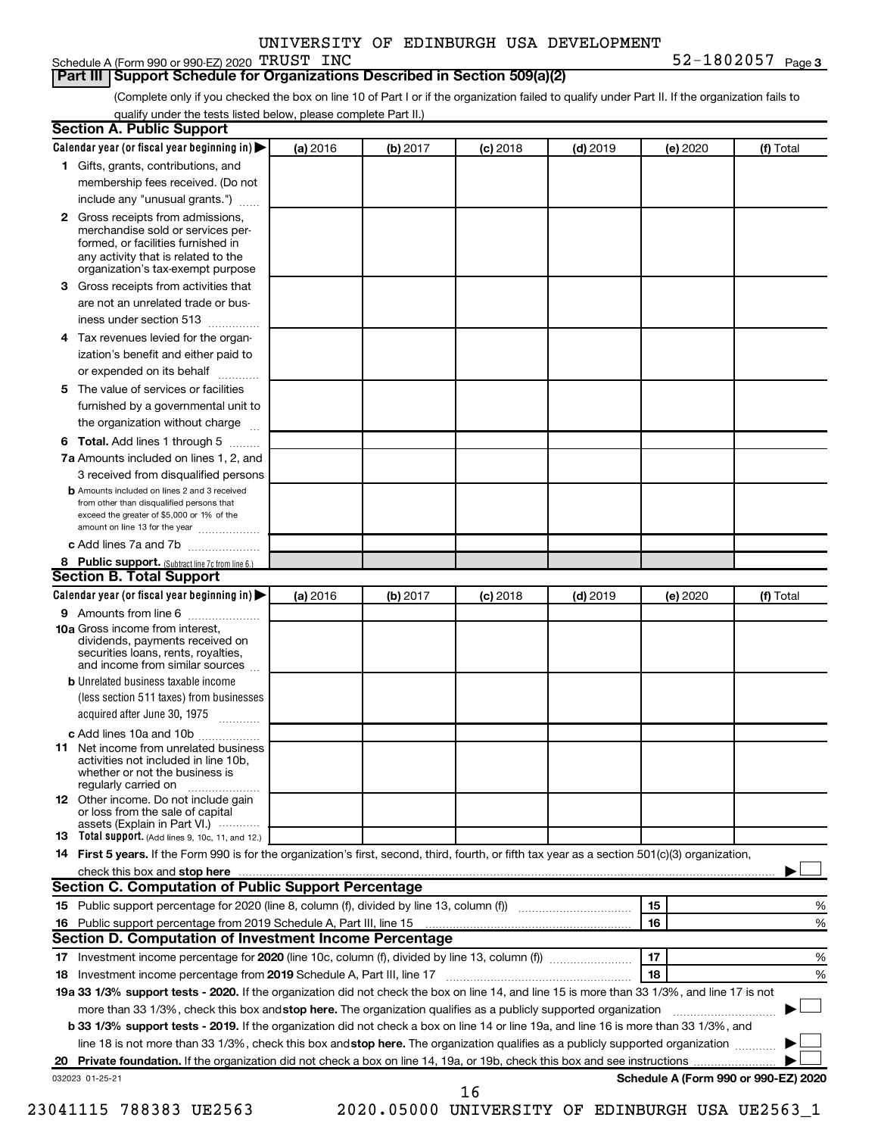| UNIVERSITY OF EDINBURGH USA DEVELOPMENT |  |  |  |  |  |
|-----------------------------------------|--|--|--|--|--|
|-----------------------------------------|--|--|--|--|--|

### **Part III Support Schedule for Organizations Described in Section 509(a)(2)**

(Complete only if you checked the box on line 10 of Part I or if the organization failed to qualify under Part II. If the organization fails to qualify under the tests listed below, please complete Part II.)

|                 | <b>Section A. Public Support</b>                                                                                                                                                                                               |          |          |            |            |          |                                      |
|-----------------|--------------------------------------------------------------------------------------------------------------------------------------------------------------------------------------------------------------------------------|----------|----------|------------|------------|----------|--------------------------------------|
|                 | Calendar year (or fiscal year beginning in)                                                                                                                                                                                    | (a) 2016 | (b) 2017 | $(c)$ 2018 | $(d)$ 2019 | (e) 2020 | (f) Total                            |
|                 | 1 Gifts, grants, contributions, and                                                                                                                                                                                            |          |          |            |            |          |                                      |
|                 | membership fees received. (Do not                                                                                                                                                                                              |          |          |            |            |          |                                      |
|                 | include any "unusual grants.")                                                                                                                                                                                                 |          |          |            |            |          |                                      |
|                 | 2 Gross receipts from admissions,<br>merchandise sold or services per-<br>formed, or facilities furnished in<br>any activity that is related to the<br>organization's tax-exempt purpose                                       |          |          |            |            |          |                                      |
|                 | 3 Gross receipts from activities that                                                                                                                                                                                          |          |          |            |            |          |                                      |
|                 | are not an unrelated trade or bus-                                                                                                                                                                                             |          |          |            |            |          |                                      |
|                 | iness under section 513                                                                                                                                                                                                        |          |          |            |            |          |                                      |
|                 | 4 Tax revenues levied for the organ-                                                                                                                                                                                           |          |          |            |            |          |                                      |
|                 | ization's benefit and either paid to                                                                                                                                                                                           |          |          |            |            |          |                                      |
|                 | or expended on its behalf<br>.                                                                                                                                                                                                 |          |          |            |            |          |                                      |
|                 | 5 The value of services or facilities                                                                                                                                                                                          |          |          |            |            |          |                                      |
|                 | furnished by a governmental unit to                                                                                                                                                                                            |          |          |            |            |          |                                      |
|                 | the organization without charge                                                                                                                                                                                                |          |          |            |            |          |                                      |
|                 | 6 Total. Add lines 1 through 5                                                                                                                                                                                                 |          |          |            |            |          |                                      |
|                 | 7a Amounts included on lines 1, 2, and                                                                                                                                                                                         |          |          |            |            |          |                                      |
|                 | 3 received from disqualified persons                                                                                                                                                                                           |          |          |            |            |          |                                      |
|                 | <b>b</b> Amounts included on lines 2 and 3 received<br>from other than disqualified persons that<br>exceed the greater of \$5,000 or 1% of the<br>amount on line 13 for the year                                               |          |          |            |            |          |                                      |
|                 | c Add lines 7a and 7b                                                                                                                                                                                                          |          |          |            |            |          |                                      |
|                 | 8 Public support. (Subtract line 7c from line 6.)                                                                                                                                                                              |          |          |            |            |          |                                      |
|                 | <b>Section B. Total Support</b>                                                                                                                                                                                                |          |          |            |            |          |                                      |
|                 | Calendar year (or fiscal year beginning in)                                                                                                                                                                                    | (a) 2016 | (b) 2017 | $(c)$ 2018 | $(d)$ 2019 | (e) 2020 | (f) Total                            |
|                 | <b>9</b> Amounts from line 6                                                                                                                                                                                                   |          |          |            |            |          |                                      |
|                 | <b>10a</b> Gross income from interest,<br>dividends, payments received on<br>securities loans, rents, royalties,<br>and income from similar sources                                                                            |          |          |            |            |          |                                      |
|                 | <b>b</b> Unrelated business taxable income                                                                                                                                                                                     |          |          |            |            |          |                                      |
|                 | (less section 511 taxes) from businesses<br>acquired after June 30, 1975<br>1.1.1.1.1.1.1.1.1                                                                                                                                  |          |          |            |            |          |                                      |
|                 | c Add lines 10a and 10b                                                                                                                                                                                                        |          |          |            |            |          |                                      |
|                 | 11 Net income from unrelated business<br>activities not included in line 10b.<br>whether or not the business is<br>regularly carried on                                                                                        |          |          |            |            |          |                                      |
|                 | 12 Other income. Do not include gain<br>or loss from the sale of capital<br>assets (Explain in Part VI.)                                                                                                                       |          |          |            |            |          |                                      |
|                 | <b>13</b> Total support. (Add lines 9, 10c, 11, and 12.)                                                                                                                                                                       |          |          |            |            |          |                                      |
|                 | 14 First 5 years. If the Form 990 is for the organization's first, second, third, fourth, or fifth tax year as a section 501(c)(3) organization,                                                                               |          |          |            |            |          |                                      |
|                 | check this box and stop here manufactured and stop here and stop here are manufactured and stop here and stop here and stop here and stop here and stop here and stop here and stop here are all the stop of the stop of the s |          |          |            |            |          |                                      |
|                 | <b>Section C. Computation of Public Support Percentage</b>                                                                                                                                                                     |          |          |            |            |          |                                      |
|                 |                                                                                                                                                                                                                                |          |          |            |            | 15       | %                                    |
|                 |                                                                                                                                                                                                                                |          |          |            |            | 16       | %                                    |
|                 | Section D. Computation of Investment Income Percentage                                                                                                                                                                         |          |          |            |            |          |                                      |
|                 |                                                                                                                                                                                                                                |          |          |            |            | 17       | %                                    |
|                 | 18 Investment income percentage from 2019 Schedule A, Part III, line 17                                                                                                                                                        |          |          |            |            | 18       | %                                    |
|                 | 19a 33 1/3% support tests - 2020. If the organization did not check the box on line 14, and line 15 is more than 33 1/3%, and line 17 is not                                                                                   |          |          |            |            |          |                                      |
|                 | more than 33 1/3%, check this box and stop here. The organization qualifies as a publicly supported organization                                                                                                               |          |          |            |            |          |                                      |
|                 | b 33 1/3% support tests - 2019. If the organization did not check a box on line 14 or line 19a, and line 16 is more than 33 1/3%, and                                                                                          |          |          |            |            |          |                                      |
|                 | line 18 is not more than 33 1/3%, check this box and stop here. The organization qualifies as a publicly supported organization                                                                                                |          |          |            |            |          |                                      |
|                 |                                                                                                                                                                                                                                |          |          |            |            |          |                                      |
| 032023 01-25-21 |                                                                                                                                                                                                                                |          |          | 16         |            |          | Schedule A (Form 990 or 990-EZ) 2020 |

23041115 788383 UE2563 2020.05000 UNIVERSITY OF EDINBURGH USA UE2563\_1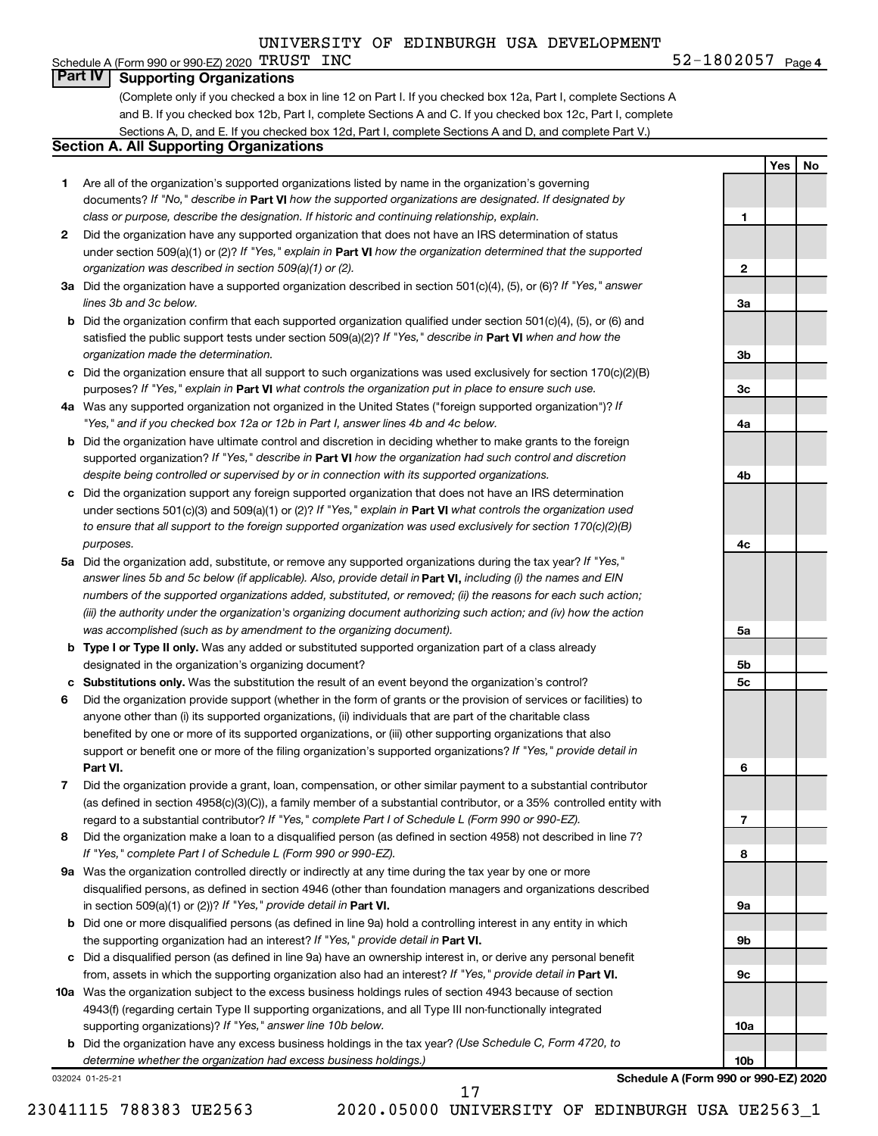**1**

**2**

**3a**

**3b**

**3c**

**4a**

**4b**

**4c**

**5a**

**5b 5c**

**6**

**7**

**8**

**9a**

**9b**

**9c**

**10a**

**10b**

**Yes No**

#### Schedule A (Form 990 or 990-EZ) 2020  $\text{TRUST } \text{INC}$ **Part IV Supporting Organizations**

(Complete only if you checked a box in line 12 on Part I. If you checked box 12a, Part I, complete Sections A and B. If you checked box 12b, Part I, complete Sections A and C. If you checked box 12c, Part I, complete Sections A, D, and E. If you checked box 12d, Part I, complete Sections A and D, and complete Part V.)

# **Section A. All Supporting Organizations**

- **1** Are all of the organization's supported organizations listed by name in the organization's governing documents? If "No," describe in Part VI how the supported organizations are designated. If designated by *class or purpose, describe the designation. If historic and continuing relationship, explain.*
- **2** Did the organization have any supported organization that does not have an IRS determination of status under section 509(a)(1) or (2)? If "Yes," explain in Part **VI** how the organization determined that the supported *organization was described in section 509(a)(1) or (2).*
- **3a** Did the organization have a supported organization described in section 501(c)(4), (5), or (6)? If "Yes," answer *lines 3b and 3c below.*
- **b** Did the organization confirm that each supported organization qualified under section 501(c)(4), (5), or (6) and satisfied the public support tests under section 509(a)(2)? If "Yes," describe in Part VI when and how the *organization made the determination.*
- **c** Did the organization ensure that all support to such organizations was used exclusively for section 170(c)(2)(B) purposes? If "Yes," explain in Part VI what controls the organization put in place to ensure such use.
- **4 a** *If* Was any supported organization not organized in the United States ("foreign supported organization")? *"Yes," and if you checked box 12a or 12b in Part I, answer lines 4b and 4c below.*
- **b** Did the organization have ultimate control and discretion in deciding whether to make grants to the foreign supported organization? If "Yes," describe in Part VI how the organization had such control and discretion *despite being controlled or supervised by or in connection with its supported organizations.*
- **c** Did the organization support any foreign supported organization that does not have an IRS determination under sections 501(c)(3) and 509(a)(1) or (2)? If "Yes," explain in Part VI what controls the organization used *to ensure that all support to the foreign supported organization was used exclusively for section 170(c)(2)(B) purposes.*
- **5a** Did the organization add, substitute, or remove any supported organizations during the tax year? If "Yes," answer lines 5b and 5c below (if applicable). Also, provide detail in **Part VI,** including (i) the names and EIN *numbers of the supported organizations added, substituted, or removed; (ii) the reasons for each such action; (iii) the authority under the organization's organizing document authorizing such action; and (iv) how the action was accomplished (such as by amendment to the organizing document).*
- **b** Type I or Type II only. Was any added or substituted supported organization part of a class already designated in the organization's organizing document?
- **c Substitutions only.**  Was the substitution the result of an event beyond the organization's control?
- **6** Did the organization provide support (whether in the form of grants or the provision of services or facilities) to **Part VI.** support or benefit one or more of the filing organization's supported organizations? If "Yes," provide detail in anyone other than (i) its supported organizations, (ii) individuals that are part of the charitable class benefited by one or more of its supported organizations, or (iii) other supporting organizations that also
- **7** Did the organization provide a grant, loan, compensation, or other similar payment to a substantial contributor regard to a substantial contributor? If "Yes," complete Part I of Schedule L (Form 990 or 990-EZ). (as defined in section 4958(c)(3)(C)), a family member of a substantial contributor, or a 35% controlled entity with
- **8** Did the organization make a loan to a disqualified person (as defined in section 4958) not described in line 7? *If "Yes," complete Part I of Schedule L (Form 990 or 990-EZ).*
- **9 a** Was the organization controlled directly or indirectly at any time during the tax year by one or more in section 509(a)(1) or (2))? If "Yes," provide detail in **Part VI.** disqualified persons, as defined in section 4946 (other than foundation managers and organizations described
- **b** Did one or more disqualified persons (as defined in line 9a) hold a controlling interest in any entity in which the supporting organization had an interest? If "Yes," provide detail in Part VI.
- **c** Did a disqualified person (as defined in line 9a) have an ownership interest in, or derive any personal benefit from, assets in which the supporting organization also had an interest? If "Yes," provide detail in Part VI.
- **10 a** Was the organization subject to the excess business holdings rules of section 4943 because of section supporting organizations)? If "Yes," answer line 10b below. 4943(f) (regarding certain Type II supporting organizations, and all Type III non-functionally integrated
	- **b** Did the organization have any excess business holdings in the tax year? (Use Schedule C, Form 4720, to *determine whether the organization had excess business holdings.)*

032024 01-25-21

**Schedule A (Form 990 or 990-EZ) 2020**

17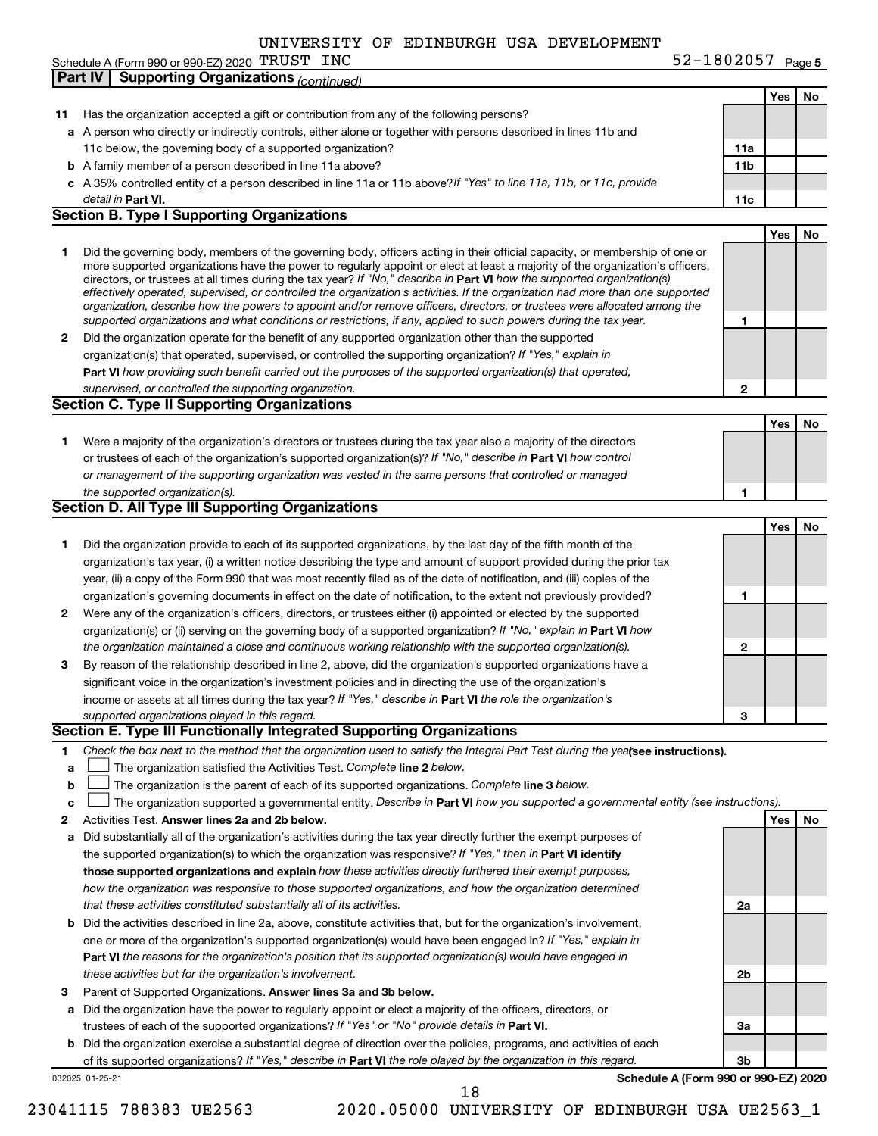|  | cape, nooa, or controlled the capperting erganization |  |
|--|-------------------------------------------------------|--|
|  | <b>Section C. Type II Supporting Organizations</b>    |  |

detail in Part VI.

**1**

|                                                                                                                      | Yes | No |
|----------------------------------------------------------------------------------------------------------------------|-----|----|
| Were a majority of the organization's directors or trustees during the tax year also a majority of the directors     |     |    |
| or trustees of each of the organization's supported organization(s)? If "No," describe in <b>Part VI</b> how control |     |    |
| or management of the supporting organization was vested in the same persons that controlled or managed               |     |    |
| the supported organization(s).                                                                                       |     |    |

|  |  |  | <b>Section D. All Type III Supporting Organizations</b> |
|--|--|--|---------------------------------------------------------|

*supervised, or controlled the supporting organization.*

**b** A family member of a person described in line 11a above?

**Section B. Type I Supporting Organizations**

**Part IV Supporting Organizations** *(continued)*

11c below, the governing body of a supported organization?

|              |                                                                                                                        |   | Yes | No |
|--------------|------------------------------------------------------------------------------------------------------------------------|---|-----|----|
|              | Did the organization provide to each of its supported organizations, by the last day of the fifth month of the         |   |     |    |
|              | organization's tax year, (i) a written notice describing the type and amount of support provided during the prior tax  |   |     |    |
|              | year, (ii) a copy of the Form 990 that was most recently filed as of the date of notification, and (iii) copies of the |   |     |    |
|              | organization's governing documents in effect on the date of notification, to the extent not previously provided?       |   |     |    |
| $\mathbf{2}$ | Were any of the organization's officers, directors, or trustees either (i) appointed or elected by the supported       |   |     |    |
|              | organization(s) or (ii) serving on the governing body of a supported organization? If "No," explain in Part VI how     |   |     |    |
|              | the organization maintained a close and continuous working relationship with the supported organization(s).            | 2 |     |    |
| 3            | By reason of the relationship described in line 2, above, did the organization's supported organizations have a        |   |     |    |
|              | significant voice in the organization's investment policies and in directing the use of the organization's             |   |     |    |
|              | income or assets at all times during the tax year? If "Yes," describe in Part VI the role the organization's           |   |     |    |
|              | supported organizations played in this regard.<br>$\sim$<br>. .                                                        | 3 |     |    |

### **Section E. Type III Functionally Integrated Supporting Organizations**

|  | Check the box next to the method that the organization used to satisfy the Integral Part Test during the yealsee instructions). |  |  |  |
|--|---------------------------------------------------------------------------------------------------------------------------------|--|--|--|
|--|---------------------------------------------------------------------------------------------------------------------------------|--|--|--|

- **a** The organization satisfied the Activities Test. Complete line 2 below.  $\Box$
- **b** The organization is the parent of each of its supported organizations. Complete line 3 below.  $\Box$

|  |  | c $\Box$ The organization supported a governmental entity. Describe in Part VI how you supported a governmental entity (see instructions). |  |
|--|--|--------------------------------------------------------------------------------------------------------------------------------------------|--|
|--|--|--------------------------------------------------------------------------------------------------------------------------------------------|--|

- **2 Answer lines 2a and 2b below. Yes No** Activities Test.
- **a** Did substantially all of the organization's activities during the tax year directly further the exempt purposes of the supported organization(s) to which the organization was responsive? If "Yes," then in Part VI identify **those supported organizations and explain**  *how these activities directly furthered their exempt purposes, how the organization was responsive to those supported organizations, and how the organization determined that these activities constituted substantially all of its activities.*
- **b** Did the activities described in line 2a, above, constitute activities that, but for the organization's involvement, **Part VI**  *the reasons for the organization's position that its supported organization(s) would have engaged in* one or more of the organization's supported organization(s) would have been engaged in? If "Yes," explain in *these activities but for the organization's involvement.*
- **3** Parent of Supported Organizations. Answer lines 3a and 3b below.
- **a** Did the organization have the power to regularly appoint or elect a majority of the officers, directors, or trustees of each of the supported organizations? If "Yes" or "No" provide details in Part VI.
- **b** Did the organization exercise a substantial degree of direction over the policies, programs, and activities of each of its supported organizations? If "Yes," describe in Part VI the role played by the organization in this regard.

032025 01-25-21

**Schedule A (Form 990 or 990-EZ) 2020**

**2a**

**2b**

**3a**

**3b**

23041115 788383 UE2563 2020.05000 UNIVERSITY OF EDINBURGH USA UE2563\_1 18

|                                                                                                            |                 | Yes |  |
|------------------------------------------------------------------------------------------------------------|-----------------|-----|--|
| organization accepted a gift or contribution from any of the following persons?                            |                 |     |  |
| who directly or indirectly controls, either alone or together with persons described in lines 11b and      |                 |     |  |
| w, the governing body of a supported organization?                                                         | 11a             |     |  |
| member of a person described in line 11a above?                                                            | 11 <sub>b</sub> |     |  |
| ontrolled entity of a person described in line 11a or 11b above?If "Yes" to line 11a, 11b, or 11c, provide |                 |     |  |
| Part VI.                                                                                                   | 11c             |     |  |

**1**

**2**

**Yes No**

|  | Schedule A (Form 990 or 990-EZ) 2020 $\ ^\mathrm{TRUST}$ |  | INC | $52 - 1802057$ Page 5 |  |
|--|----------------------------------------------------------|--|-----|-----------------------|--|
|--|----------------------------------------------------------|--|-----|-----------------------|--|

**a** A person who directly or indirectly controls, either alone or together with persons described in lines 11b and

**c** *If "Yes" to line 11a, 11b, or 11c, provide* A 35% controlled entity of a person described in line 11a or 11b above?

directors, or trustees at all times during the tax year? If "No," describe in Part VI how the supported organization(s)

*effectively operated, supervised, or controlled the organization's activities. If the organization had more than one supported organization, describe how the powers to appoint and/or remove officers, directors, or trustees were allocated among the*

Did the governing body, members of the governing body, officers acting in their official capacity, or membership of one or more supported organizations have the power to regularly appoint or elect at least a majority of the organization's officers,

**2** Did the organization operate for the benefit of any supported organization other than the supported

**Part VI**  *how providing such benefit carried out the purposes of the supported organization(s) that operated,*

organization(s) that operated, supervised, or controlled the supporting organization? If "Yes," explain in

*supported organizations and what conditions or restrictions, if any, applied to such powers during the tax year.*

**11** Has the organization accepted a gift or contribution from any of the following persons?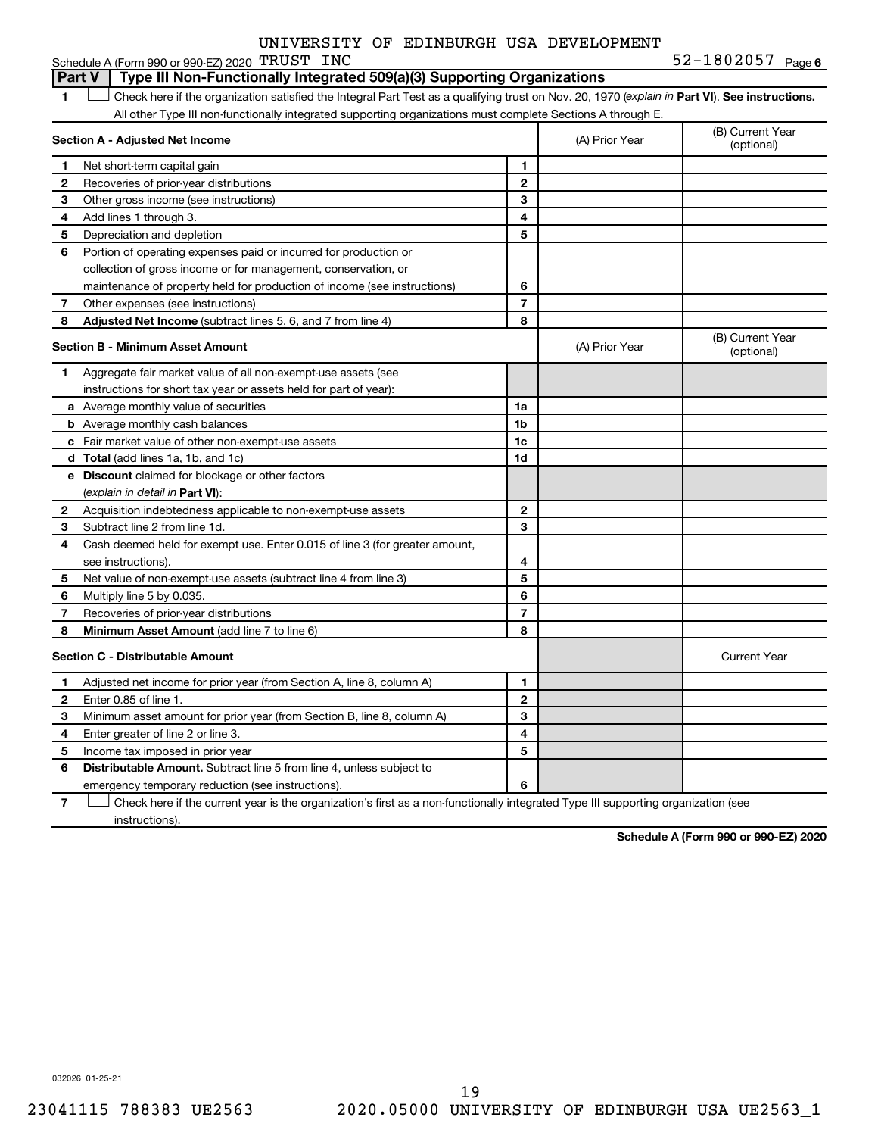| UNIVERSITY OF EDINBURGH USA DEVELOPMENT |  |
|-----------------------------------------|--|
|-----------------------------------------|--|

|              | UNIVERSITY OF EDINBURGH USA DEVELOPMENT                                                                                                                                                                                                                       |                |                |                                |
|--------------|---------------------------------------------------------------------------------------------------------------------------------------------------------------------------------------------------------------------------------------------------------------|----------------|----------------|--------------------------------|
|              | Schedule A (Form 990 or 990-EZ) 2020 TRUST INC                                                                                                                                                                                                                |                |                | 52-1802057 Page 6              |
|              | Type III Non-Functionally Integrated 509(a)(3) Supporting Organizations<br><b>Part V</b>                                                                                                                                                                      |                |                |                                |
| 1            | Check here if the organization satisfied the Integral Part Test as a qualifying trust on Nov. 20, 1970 (explain in Part VI). See instructions.<br>All other Type III non-functionally integrated supporting organizations must complete Sections A through E. |                |                |                                |
|              |                                                                                                                                                                                                                                                               |                |                | (B) Current Year               |
|              | Section A - Adjusted Net Income                                                                                                                                                                                                                               |                | (A) Prior Year | (optional)                     |
| 1            | Net short-term capital gain                                                                                                                                                                                                                                   | 1              |                |                                |
| $\mathbf{2}$ | Recoveries of prior-year distributions                                                                                                                                                                                                                        | $\mathbf{2}$   |                |                                |
| 3            | Other gross income (see instructions)                                                                                                                                                                                                                         | 3              |                |                                |
| 4            | Add lines 1 through 3.                                                                                                                                                                                                                                        | 4              |                |                                |
| 5            | Depreciation and depletion                                                                                                                                                                                                                                    | 5              |                |                                |
| 6            | Portion of operating expenses paid or incurred for production or                                                                                                                                                                                              |                |                |                                |
|              | collection of gross income or for management, conservation, or                                                                                                                                                                                                |                |                |                                |
|              | maintenance of property held for production of income (see instructions)                                                                                                                                                                                      | 6              |                |                                |
| 7            | Other expenses (see instructions)                                                                                                                                                                                                                             | $\overline{7}$ |                |                                |
| 8            | <b>Adjusted Net Income</b> (subtract lines 5, 6, and 7 from line 4)                                                                                                                                                                                           | 8              |                |                                |
|              | <b>Section B - Minimum Asset Amount</b>                                                                                                                                                                                                                       |                | (A) Prior Year | (B) Current Year<br>(optional) |
| 1            | Aggregate fair market value of all non-exempt-use assets (see                                                                                                                                                                                                 |                |                |                                |
|              | instructions for short tax year or assets held for part of year):                                                                                                                                                                                             |                |                |                                |
|              | a Average monthly value of securities                                                                                                                                                                                                                         | 1a             |                |                                |
|              | <b>b</b> Average monthly cash balances                                                                                                                                                                                                                        | 1b             |                |                                |
|              | c Fair market value of other non-exempt-use assets                                                                                                                                                                                                            | 1c             |                |                                |
|              | d Total (add lines 1a, 1b, and 1c)                                                                                                                                                                                                                            | 1d             |                |                                |
|              | e Discount claimed for blockage or other factors                                                                                                                                                                                                              |                |                |                                |
|              | (explain in detail in Part VI):                                                                                                                                                                                                                               |                |                |                                |
| 2            | Acquisition indebtedness applicable to non-exempt-use assets                                                                                                                                                                                                  | $\mathbf{2}$   |                |                                |
| 3            | Subtract line 2 from line 1d.                                                                                                                                                                                                                                 | 3              |                |                                |
| 4            | Cash deemed held for exempt use. Enter 0.015 of line 3 (for greater amount,                                                                                                                                                                                   |                |                |                                |
|              | see instructions).                                                                                                                                                                                                                                            | 4              |                |                                |
| 5            | Net value of non-exempt-use assets (subtract line 4 from line 3)                                                                                                                                                                                              | 5              |                |                                |
| 6            | Multiply line 5 by 0.035.                                                                                                                                                                                                                                     | 6              |                |                                |
| 7            | Recoveries of prior-year distributions                                                                                                                                                                                                                        | $\overline{7}$ |                |                                |
| 8            | Minimum Asset Amount (add line 7 to line 6)                                                                                                                                                                                                                   | 8              |                |                                |
|              | <b>Section C - Distributable Amount</b>                                                                                                                                                                                                                       |                |                | <b>Current Year</b>            |
| $\mathbf 1$  | Adjusted net income for prior year (from Section A, line 8, column A)                                                                                                                                                                                         | 1              |                |                                |
| 2            | Enter 0.85 of line 1.                                                                                                                                                                                                                                         | $\mathbf{2}$   |                |                                |
| 3            | Minimum asset amount for prior year (from Section B, line 8, column A)                                                                                                                                                                                        | 3              |                |                                |
| 4            | Enter greater of line 2 or line 3.                                                                                                                                                                                                                            | 4              |                |                                |
| 5            | Income tax imposed in prior year                                                                                                                                                                                                                              | 5              |                |                                |
| 6            | <b>Distributable Amount.</b> Subtract line 5 from line 4, unless subject to                                                                                                                                                                                   |                |                |                                |
|              | emergency temporary reduction (see instructions).                                                                                                                                                                                                             | 6              |                |                                |

**7** Check here if the current year is the organization's first as a non-functionally integrated Type III supporting organization (see † instructions).

**Schedule A (Form 990 or 990-EZ) 2020**

032026 01-25-21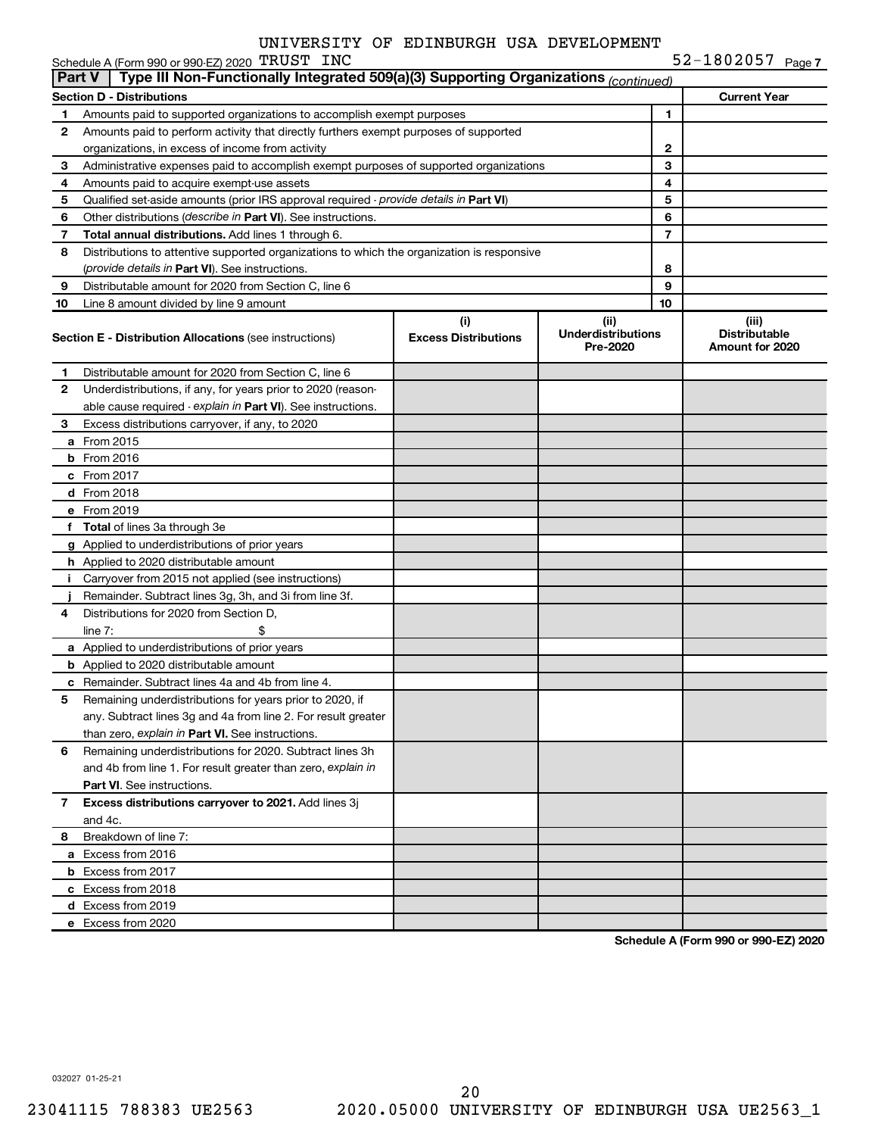Schedule A (Form 990 or 990-EZ) 2020 TRUST INC

| <b>Part V</b> | Type III Non-Functionally Integrated 509(a)(3) Supporting Organizations (continued)        |                             |                                       |    |                                         |
|---------------|--------------------------------------------------------------------------------------------|-----------------------------|---------------------------------------|----|-----------------------------------------|
|               | <b>Section D - Distributions</b>                                                           |                             |                                       |    | <b>Current Year</b>                     |
| 1             | Amounts paid to supported organizations to accomplish exempt purposes                      |                             |                                       | 1  |                                         |
| 2             | Amounts paid to perform activity that directly furthers exempt purposes of supported       |                             |                                       |    |                                         |
|               | organizations, in excess of income from activity                                           |                             |                                       | 2  |                                         |
| 3             | Administrative expenses paid to accomplish exempt purposes of supported organizations      |                             |                                       | 3  |                                         |
| 4             | Amounts paid to acquire exempt-use assets                                                  |                             |                                       | 4  |                                         |
| 5             | Qualified set-aside amounts (prior IRS approval required - provide details in Part VI)     |                             |                                       | 5  |                                         |
| 6             | Other distributions ( <i>describe in Part VI</i> ). See instructions.                      |                             |                                       | 6  |                                         |
| 7             | Total annual distributions. Add lines 1 through 6.                                         |                             |                                       | 7  |                                         |
| 8             | Distributions to attentive supported organizations to which the organization is responsive |                             |                                       |    |                                         |
|               | ( <i>provide details in Part VI</i> ). See instructions.                                   |                             |                                       | 8  |                                         |
| 9             | Distributable amount for 2020 from Section C, line 6                                       |                             |                                       | 9  |                                         |
| 10            | Line 8 amount divided by line 9 amount                                                     |                             |                                       | 10 |                                         |
|               |                                                                                            | (i)                         | (ii)                                  |    | (iii)                                   |
|               | <b>Section E - Distribution Allocations (see instructions)</b>                             | <b>Excess Distributions</b> | <b>Underdistributions</b><br>Pre-2020 |    | <b>Distributable</b><br>Amount for 2020 |
| 1             | Distributable amount for 2020 from Section C, line 6                                       |                             |                                       |    |                                         |
| 2             | Underdistributions, if any, for years prior to 2020 (reason-                               |                             |                                       |    |                                         |
|               | able cause required - explain in Part VI). See instructions.                               |                             |                                       |    |                                         |
| 3             | Excess distributions carryover, if any, to 2020                                            |                             |                                       |    |                                         |
|               | a From 2015                                                                                |                             |                                       |    |                                         |
|               | $b$ From 2016                                                                              |                             |                                       |    |                                         |
|               | c From 2017                                                                                |                             |                                       |    |                                         |
|               | <b>d</b> From 2018                                                                         |                             |                                       |    |                                         |
|               | e From 2019                                                                                |                             |                                       |    |                                         |
|               | f Total of lines 3a through 3e                                                             |                             |                                       |    |                                         |
|               | g Applied to underdistributions of prior years                                             |                             |                                       |    |                                         |
|               | <b>h</b> Applied to 2020 distributable amount                                              |                             |                                       |    |                                         |
| Ť.            | Carryover from 2015 not applied (see instructions)                                         |                             |                                       |    |                                         |
|               | Remainder. Subtract lines 3g, 3h, and 3i from line 3f.                                     |                             |                                       |    |                                         |
| 4             | Distributions for 2020 from Section D,                                                     |                             |                                       |    |                                         |
|               | line $7:$                                                                                  |                             |                                       |    |                                         |
|               | a Applied to underdistributions of prior years                                             |                             |                                       |    |                                         |
|               | <b>b</b> Applied to 2020 distributable amount                                              |                             |                                       |    |                                         |
|               | c Remainder. Subtract lines 4a and 4b from line 4.                                         |                             |                                       |    |                                         |
| 5             | Remaining underdistributions for years prior to 2020, if                                   |                             |                                       |    |                                         |
|               | any. Subtract lines 3g and 4a from line 2. For result greater                              |                             |                                       |    |                                         |
|               | than zero, explain in Part VI. See instructions.                                           |                             |                                       |    |                                         |
| 6             | Remaining underdistributions for 2020. Subtract lines 3h                                   |                             |                                       |    |                                         |
|               | and 4b from line 1. For result greater than zero, explain in                               |                             |                                       |    |                                         |
|               | <b>Part VI.</b> See instructions.                                                          |                             |                                       |    |                                         |
| 7             | Excess distributions carryover to 2021. Add lines 3j                                       |                             |                                       |    |                                         |
|               | and 4c.                                                                                    |                             |                                       |    |                                         |
| 8             | Breakdown of line 7:                                                                       |                             |                                       |    |                                         |
|               | a Excess from 2016                                                                         |                             |                                       |    |                                         |
|               | <b>b</b> Excess from 2017                                                                  |                             |                                       |    |                                         |
|               | c Excess from 2018                                                                         |                             |                                       |    |                                         |
|               | d Excess from 2019                                                                         |                             |                                       |    |                                         |
|               | e Excess from 2020                                                                         |                             |                                       |    |                                         |
|               |                                                                                            |                             |                                       |    |                                         |

**Schedule A (Form 990 or 990-EZ) 2020**

032027 01-25-21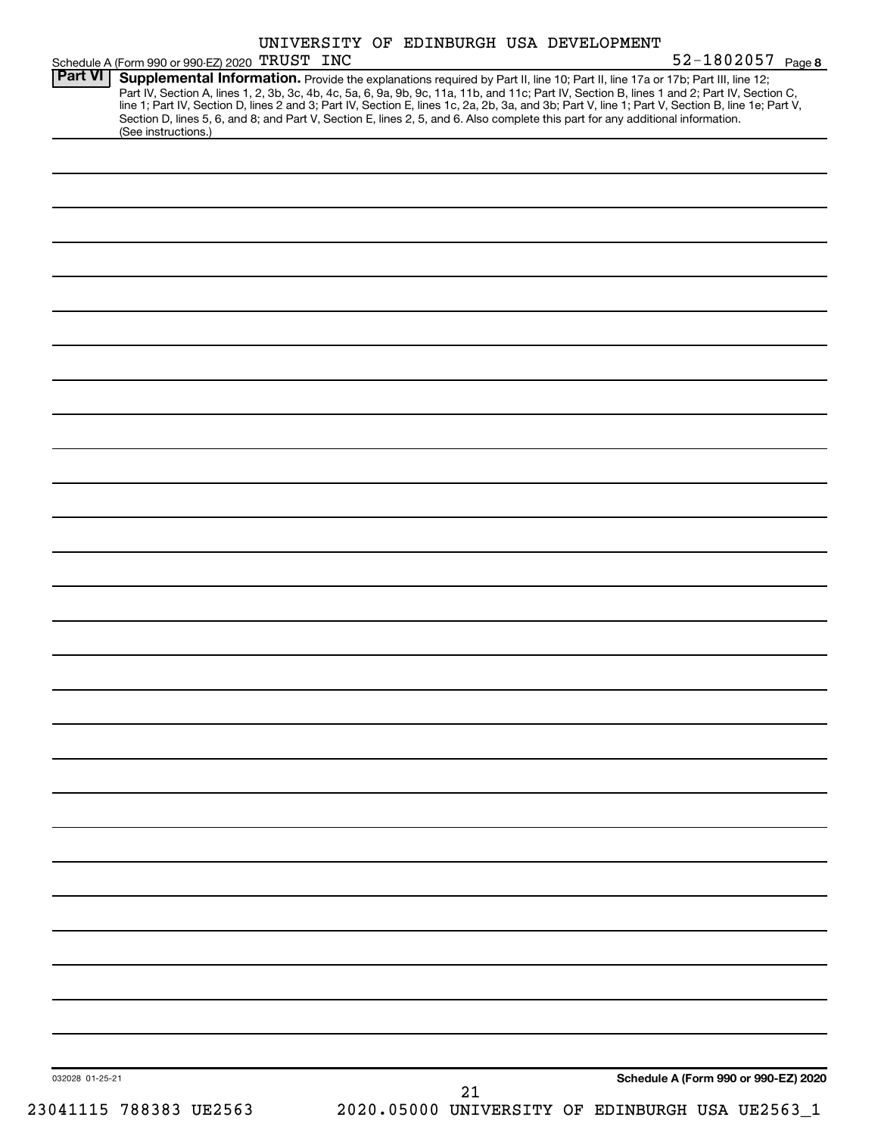|                 | Schedule A (Form 990 or 990-EZ) 2020 TRUST INC                                                                                                                                                                                                                                                                                                                                                                                    |  |  |    |  | UNIVERSITY OF EDINBURGH USA DEVELOPMENT | 52-1802057 Page 8                    |
|-----------------|-----------------------------------------------------------------------------------------------------------------------------------------------------------------------------------------------------------------------------------------------------------------------------------------------------------------------------------------------------------------------------------------------------------------------------------|--|--|----|--|-----------------------------------------|--------------------------------------|
| <b>Part VI</b>  | Supplemental Information. Provide the explanations required by Part II, line 10; Part II, line 17a or 17b; Part III, line 12;<br>Part IV, Section A, lines 1, 2, 3b, 3c, 4b, 4c, 5a, 6, 9a, 9b, 9c, 11a, 11b, and 11c; Part IV, Section B, lines 1 and 2; Part IV, Section C,<br>line 1; Part IV, Section D, lines 2 and 3; Part IV, Section E, lines 1c, 2a, 2b, 3a, and 3b; Part V, line 1; Part V, Section B, line 1e; Part V, |  |  |    |  |                                         |                                      |
|                 | Section D, lines 5, 6, and 8; and Part V, Section E, lines 2, 5, and 6. Also complete this part for any additional information.<br>(See instructions.)                                                                                                                                                                                                                                                                            |  |  |    |  |                                         |                                      |
|                 |                                                                                                                                                                                                                                                                                                                                                                                                                                   |  |  |    |  |                                         |                                      |
|                 |                                                                                                                                                                                                                                                                                                                                                                                                                                   |  |  |    |  |                                         |                                      |
|                 |                                                                                                                                                                                                                                                                                                                                                                                                                                   |  |  |    |  |                                         |                                      |
|                 |                                                                                                                                                                                                                                                                                                                                                                                                                                   |  |  |    |  |                                         |                                      |
|                 |                                                                                                                                                                                                                                                                                                                                                                                                                                   |  |  |    |  |                                         |                                      |
|                 |                                                                                                                                                                                                                                                                                                                                                                                                                                   |  |  |    |  |                                         |                                      |
|                 |                                                                                                                                                                                                                                                                                                                                                                                                                                   |  |  |    |  |                                         |                                      |
|                 |                                                                                                                                                                                                                                                                                                                                                                                                                                   |  |  |    |  |                                         |                                      |
|                 |                                                                                                                                                                                                                                                                                                                                                                                                                                   |  |  |    |  |                                         |                                      |
|                 |                                                                                                                                                                                                                                                                                                                                                                                                                                   |  |  |    |  |                                         |                                      |
|                 |                                                                                                                                                                                                                                                                                                                                                                                                                                   |  |  |    |  |                                         |                                      |
|                 |                                                                                                                                                                                                                                                                                                                                                                                                                                   |  |  |    |  |                                         |                                      |
|                 |                                                                                                                                                                                                                                                                                                                                                                                                                                   |  |  |    |  |                                         |                                      |
|                 |                                                                                                                                                                                                                                                                                                                                                                                                                                   |  |  |    |  |                                         |                                      |
|                 |                                                                                                                                                                                                                                                                                                                                                                                                                                   |  |  |    |  |                                         |                                      |
|                 |                                                                                                                                                                                                                                                                                                                                                                                                                                   |  |  |    |  |                                         |                                      |
|                 |                                                                                                                                                                                                                                                                                                                                                                                                                                   |  |  |    |  |                                         |                                      |
|                 |                                                                                                                                                                                                                                                                                                                                                                                                                                   |  |  |    |  |                                         |                                      |
|                 |                                                                                                                                                                                                                                                                                                                                                                                                                                   |  |  |    |  |                                         |                                      |
|                 |                                                                                                                                                                                                                                                                                                                                                                                                                                   |  |  |    |  |                                         |                                      |
|                 |                                                                                                                                                                                                                                                                                                                                                                                                                                   |  |  |    |  |                                         |                                      |
|                 |                                                                                                                                                                                                                                                                                                                                                                                                                                   |  |  |    |  |                                         |                                      |
|                 |                                                                                                                                                                                                                                                                                                                                                                                                                                   |  |  |    |  |                                         |                                      |
|                 |                                                                                                                                                                                                                                                                                                                                                                                                                                   |  |  |    |  |                                         |                                      |
|                 |                                                                                                                                                                                                                                                                                                                                                                                                                                   |  |  |    |  |                                         |                                      |
|                 |                                                                                                                                                                                                                                                                                                                                                                                                                                   |  |  |    |  |                                         |                                      |
|                 |                                                                                                                                                                                                                                                                                                                                                                                                                                   |  |  |    |  |                                         |                                      |
|                 |                                                                                                                                                                                                                                                                                                                                                                                                                                   |  |  |    |  |                                         |                                      |
|                 |                                                                                                                                                                                                                                                                                                                                                                                                                                   |  |  |    |  |                                         |                                      |
| 032028 01-25-21 |                                                                                                                                                                                                                                                                                                                                                                                                                                   |  |  | 21 |  |                                         | Schedule A (Form 990 or 990-EZ) 2020 |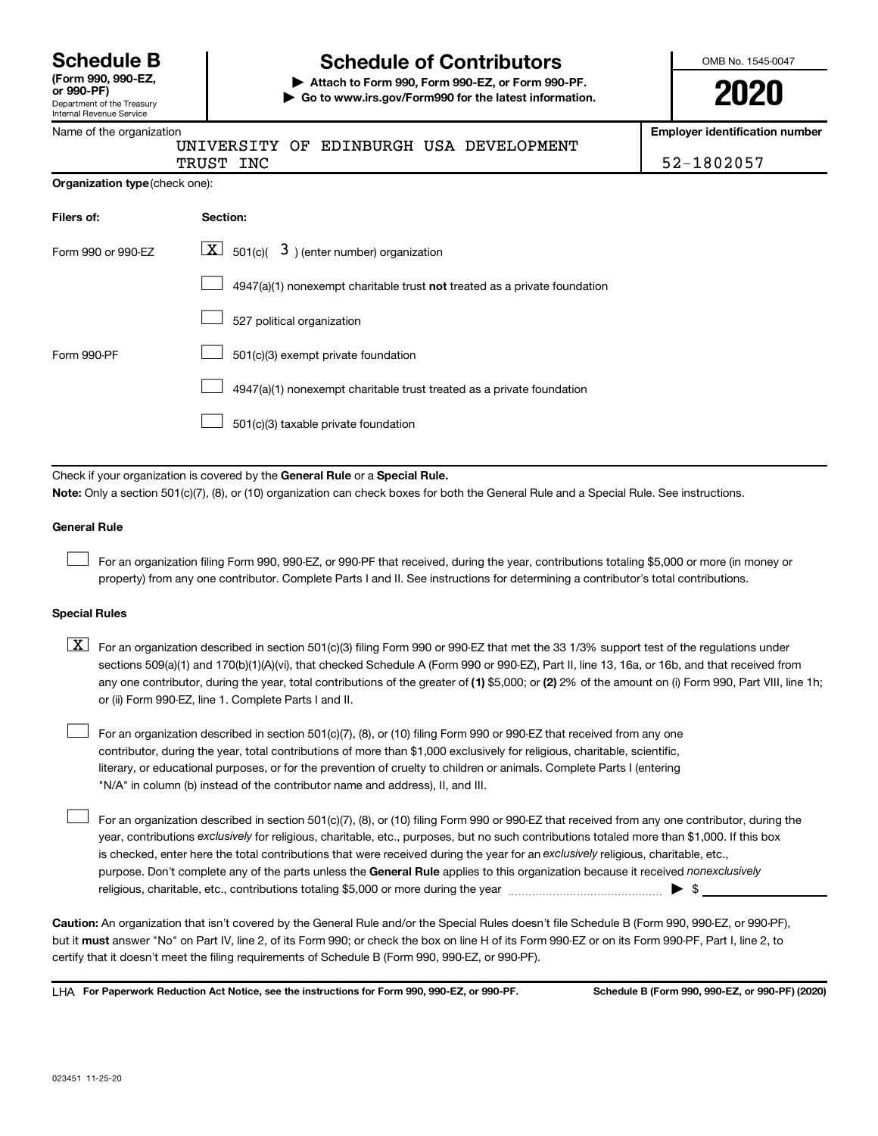Department of the Treasury Internal Revenue Service **(Form 990, 990-EZ,**

# **Schedule B Schedule of Contributors**

**or 990-PF) | Attach to Form 990, Form 990-EZ, or Form 990-PF. | Go to www.irs.gov/Form990 for the latest information.** OMB No. 1545-0047

**2020**

**Employer identification number**

| Name of the organization |    |
|--------------------------|----|
|                          | UN |

**Organization type** (check one):

UNIVERSITY OF EDINBURGH USA DEVELOPMENT

| ------ | ٠<br>∽<br>--- |  |  |
|--------|---------------|--|--|
|        |               |  |  |

52-1802057

| Filers of:         | Section:                                                                  |
|--------------------|---------------------------------------------------------------------------|
| Form 990 or 990-EZ | $\lfloor \mathbf{X} \rfloor$ 501(c)( 3) (enter number) organization       |
|                    | 4947(a)(1) nonexempt charitable trust not treated as a private foundation |
|                    | 527 political organization                                                |
| Form 990-PF        | 501(c)(3) exempt private foundation                                       |
|                    | 4947(a)(1) nonexempt charitable trust treated as a private foundation     |
|                    | 501(c)(3) taxable private foundation                                      |

Check if your organization is covered by the General Rule or a Special Rule. **Note:**  Only a section 501(c)(7), (8), or (10) organization can check boxes for both the General Rule and a Special Rule. See instructions.

#### **General Rule**

 $\Box$ 

 $\Box$ 

For an organization filing Form 990, 990-EZ, or 990-PF that received, during the year, contributions totaling \$5,000 or more (in money or property) from any one contributor. Complete Parts I and II. See instructions for determining a contributor's total contributions.

### **Special Rules**

any one contributor, during the year, total contributions of the greater of (1) \$5,000; or (2) 2% of the amount on (i) Form 990, Part VIII, line 1h;  $\boxed{\text{X}}$  For an organization described in section 501(c)(3) filing Form 990 or 990-EZ that met the 33 1/3% support test of the regulations under sections 509(a)(1) and 170(b)(1)(A)(vi), that checked Schedule A (Form 990 or 990-EZ), Part II, line 13, 16a, or 16b, and that received from or (ii) Form 990-EZ, line 1. Complete Parts I and II.

For an organization described in section 501(c)(7), (8), or (10) filing Form 990 or 990-EZ that received from any one contributor, during the year, total contributions of more than \$1,000 exclusively for religious, charitable, scientific, literary, or educational purposes, or for the prevention of cruelty to children or animals. Complete Parts I (entering "N/A" in column (b) instead of the contributor name and address), II, and III.  $\Box$ 

purpose. Don't complete any of the parts unless the General Rule applies to this organization because it received nonexclusively year, contributions exclusively for religious, charitable, etc., purposes, but no such contributions totaled more than \$1,000. If this box is checked, enter here the total contributions that were received during the year for an exclusively religious, charitable, etc., For an organization described in section 501(c)(7), (8), or (10) filing Form 990 or 990-EZ that received from any one contributor, during the religious, charitable, etc., contributions totaling \$5,000 or more during the year  $~\ldots\ldots\ldots\ldots\ldots\ldots\ldots\ldots\blacktriangleright~$ \$

**Caution:**  An organization that isn't covered by the General Rule and/or the Special Rules doesn't file Schedule B (Form 990, 990-EZ, or 990-PF),  **must** but it answer "No" on Part IV, line 2, of its Form 990; or check the box on line H of its Form 990-EZ or on its Form 990-PF, Part I, line 2, to certify that it doesn't meet the filing requirements of Schedule B (Form 990, 990-EZ, or 990-PF).

**For Paperwork Reduction Act Notice, see the instructions for Form 990, 990-EZ, or 990-PF. Schedule B (Form 990, 990-EZ, or 990-PF) (2020)** LHA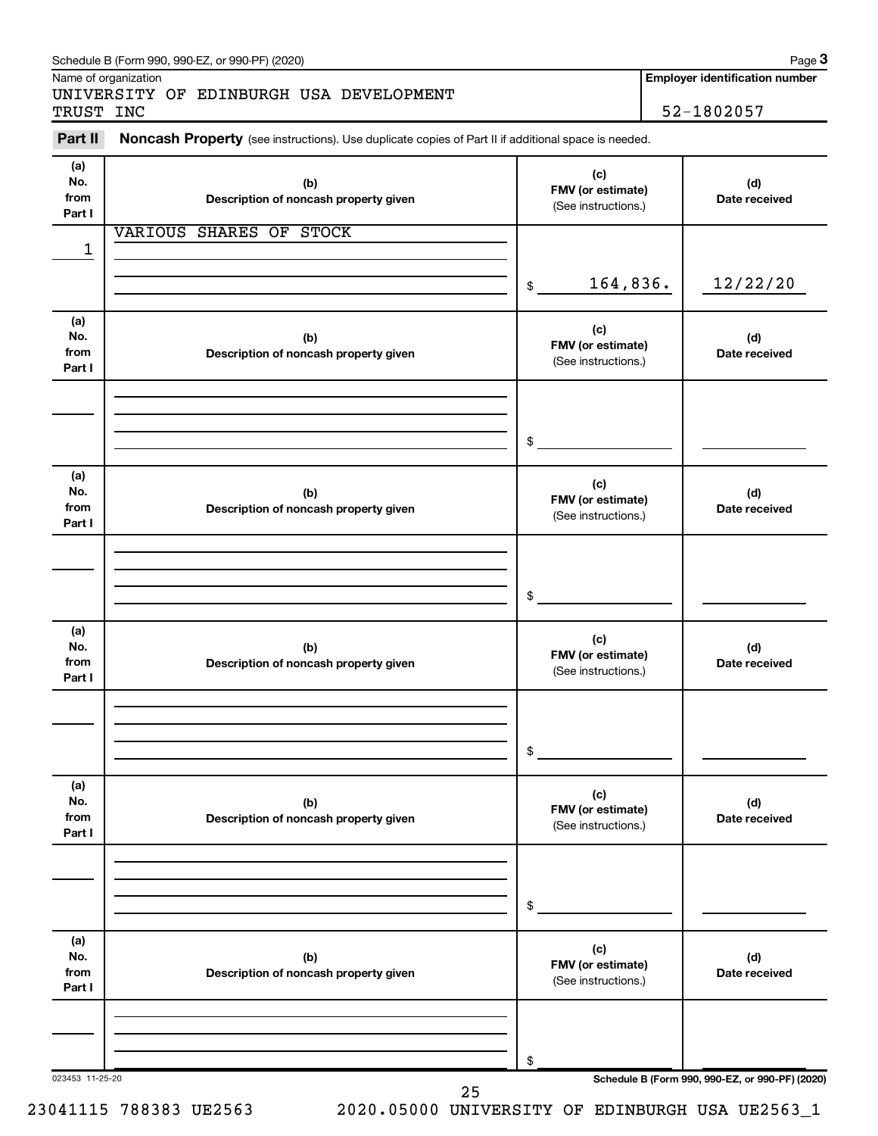|                              | UNIVERSITY OF EDINBURGH USA DEVELOPMENT                                                             |                                                 |                      |
|------------------------------|-----------------------------------------------------------------------------------------------------|-------------------------------------------------|----------------------|
| TRUST INC<br>Part II         | Noncash Property (see instructions). Use duplicate copies of Part II if additional space is needed. |                                                 | 52-1802057           |
|                              |                                                                                                     |                                                 |                      |
| (a)<br>No.<br>from<br>Part I | (b)<br>Description of noncash property given                                                        | (c)<br>FMV (or estimate)<br>(See instructions.) | (d)<br>Date received |
|                              | VARIOUS SHARES OF STOCK                                                                             |                                                 |                      |
| 1                            |                                                                                                     |                                                 |                      |
|                              |                                                                                                     | 164,836.<br>\$                                  | 12/22/20             |
| (a)<br>No.<br>from<br>Part I | (b)<br>Description of noncash property given                                                        | (c)<br>FMV (or estimate)<br>(See instructions.) | (d)<br>Date received |
|                              |                                                                                                     |                                                 |                      |
|                              |                                                                                                     | \$                                              |                      |
| (a)<br>No.<br>from<br>Part I | (b)<br>Description of noncash property given                                                        | (c)<br>FMV (or estimate)<br>(See instructions.) | (d)<br>Date received |
|                              |                                                                                                     | \$                                              |                      |
|                              |                                                                                                     |                                                 |                      |
| (a)<br>No.<br>from<br>Part I | (b)<br>Description of noncash property given                                                        | (c)<br>FMV (or estimate)<br>(See instructions.) | (d)<br>Date received |
|                              |                                                                                                     |                                                 |                      |
|                              |                                                                                                     | \$                                              |                      |
| (a)<br>No.<br>from<br>Part I | (b)<br>Description of noncash property given                                                        | (c)<br>FMV (or estimate)<br>(See instructions.) | (d)<br>Date received |
|                              |                                                                                                     |                                                 |                      |
|                              |                                                                                                     | \$                                              |                      |
| (a)<br>No.<br>from<br>Part I | (b)<br>Description of noncash property given                                                        | (c)<br>FMV (or estimate)<br>(See instructions.) | (d)<br>Date received |
|                              |                                                                                                     |                                                 |                      |
|                              |                                                                                                     | \$                                              |                      |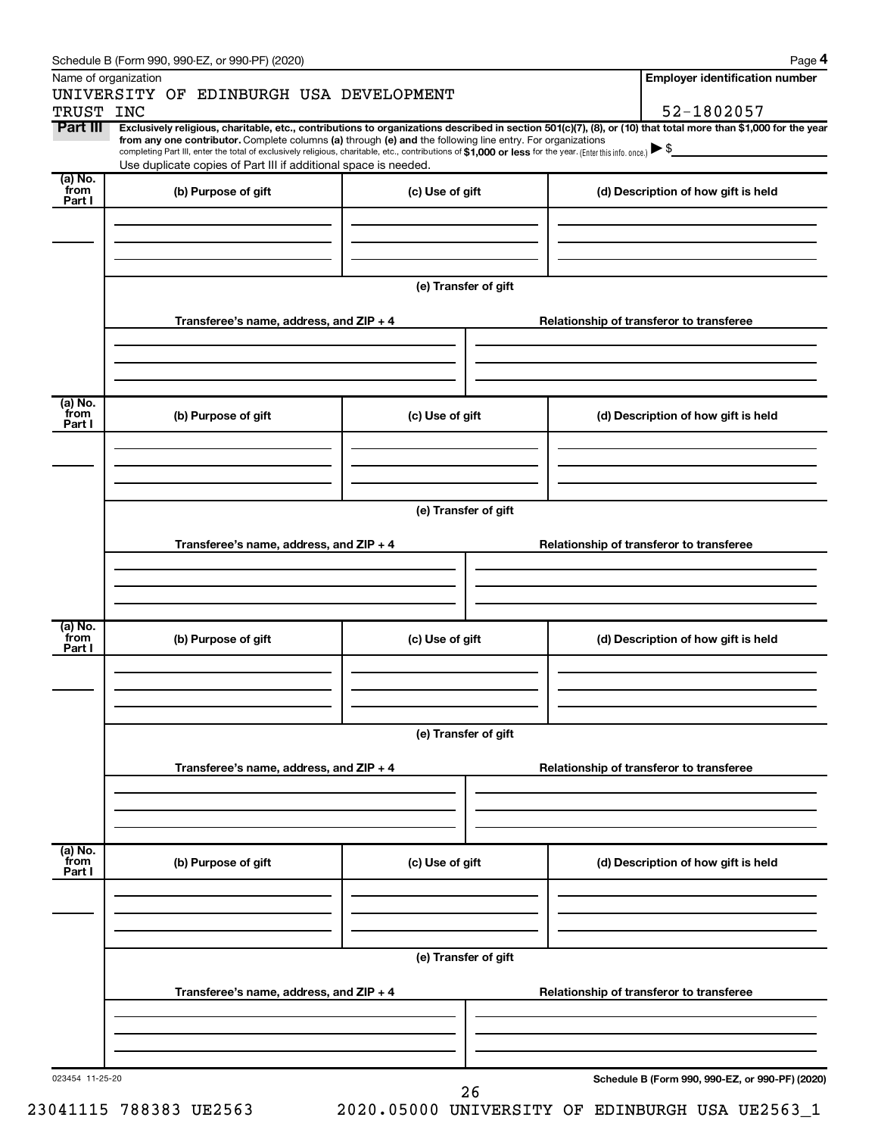|                       | Schedule B (Form 990, 990-EZ, or 990-PF) (2020)                                                                                                                                                                                                                                                 |                      | Page 4                                                                                                                                                         |  |  |  |  |  |
|-----------------------|-------------------------------------------------------------------------------------------------------------------------------------------------------------------------------------------------------------------------------------------------------------------------------------------------|----------------------|----------------------------------------------------------------------------------------------------------------------------------------------------------------|--|--|--|--|--|
| Name of organization  |                                                                                                                                                                                                                                                                                                 |                      | <b>Employer identification number</b>                                                                                                                          |  |  |  |  |  |
|                       | UNIVERSITY OF EDINBURGH USA DEVELOPMENT                                                                                                                                                                                                                                                         |                      | 52-1802057                                                                                                                                                     |  |  |  |  |  |
| TRUST INC<br>Part III |                                                                                                                                                                                                                                                                                                 |                      | Exclusively religious, charitable, etc., contributions to organizations described in section 501(c)(7), (8), or (10) that total more than \$1,000 for the year |  |  |  |  |  |
|                       | from any one contributor. Complete columns (a) through (e) and the following line entry. For organizations<br>completing Part III, enter the total of exclusively religious, charitable, etc., contributions of \$1,000 or less for the year. (Enter this info. once.) $\blacktriangleright$ \$ |                      |                                                                                                                                                                |  |  |  |  |  |
|                       | Use duplicate copies of Part III if additional space is needed.                                                                                                                                                                                                                                 |                      |                                                                                                                                                                |  |  |  |  |  |
| (a) No.<br>from       | (b) Purpose of gift                                                                                                                                                                                                                                                                             | (c) Use of gift      | (d) Description of how gift is held                                                                                                                            |  |  |  |  |  |
| Part I                |                                                                                                                                                                                                                                                                                                 |                      |                                                                                                                                                                |  |  |  |  |  |
|                       |                                                                                                                                                                                                                                                                                                 |                      |                                                                                                                                                                |  |  |  |  |  |
|                       |                                                                                                                                                                                                                                                                                                 |                      |                                                                                                                                                                |  |  |  |  |  |
|                       |                                                                                                                                                                                                                                                                                                 |                      |                                                                                                                                                                |  |  |  |  |  |
|                       |                                                                                                                                                                                                                                                                                                 | (e) Transfer of gift |                                                                                                                                                                |  |  |  |  |  |
|                       | Transferee's name, address, and ZIP + 4                                                                                                                                                                                                                                                         |                      | Relationship of transferor to transferee                                                                                                                       |  |  |  |  |  |
|                       |                                                                                                                                                                                                                                                                                                 |                      |                                                                                                                                                                |  |  |  |  |  |
|                       |                                                                                                                                                                                                                                                                                                 |                      |                                                                                                                                                                |  |  |  |  |  |
|                       |                                                                                                                                                                                                                                                                                                 |                      |                                                                                                                                                                |  |  |  |  |  |
| (a) No.               |                                                                                                                                                                                                                                                                                                 |                      |                                                                                                                                                                |  |  |  |  |  |
| from<br>Part I        | (b) Purpose of gift                                                                                                                                                                                                                                                                             | (c) Use of gift      | (d) Description of how gift is held                                                                                                                            |  |  |  |  |  |
|                       |                                                                                                                                                                                                                                                                                                 |                      |                                                                                                                                                                |  |  |  |  |  |
|                       |                                                                                                                                                                                                                                                                                                 |                      |                                                                                                                                                                |  |  |  |  |  |
|                       |                                                                                                                                                                                                                                                                                                 |                      |                                                                                                                                                                |  |  |  |  |  |
|                       |                                                                                                                                                                                                                                                                                                 | (e) Transfer of gift |                                                                                                                                                                |  |  |  |  |  |
|                       |                                                                                                                                                                                                                                                                                                 |                      |                                                                                                                                                                |  |  |  |  |  |
|                       | Transferee's name, address, and $ZIP + 4$                                                                                                                                                                                                                                                       |                      | Relationship of transferor to transferee                                                                                                                       |  |  |  |  |  |
|                       |                                                                                                                                                                                                                                                                                                 |                      |                                                                                                                                                                |  |  |  |  |  |
|                       |                                                                                                                                                                                                                                                                                                 |                      |                                                                                                                                                                |  |  |  |  |  |
|                       |                                                                                                                                                                                                                                                                                                 |                      |                                                                                                                                                                |  |  |  |  |  |
| (a) No.<br>from       | (b) Purpose of gift                                                                                                                                                                                                                                                                             |                      | (d) Description of how gift is held                                                                                                                            |  |  |  |  |  |
| Part I                |                                                                                                                                                                                                                                                                                                 | (c) Use of gift      |                                                                                                                                                                |  |  |  |  |  |
|                       |                                                                                                                                                                                                                                                                                                 |                      |                                                                                                                                                                |  |  |  |  |  |
|                       |                                                                                                                                                                                                                                                                                                 |                      |                                                                                                                                                                |  |  |  |  |  |
|                       |                                                                                                                                                                                                                                                                                                 |                      |                                                                                                                                                                |  |  |  |  |  |
|                       |                                                                                                                                                                                                                                                                                                 | (e) Transfer of gift |                                                                                                                                                                |  |  |  |  |  |
|                       |                                                                                                                                                                                                                                                                                                 |                      |                                                                                                                                                                |  |  |  |  |  |
|                       | Transferee's name, address, and ZIP + 4                                                                                                                                                                                                                                                         |                      | Relationship of transferor to transferee                                                                                                                       |  |  |  |  |  |
|                       |                                                                                                                                                                                                                                                                                                 |                      |                                                                                                                                                                |  |  |  |  |  |
|                       |                                                                                                                                                                                                                                                                                                 |                      |                                                                                                                                                                |  |  |  |  |  |
|                       |                                                                                                                                                                                                                                                                                                 |                      |                                                                                                                                                                |  |  |  |  |  |
| (a) No.<br>from       | (b) Purpose of gift                                                                                                                                                                                                                                                                             | (c) Use of gift      | (d) Description of how gift is held                                                                                                                            |  |  |  |  |  |
| Part I                |                                                                                                                                                                                                                                                                                                 |                      |                                                                                                                                                                |  |  |  |  |  |
|                       |                                                                                                                                                                                                                                                                                                 |                      |                                                                                                                                                                |  |  |  |  |  |
|                       |                                                                                                                                                                                                                                                                                                 |                      |                                                                                                                                                                |  |  |  |  |  |
|                       |                                                                                                                                                                                                                                                                                                 |                      |                                                                                                                                                                |  |  |  |  |  |
|                       |                                                                                                                                                                                                                                                                                                 | (e) Transfer of gift |                                                                                                                                                                |  |  |  |  |  |
|                       | Transferee's name, address, and ZIP + 4                                                                                                                                                                                                                                                         |                      | Relationship of transferor to transferee                                                                                                                       |  |  |  |  |  |
|                       |                                                                                                                                                                                                                                                                                                 |                      |                                                                                                                                                                |  |  |  |  |  |
|                       |                                                                                                                                                                                                                                                                                                 |                      |                                                                                                                                                                |  |  |  |  |  |
|                       |                                                                                                                                                                                                                                                                                                 |                      |                                                                                                                                                                |  |  |  |  |  |
| 023454 11-25-20       |                                                                                                                                                                                                                                                                                                 |                      | Schedule B (Form 990, 990-EZ, or 990-PF) (2020)                                                                                                                |  |  |  |  |  |
|                       |                                                                                                                                                                                                                                                                                                 |                      |                                                                                                                                                                |  |  |  |  |  |

23041115 788383 UE2563 2020.05000 UNIVERSITY OF EDINBURGH USA UE2563\_1

26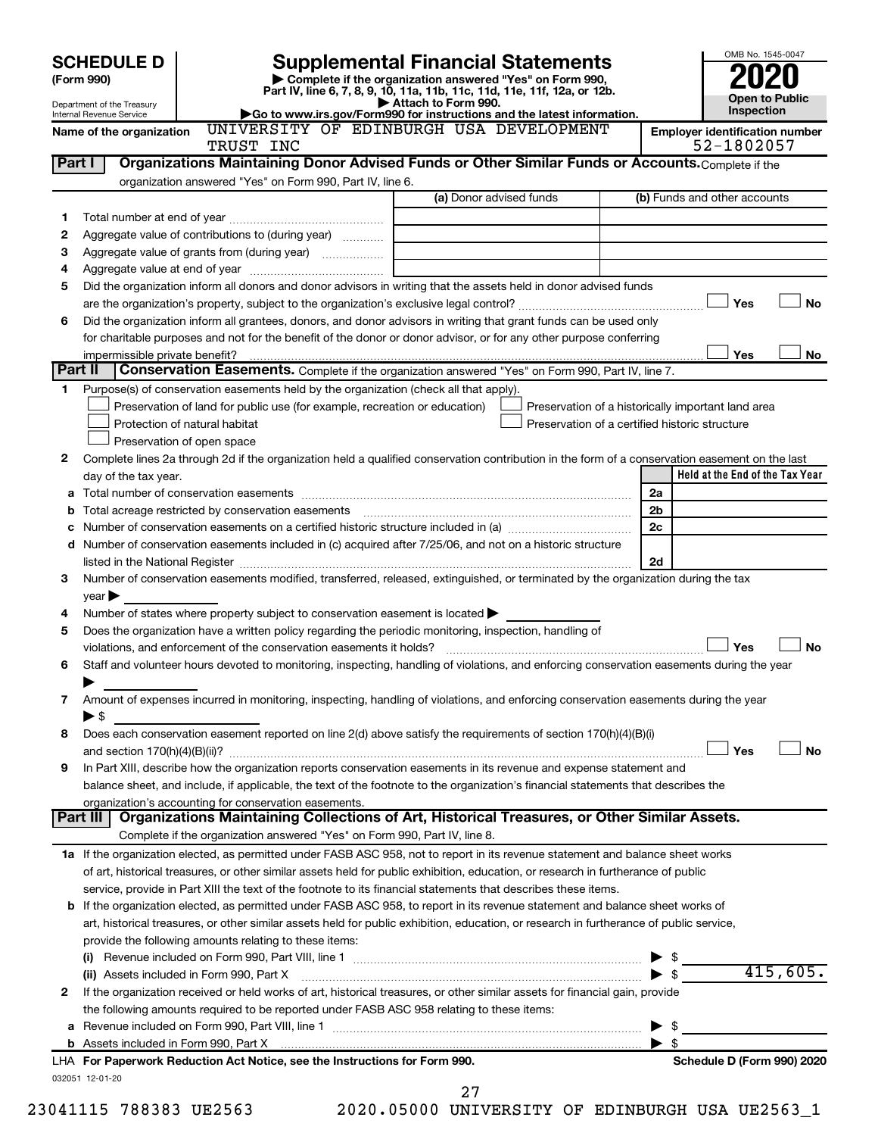|         | <b>SCHEDULE D</b>              | <b>Supplemental Financial Statements</b>                                                                                                                                                                                                |                         |                                                    |     |                                                     | OMB No. 1545-0047     |
|---------|--------------------------------|-----------------------------------------------------------------------------------------------------------------------------------------------------------------------------------------------------------------------------------------|-------------------------|----------------------------------------------------|-----|-----------------------------------------------------|-----------------------|
|         | (Form 990)                     | Complete if the organization answered "Yes" on Form 990,                                                                                                                                                                                |                         |                                                    |     |                                                     |                       |
|         | Department of the Treasury     | Part IV, line 6, 7, 8, 9, 10, 11a, 11b, 11c, 11d, 11e, 11f, 12a, or 12b.                                                                                                                                                                | Attach to Form 990.     |                                                    |     |                                                     | <b>Open to Public</b> |
|         | Internal Revenue Service       | Go to www.irs.gov/Form990 for instructions and the latest information.                                                                                                                                                                  |                         |                                                    |     | Inspection                                          |                       |
|         | Name of the organization       | UNIVERSITY OF EDINBURGH USA DEVELOPMENT<br>TRUST INC                                                                                                                                                                                    |                         |                                                    |     | <b>Employer identification number</b><br>52-1802057 |                       |
| Part I  |                                | Organizations Maintaining Donor Advised Funds or Other Similar Funds or Accounts. Complete if the                                                                                                                                       |                         |                                                    |     |                                                     |                       |
|         |                                | organization answered "Yes" on Form 990, Part IV, line 6.                                                                                                                                                                               |                         |                                                    |     |                                                     |                       |
|         |                                |                                                                                                                                                                                                                                         | (a) Donor advised funds |                                                    |     | (b) Funds and other accounts                        |                       |
| 1       |                                |                                                                                                                                                                                                                                         |                         |                                                    |     |                                                     |                       |
| 2       |                                | Aggregate value of contributions to (during year)                                                                                                                                                                                       |                         |                                                    |     |                                                     |                       |
| з       |                                | Aggregate value of grants from (during year)                                                                                                                                                                                            |                         |                                                    |     |                                                     |                       |
| 4       |                                |                                                                                                                                                                                                                                         |                         |                                                    |     |                                                     |                       |
| 5       |                                | Did the organization inform all donors and donor advisors in writing that the assets held in donor advised funds                                                                                                                        |                         |                                                    |     |                                                     |                       |
|         |                                |                                                                                                                                                                                                                                         |                         |                                                    |     | Yes                                                 | <b>No</b>             |
| 6       |                                | Did the organization inform all grantees, donors, and donor advisors in writing that grant funds can be used only<br>for charitable purposes and not for the benefit of the donor or donor advisor, or for any other purpose conferring |                         |                                                    |     |                                                     |                       |
|         | impermissible private benefit? |                                                                                                                                                                                                                                         |                         |                                                    |     | Yes                                                 | No                    |
| Part II |                                | Conservation Easements. Complete if the organization answered "Yes" on Form 990, Part IV, line 7.                                                                                                                                       |                         |                                                    |     |                                                     |                       |
| 1.      |                                | Purpose(s) of conservation easements held by the organization (check all that apply).                                                                                                                                                   |                         |                                                    |     |                                                     |                       |
|         |                                | Preservation of land for public use (for example, recreation or education)                                                                                                                                                              |                         | Preservation of a historically important land area |     |                                                     |                       |
|         |                                | Protection of natural habitat                                                                                                                                                                                                           |                         | Preservation of a certified historic structure     |     |                                                     |                       |
|         |                                | Preservation of open space                                                                                                                                                                                                              |                         |                                                    |     |                                                     |                       |
| 2       |                                | Complete lines 2a through 2d if the organization held a qualified conservation contribution in the form of a conservation easement on the last                                                                                          |                         |                                                    |     |                                                     |                       |
|         | day of the tax year.           |                                                                                                                                                                                                                                         |                         |                                                    |     | Held at the End of the Tax Year                     |                       |
| а       |                                |                                                                                                                                                                                                                                         |                         |                                                    | 2a  |                                                     |                       |
| b       |                                |                                                                                                                                                                                                                                         |                         |                                                    | 2b  |                                                     |                       |
| c       |                                |                                                                                                                                                                                                                                         |                         |                                                    | 2c  |                                                     |                       |
| d       |                                | Number of conservation easements included in (c) acquired after 7/25/06, and not on a historic structure                                                                                                                                |                         |                                                    |     |                                                     |                       |
| З       |                                | Number of conservation easements modified, transferred, released, extinguished, or terminated by the organization during the tax                                                                                                        |                         |                                                    | 2d  |                                                     |                       |
|         | $year \triangleright$          |                                                                                                                                                                                                                                         |                         |                                                    |     |                                                     |                       |
| 4       |                                | Number of states where property subject to conservation easement is located $\blacktriangleright$                                                                                                                                       |                         |                                                    |     |                                                     |                       |
| 5       |                                | Does the organization have a written policy regarding the periodic monitoring, inspection, handling of                                                                                                                                  |                         |                                                    |     |                                                     |                       |
|         |                                |                                                                                                                                                                                                                                         |                         |                                                    |     | Yes                                                 | <b>No</b>             |
| 6       |                                | Staff and volunteer hours devoted to monitoring, inspecting, handling of violations, and enforcing conservation easements during the year                                                                                               |                         |                                                    |     |                                                     |                       |
|         |                                |                                                                                                                                                                                                                                         |                         |                                                    |     |                                                     |                       |
| 7       |                                | Amount of expenses incurred in monitoring, inspecting, handling of violations, and enforcing conservation easements during the year                                                                                                     |                         |                                                    |     |                                                     |                       |
|         | $\blacktriangleright$ \$       |                                                                                                                                                                                                                                         |                         |                                                    |     |                                                     |                       |
| 8       |                                | Does each conservation easement reported on line 2(d) above satisfy the requirements of section 170(h)(4)(B)(i)                                                                                                                         |                         |                                                    |     |                                                     |                       |
| 9       |                                | In Part XIII, describe how the organization reports conservation easements in its revenue and expense statement and                                                                                                                     |                         |                                                    |     | Yes                                                 | <b>No</b>             |
|         |                                | balance sheet, and include, if applicable, the text of the footnote to the organization's financial statements that describes the                                                                                                       |                         |                                                    |     |                                                     |                       |
|         |                                | organization's accounting for conservation easements.                                                                                                                                                                                   |                         |                                                    |     |                                                     |                       |
|         | Part III                       | Organizations Maintaining Collections of Art, Historical Treasures, or Other Similar Assets.                                                                                                                                            |                         |                                                    |     |                                                     |                       |
|         |                                | Complete if the organization answered "Yes" on Form 990, Part IV, line 8.                                                                                                                                                               |                         |                                                    |     |                                                     |                       |
|         |                                | 1a If the organization elected, as permitted under FASB ASC 958, not to report in its revenue statement and balance sheet works                                                                                                         |                         |                                                    |     |                                                     |                       |
|         |                                | of art, historical treasures, or other similar assets held for public exhibition, education, or research in furtherance of public                                                                                                       |                         |                                                    |     |                                                     |                       |
|         |                                | service, provide in Part XIII the text of the footnote to its financial statements that describes these items.                                                                                                                          |                         |                                                    |     |                                                     |                       |
|         |                                | <b>b</b> If the organization elected, as permitted under FASB ASC 958, to report in its revenue statement and balance sheet works of                                                                                                    |                         |                                                    |     |                                                     |                       |
|         |                                | art, historical treasures, or other similar assets held for public exhibition, education, or research in furtherance of public service,                                                                                                 |                         |                                                    |     |                                                     |                       |
|         |                                | provide the following amounts relating to these items:                                                                                                                                                                                  |                         |                                                    |     |                                                     |                       |
|         |                                |                                                                                                                                                                                                                                         |                         |                                                    | \$  |                                                     | 415,605.              |
|         |                                | (ii) Assets included in Form 990, Part X<br>If the organization received or held works of art, historical treasures, or other similar assets for financial gain, provide                                                                |                         |                                                    | -\$ |                                                     |                       |
| 2       |                                | the following amounts required to be reported under FASB ASC 958 relating to these items:                                                                                                                                               |                         |                                                    |     |                                                     |                       |
|         |                                |                                                                                                                                                                                                                                         |                         |                                                    | \$  |                                                     |                       |
|         |                                |                                                                                                                                                                                                                                         |                         |                                                    | \$  |                                                     |                       |
|         |                                | LHA For Paperwork Reduction Act Notice, see the Instructions for Form 990.                                                                                                                                                              |                         |                                                    |     | Schedule D (Form 990) 2020                          |                       |
|         | 032051 12-01-20                |                                                                                                                                                                                                                                         |                         |                                                    |     |                                                     |                       |
|         |                                |                                                                                                                                                                                                                                         | 27                      |                                                    |     |                                                     |                       |

23041115 788383 UE2563 2020.05000 UNIVERSITY OF EDINBURGH USA UE2563\_1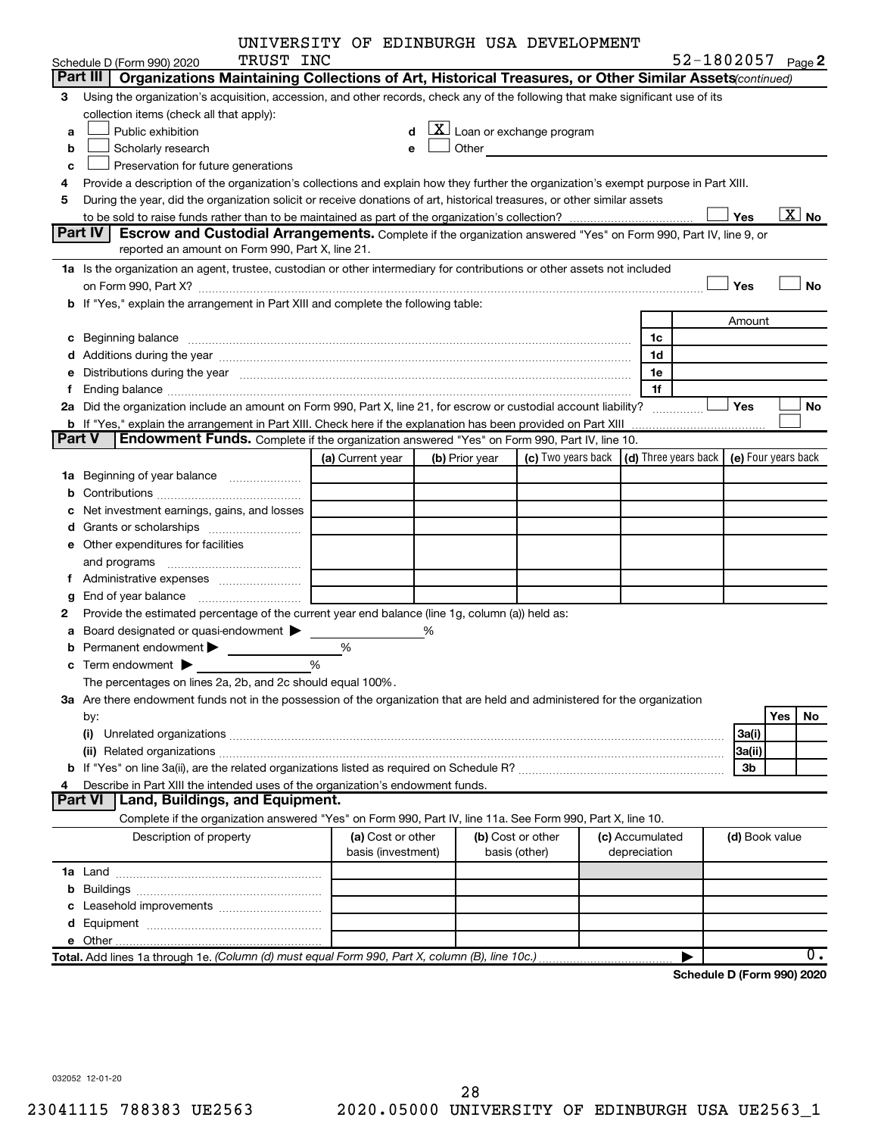|  |  | UNIVERSITY OF EDINBURGH USA DEVELOPMENT |
|--|--|-----------------------------------------|
|  |  |                                         |

|               | TRUST INC<br>Schedule D (Form 990) 2020                                                                                              | UNIVERSITI OF EDINBURGH USA DEVELOPMENT |   |                   |                              |                 |                      |                | 52-1802057 Page 2        |
|---------------|--------------------------------------------------------------------------------------------------------------------------------------|-----------------------------------------|---|-------------------|------------------------------|-----------------|----------------------|----------------|--------------------------|
|               | Organizations Maintaining Collections of Art, Historical Treasures, or Other Similar Assets(continued)<br>Part III                   |                                         |   |                   |                              |                 |                      |                |                          |
| 3             | Using the organization's acquisition, accession, and other records, check any of the following that make significant use of its      |                                         |   |                   |                              |                 |                      |                |                          |
|               | collection items (check all that apply):                                                                                             |                                         |   |                   |                              |                 |                      |                |                          |
| a             | Public exhibition                                                                                                                    |                                         |   |                   | $X$ Loan or exchange program |                 |                      |                |                          |
| b             | Scholarly research                                                                                                                   | e                                       |   | Other             |                              |                 |                      |                |                          |
| c             | Preservation for future generations                                                                                                  |                                         |   |                   |                              |                 |                      |                |                          |
| 4             | Provide a description of the organization's collections and explain how they further the organization's exempt purpose in Part XIII. |                                         |   |                   |                              |                 |                      |                |                          |
| 5             | During the year, did the organization solicit or receive donations of art, historical treasures, or other similar assets             |                                         |   |                   |                              |                 |                      |                |                          |
|               |                                                                                                                                      |                                         |   |                   |                              |                 |                      | Yes            | $\overline{\text{X}}$ No |
|               | Part IV<br><b>Escrow and Custodial Arrangements.</b> Complete if the organization answered "Yes" on Form 990, Part IV, line 9, or    |                                         |   |                   |                              |                 |                      |                |                          |
|               | reported an amount on Form 990, Part X, line 21.                                                                                     |                                         |   |                   |                              |                 |                      |                |                          |
|               | 1a Is the organization an agent, trustee, custodian or other intermediary for contributions or other assets not included             |                                         |   |                   |                              |                 |                      |                |                          |
|               |                                                                                                                                      |                                         |   |                   |                              |                 |                      | Yes            | No                       |
|               | b If "Yes," explain the arrangement in Part XIII and complete the following table:                                                   |                                         |   |                   |                              |                 |                      |                |                          |
|               |                                                                                                                                      |                                         |   |                   |                              |                 |                      | Amount         |                          |
|               | c Beginning balance                                                                                                                  |                                         |   |                   |                              | 1c              |                      |                |                          |
|               |                                                                                                                                      |                                         |   |                   |                              | 1d              |                      |                |                          |
|               | e Distributions during the year with the continuum continuum control of the basic of the state of the state of                       |                                         |   |                   |                              | 1e              |                      |                |                          |
| f.            |                                                                                                                                      |                                         |   |                   |                              | 1f              |                      |                |                          |
|               | 2a Did the organization include an amount on Form 990, Part X, line 21, for escrow or custodial account liability?                   |                                         |   |                   |                              |                 | .                    | Yes            | No                       |
|               | b If "Yes," explain the arrangement in Part XIII. Check here if the explanation has been provided on Part XIII                       |                                         |   |                   |                              |                 |                      |                |                          |
| <b>Part V</b> | Endowment Funds. Complete if the organization answered "Yes" on Form 990, Part IV, line 10.                                          |                                         |   |                   |                              |                 |                      |                |                          |
|               |                                                                                                                                      | (a) Current year                        |   | (b) Prior year    | (c) Two years back           |                 | (d) Three years back |                | (e) Four years back      |
|               | 1a Beginning of year balance                                                                                                         |                                         |   |                   |                              |                 |                      |                |                          |
| b             |                                                                                                                                      |                                         |   |                   |                              |                 |                      |                |                          |
|               | Net investment earnings, gains, and losses                                                                                           |                                         |   |                   |                              |                 |                      |                |                          |
|               |                                                                                                                                      |                                         |   |                   |                              |                 |                      |                |                          |
|               | e Other expenditures for facilities                                                                                                  |                                         |   |                   |                              |                 |                      |                |                          |
|               |                                                                                                                                      |                                         |   |                   |                              |                 |                      |                |                          |
|               |                                                                                                                                      |                                         |   |                   |                              |                 |                      |                |                          |
| g             |                                                                                                                                      |                                         |   |                   |                              |                 |                      |                |                          |
| 2             | Provide the estimated percentage of the current year end balance (line 1g, column (a)) held as:                                      |                                         |   |                   |                              |                 |                      |                |                          |
|               | a Board designated or quasi-endowment $\blacktriangleright$                                                                          |                                         | % |                   |                              |                 |                      |                |                          |
|               | <b>b</b> Permanent endowment >                                                                                                       | %                                       |   |                   |                              |                 |                      |                |                          |
|               | $\mathbf c$ Term endowment $\blacktriangleright$                                                                                     | %                                       |   |                   |                              |                 |                      |                |                          |
|               | The percentages on lines 2a, 2b, and 2c should equal 100%.                                                                           |                                         |   |                   |                              |                 |                      |                |                          |
|               | 3a Are there endowment funds not in the possession of the organization that are held and administered for the organization           |                                         |   |                   |                              |                 |                      |                |                          |
|               | by:                                                                                                                                  |                                         |   |                   |                              |                 |                      |                | Yes<br>No                |
|               |                                                                                                                                      |                                         |   |                   |                              |                 |                      | 3a(i)          |                          |
|               |                                                                                                                                      |                                         |   |                   |                              |                 |                      | 3a(ii)         |                          |
|               |                                                                                                                                      |                                         |   |                   |                              |                 |                      | 3b             |                          |
| 4             | Describe in Part XIII the intended uses of the organization's endowment funds.<br>Part VI<br><b>Land, Buildings, and Equipment.</b>  |                                         |   |                   |                              |                 |                      |                |                          |
|               | Complete if the organization answered "Yes" on Form 990, Part IV, line 11a. See Form 990, Part X, line 10.                           |                                         |   |                   |                              |                 |                      |                |                          |
|               | Description of property                                                                                                              | (a) Cost or other                       |   | (b) Cost or other |                              | (c) Accumulated |                      | (d) Book value |                          |
|               |                                                                                                                                      | basis (investment)                      |   | basis (other)     |                              | depreciation    |                      |                |                          |
|               |                                                                                                                                      |                                         |   |                   |                              |                 |                      |                |                          |
|               |                                                                                                                                      |                                         |   |                   |                              |                 |                      |                |                          |
|               |                                                                                                                                      |                                         |   |                   |                              |                 |                      |                |                          |
|               |                                                                                                                                      |                                         |   |                   |                              |                 |                      |                |                          |
|               |                                                                                                                                      |                                         |   |                   |                              |                 |                      |                |                          |
|               | Total. Add lines 1a through 1e. (Column (d) must equal Form 990, Part X, column (B), line 10c.)                                      |                                         |   |                   |                              |                 |                      |                | 0.                       |
|               |                                                                                                                                      |                                         |   |                   |                              |                 |                      |                |                          |

**Schedule D (Form 990) 2020**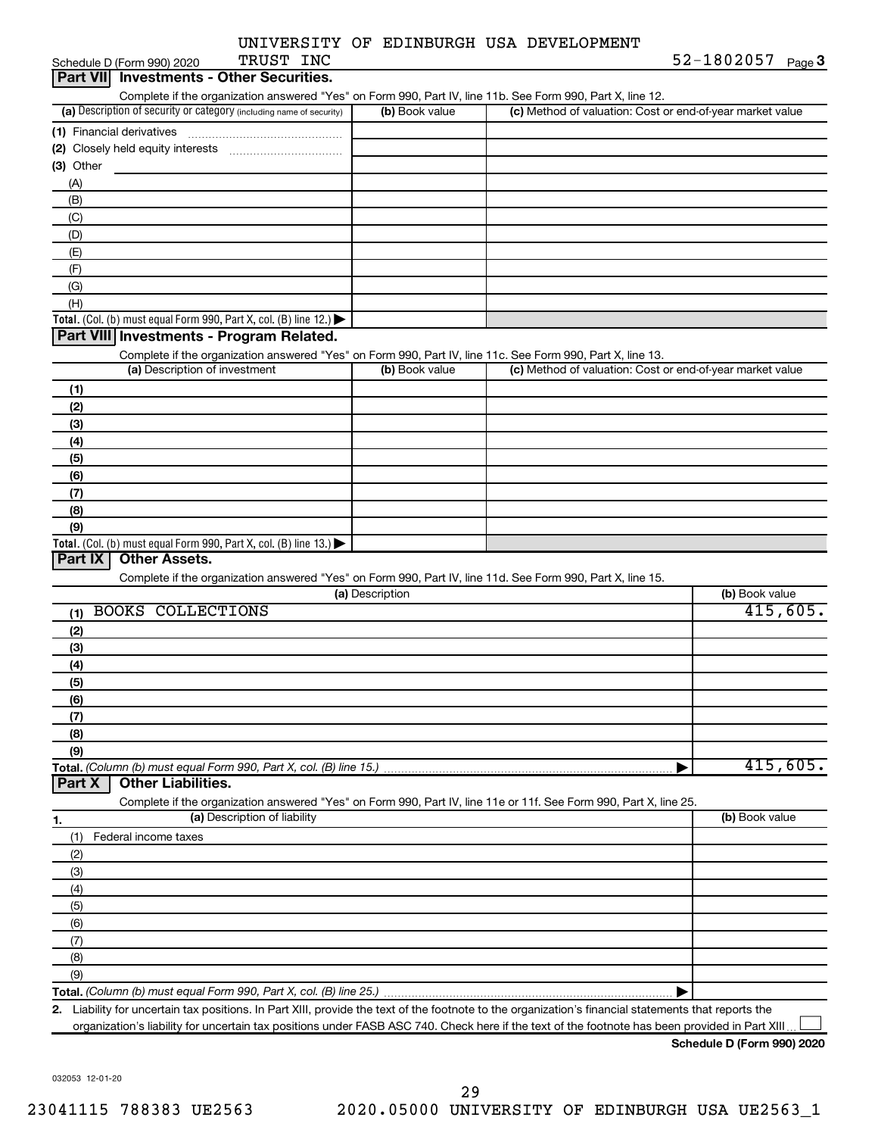| TRUST INC<br>Schedule D (Form 990) 2020                                                                                                           |                 |                                                           | $52 - 1802057$ Page 3 |
|---------------------------------------------------------------------------------------------------------------------------------------------------|-----------------|-----------------------------------------------------------|-----------------------|
| Part VII Investments - Other Securities.                                                                                                          |                 |                                                           |                       |
| Complete if the organization answered "Yes" on Form 990, Part IV, line 11b. See Form 990, Part X, line 12.                                        |                 |                                                           |                       |
| (a) Description of security or category (including name of security)                                                                              | (b) Book value  | (c) Method of valuation: Cost or end-of-year market value |                       |
|                                                                                                                                                   |                 |                                                           |                       |
|                                                                                                                                                   |                 |                                                           |                       |
| (3) Other                                                                                                                                         |                 |                                                           |                       |
| (A)                                                                                                                                               |                 |                                                           |                       |
| (B)                                                                                                                                               |                 |                                                           |                       |
| (C)                                                                                                                                               |                 |                                                           |                       |
| (D)                                                                                                                                               |                 |                                                           |                       |
|                                                                                                                                                   |                 |                                                           |                       |
| (E)                                                                                                                                               |                 |                                                           |                       |
| (F)                                                                                                                                               |                 |                                                           |                       |
| (G)                                                                                                                                               |                 |                                                           |                       |
| (H)                                                                                                                                               |                 |                                                           |                       |
| Total. (Col. (b) must equal Form 990, Part X, col. (B) line 12.)                                                                                  |                 |                                                           |                       |
| Part VIII Investments - Program Related.                                                                                                          |                 |                                                           |                       |
| Complete if the organization answered "Yes" on Form 990, Part IV, line 11c. See Form 990, Part X, line 13.                                        |                 |                                                           |                       |
| (a) Description of investment                                                                                                                     | (b) Book value  | (c) Method of valuation: Cost or end-of-year market value |                       |
| (1)                                                                                                                                               |                 |                                                           |                       |
| (2)                                                                                                                                               |                 |                                                           |                       |
| (3)                                                                                                                                               |                 |                                                           |                       |
| (4)                                                                                                                                               |                 |                                                           |                       |
| (5)                                                                                                                                               |                 |                                                           |                       |
| (6)                                                                                                                                               |                 |                                                           |                       |
| (7)                                                                                                                                               |                 |                                                           |                       |
| (8)                                                                                                                                               |                 |                                                           |                       |
| (9)                                                                                                                                               |                 |                                                           |                       |
|                                                                                                                                                   |                 |                                                           |                       |
|                                                                                                                                                   |                 |                                                           |                       |
| Total. (Col. (b) must equal Form 990, Part X, col. (B) line 13.)                                                                                  |                 |                                                           |                       |
| Part IX<br><b>Other Assets.</b>                                                                                                                   |                 |                                                           |                       |
| Complete if the organization answered "Yes" on Form 990, Part IV, line 11d. See Form 990, Part X, line 15.                                        |                 |                                                           |                       |
|                                                                                                                                                   | (a) Description |                                                           | (b) Book value        |
| <b>BOOKS COLLECTIONS</b><br>(1)                                                                                                                   |                 |                                                           | 415,605.              |
| (2)                                                                                                                                               |                 |                                                           |                       |
| (3)                                                                                                                                               |                 |                                                           |                       |
| (4)                                                                                                                                               |                 |                                                           |                       |
| (5)                                                                                                                                               |                 |                                                           |                       |
| (6)                                                                                                                                               |                 |                                                           |                       |
| (7)                                                                                                                                               |                 |                                                           |                       |
| (8)                                                                                                                                               |                 |                                                           |                       |
| (9)                                                                                                                                               |                 |                                                           |                       |
|                                                                                                                                                   |                 |                                                           |                       |
| Total. (Column (b) must equal Form 990, Part X, col. (B) line 15.)<br><b>Other Liabilities.</b><br>Part X                                         |                 |                                                           | 415,605.              |
|                                                                                                                                                   |                 |                                                           |                       |
| Complete if the organization answered "Yes" on Form 990, Part IV, line 11e or 11f. See Form 990, Part X, line 25.<br>(a) Description of liability |                 |                                                           | (b) Book value        |
| 1.                                                                                                                                                |                 |                                                           |                       |
| Federal income taxes<br>(1)                                                                                                                       |                 |                                                           |                       |
| (2)                                                                                                                                               |                 |                                                           |                       |
| (3)                                                                                                                                               |                 |                                                           |                       |
| (4)                                                                                                                                               |                 |                                                           |                       |
| (5)                                                                                                                                               |                 |                                                           |                       |
| (6)                                                                                                                                               |                 |                                                           |                       |
| (7)                                                                                                                                               |                 |                                                           |                       |
| (8)                                                                                                                                               |                 |                                                           |                       |
| (9)                                                                                                                                               |                 |                                                           |                       |
|                                                                                                                                                   |                 |                                                           |                       |

organization's liability for uncertain tax positions under FASB ASC 740. Check here if the text of the footnote has been provided in Part XIII...

**Schedule D (Form 990) 2020**

032053 12-01-20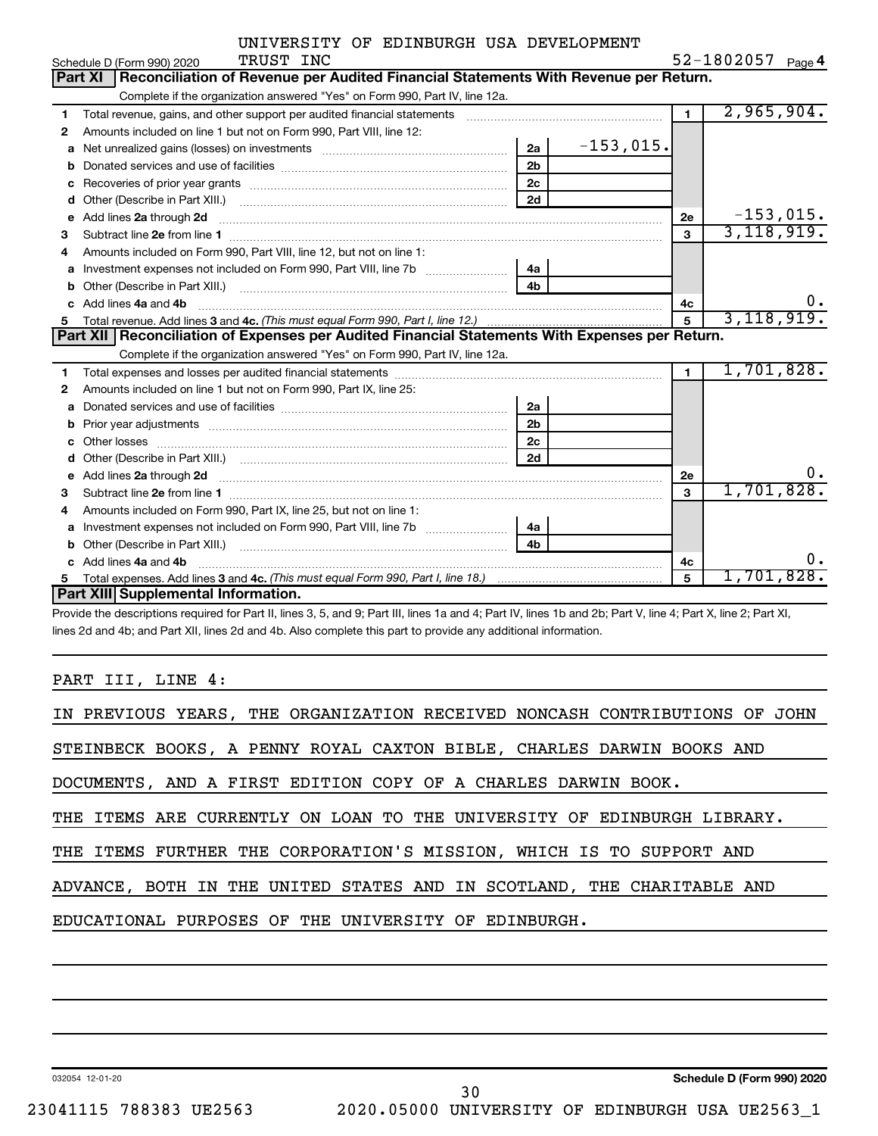| UNIVERSITY OF EDINBURGH USA DEVELOPMENT |  |  |  |  |
|-----------------------------------------|--|--|--|--|
|-----------------------------------------|--|--|--|--|

|    | TRUST INC<br>Schedule D (Form 990) 2020                                                                                                                     |                | $52 - 1802057$ Page 4 |
|----|-------------------------------------------------------------------------------------------------------------------------------------------------------------|----------------|-----------------------|
|    | <b>Reconciliation of Revenue per Audited Financial Statements With Revenue per Return.</b><br>Part XI                                                       |                |                       |
|    | Complete if the organization answered "Yes" on Form 990, Part IV, line 12a.                                                                                 |                |                       |
| 1  | Total revenue, gains, and other support per audited financial statements [11] [11] Total revenue, gains, and other support per audited financial statements | $\mathbf{1}$   | 2,965,904.            |
| 2  | Amounts included on line 1 but not on Form 990, Part VIII, line 12:                                                                                         |                |                       |
| a  | $-153,015.$<br>2a<br>Net unrealized gains (losses) on investments [111] Net unrealized mains (losses) on investments [11] Metamanian                        |                |                       |
|    | 2 <sub>b</sub>                                                                                                                                              |                |                       |
| с  | 2c                                                                                                                                                          |                |                       |
| d  | 2d                                                                                                                                                          |                |                       |
| е  |                                                                                                                                                             | 2e             | $-153,015.$           |
| 3  |                                                                                                                                                             | 3              | 3, 118, 919.          |
| 4  | Amounts included on Form 990, Part VIII, line 12, but not on line 1:                                                                                        |                |                       |
| a  | 4a                                                                                                                                                          |                |                       |
| b  | 4 <sub>b</sub>                                                                                                                                              |                |                       |
| c. | Add lines 4a and 4b                                                                                                                                         | 4c             | υ.                    |
| 5. |                                                                                                                                                             | $\overline{5}$ | 3, 118, 919.          |
|    | Part XII   Reconciliation of Expenses per Audited Financial Statements With Expenses per Return.                                                            |                |                       |
|    | Complete if the organization answered "Yes" on Form 990, Part IV, line 12a.                                                                                 |                |                       |
| 1  |                                                                                                                                                             | $\blacksquare$ | 1,701,828.            |
| 2  | Amounts included on line 1 but not on Form 990, Part IX, line 25:                                                                                           |                |                       |
| a  | 2a                                                                                                                                                          |                |                       |
| b  | 2 <sub>b</sub>                                                                                                                                              |                |                       |
|    |                                                                                                                                                             |                |                       |
|    | 2 <sub>c</sub>                                                                                                                                              |                |                       |
|    | 2d                                                                                                                                                          |                |                       |
| е  |                                                                                                                                                             | 2e             | О.                    |
| 3  | Add lines 2a through 2d <b>must be a constructed as the constant of the constant of the constant of the construction</b>                                    | 3              | 1,701,828.            |
| 4  | Amounts included on Form 990, Part IX, line 25, but not on line 1:                                                                                          |                |                       |
| a  | 4a                                                                                                                                                          |                |                       |
|    | 4 <sub>b</sub>                                                                                                                                              |                |                       |
|    | Add lines 4a and 4b                                                                                                                                         | 4c             | 0.                    |
| 5  | Part XIII Supplemental Information.                                                                                                                         | 5              | 1,701,828.            |

Provide the descriptions required for Part II, lines 3, 5, and 9; Part III, lines 1a and 4; Part IV, lines 1b and 2b; Part V, line 4; Part X, line 2; Part XI, lines 2d and 4b; and Part XII, lines 2d and 4b. Also complete this part to provide any additional information.

### PART III, LINE 4:

| IN PREVIOUS YEARS, THE ORGANIZATION RECEIVED NONCASH CONTRIBUTIONS OF JOHN |  |
|----------------------------------------------------------------------------|--|
| STEINBECK BOOKS, A PENNY ROYAL CAXTON BIBLE, CHARLES DARWIN BOOKS AND      |  |
| DOCUMENTS, AND A FIRST EDITION COPY OF A CHARLES DARWIN BOOK.              |  |
| THE ITEMS ARE CURRENTLY ON LOAN TO THE UNIVERSITY OF EDINBURGH LIBRARY.    |  |
| THE ITEMS FURTHER THE CORPORATION'S MISSION, WHICH IS TO SUPPORT AND       |  |
| ADVANCE, BOTH IN THE UNITED STATES AND IN SCOTLAND, THE CHARITABLE AND     |  |
| EDUCATIONAL PURPOSES OF THE UNIVERSITY OF EDINBURGH.                       |  |
|                                                                            |  |

032054 12-01-20

**Schedule D (Form 990) 2020**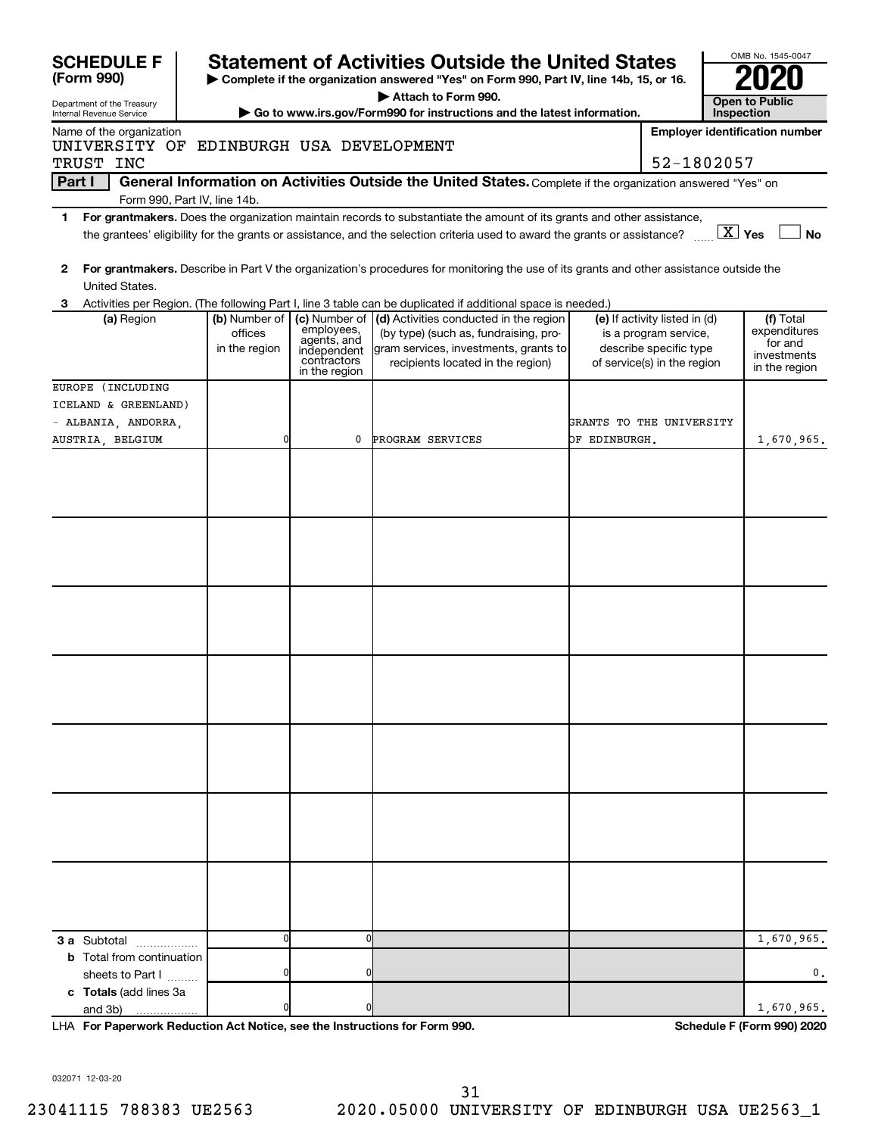| <b>SCHEDULE F</b>                                      | <b>Statement of Activities Outside the United States</b>                               |                              |                                                                                                                                         |                          |                                                        |                                       | OMB No. 1545-0047 |
|--------------------------------------------------------|----------------------------------------------------------------------------------------|------------------------------|-----------------------------------------------------------------------------------------------------------------------------------------|--------------------------|--------------------------------------------------------|---------------------------------------|-------------------|
| (Form 990)                                             | Complete if the organization answered "Yes" on Form 990, Part IV, line 14b, 15, or 16. |                              |                                                                                                                                         |                          |                                                        |                                       |                   |
| Department of the Treasury<br>Internal Revenue Service |                                                                                        |                              | Attach to Form 990.<br>Go to www.irs.gov/Form990 for instructions and the latest information.                                           |                          |                                                        | <b>Open to Public</b><br>Inspection   |                   |
| Name of the organization                               |                                                                                        |                              |                                                                                                                                         |                          |                                                        | <b>Employer identification number</b> |                   |
| UNIVERSITY OF EDINBURGH USA DEVELOPMENT                |                                                                                        |                              |                                                                                                                                         |                          |                                                        |                                       |                   |
| TRUST INC                                              |                                                                                        |                              |                                                                                                                                         |                          | 52-1802057                                             |                                       |                   |
| Part I<br>Form 990, Part IV, line 14b.                 |                                                                                        |                              | General Information on Activities Outside the United States. Complete if the organization answered "Yes" on                             |                          |                                                        |                                       |                   |
| $\mathbf 1$                                            |                                                                                        |                              | For grantmakers. Does the organization maintain records to substantiate the amount of its grants and other assistance,                  |                          |                                                        |                                       |                   |
|                                                        |                                                                                        |                              | the grantees' eligibility for the grants or assistance, and the selection criteria used to award the grants or assistance?              |                          |                                                        | $\boxed{\text{X}}$ Yes                | <b>No</b>         |
| 2<br>United States.                                    |                                                                                        |                              | For grantmakers. Describe in Part V the organization's procedures for monitoring the use of its grants and other assistance outside the |                          |                                                        |                                       |                   |
|                                                        |                                                                                        |                              | Activities per Region. (The following Part I, line 3 table can be duplicated if additional space is needed.)                            |                          |                                                        |                                       |                   |
| (a) Region                                             | (b) Number of<br>offices                                                               | (c) Number of<br>employees,  | (d) Activities conducted in the region<br>(by type) (such as, fundraising, pro-                                                         |                          | (e) If activity listed in (d)<br>is a program service, | (f) Total<br>expenditures             |                   |
|                                                        | in the region                                                                          | agents, and<br>independent   | gram services, investments, grants to                                                                                                   |                          | describe specific type                                 | for and<br>investments                |                   |
|                                                        |                                                                                        | contractors<br>in the region | recipients located in the region)                                                                                                       |                          | of service(s) in the region                            | in the region                         |                   |
| EUROPE (INCLUDING                                      |                                                                                        |                              |                                                                                                                                         |                          |                                                        |                                       |                   |
| ICELAND & GREENLAND)                                   |                                                                                        |                              |                                                                                                                                         |                          |                                                        |                                       |                   |
| - ALBANIA, ANDORRA,                                    |                                                                                        |                              |                                                                                                                                         | GRANTS TO THE UNIVERSITY |                                                        |                                       |                   |
| AUSTRIA, BELGIUM                                       | 01                                                                                     | 0                            | PROGRAM SERVICES                                                                                                                        | OF EDINBURGH.            |                                                        | 1,670,965.                            |                   |
|                                                        |                                                                                        |                              |                                                                                                                                         |                          |                                                        |                                       |                   |
|                                                        |                                                                                        |                              |                                                                                                                                         |                          |                                                        |                                       |                   |
|                                                        |                                                                                        |                              |                                                                                                                                         |                          |                                                        |                                       |                   |
|                                                        |                                                                                        |                              |                                                                                                                                         |                          |                                                        |                                       |                   |
|                                                        |                                                                                        |                              |                                                                                                                                         |                          |                                                        |                                       |                   |
|                                                        |                                                                                        |                              |                                                                                                                                         |                          |                                                        |                                       |                   |
|                                                        |                                                                                        |                              |                                                                                                                                         |                          |                                                        |                                       |                   |
|                                                        |                                                                                        |                              |                                                                                                                                         |                          |                                                        |                                       |                   |
|                                                        |                                                                                        |                              |                                                                                                                                         |                          |                                                        |                                       |                   |
|                                                        |                                                                                        |                              |                                                                                                                                         |                          |                                                        |                                       |                   |
|                                                        |                                                                                        |                              |                                                                                                                                         |                          |                                                        |                                       |                   |
|                                                        |                                                                                        |                              |                                                                                                                                         |                          |                                                        |                                       |                   |
|                                                        |                                                                                        |                              |                                                                                                                                         |                          |                                                        |                                       |                   |
|                                                        |                                                                                        |                              |                                                                                                                                         |                          |                                                        |                                       |                   |
|                                                        |                                                                                        |                              |                                                                                                                                         |                          |                                                        |                                       |                   |
|                                                        |                                                                                        |                              |                                                                                                                                         |                          |                                                        |                                       |                   |
|                                                        |                                                                                        |                              |                                                                                                                                         |                          |                                                        |                                       |                   |
|                                                        |                                                                                        |                              |                                                                                                                                         |                          |                                                        |                                       |                   |
|                                                        |                                                                                        |                              |                                                                                                                                         |                          |                                                        |                                       |                   |
|                                                        |                                                                                        |                              |                                                                                                                                         |                          |                                                        |                                       |                   |
|                                                        |                                                                                        |                              |                                                                                                                                         |                          |                                                        |                                       |                   |
|                                                        |                                                                                        |                              |                                                                                                                                         |                          |                                                        |                                       |                   |
|                                                        |                                                                                        |                              |                                                                                                                                         |                          |                                                        |                                       |                   |
|                                                        |                                                                                        |                              |                                                                                                                                         |                          |                                                        |                                       |                   |
| 3 a Subtotal                                           | n                                                                                      | $\Omega$                     |                                                                                                                                         |                          |                                                        | 1,670,965.                            |                   |
| <b>b</b> Total from continuation                       |                                                                                        |                              |                                                                                                                                         |                          |                                                        |                                       |                   |
| sheets to Part I                                       |                                                                                        | O                            |                                                                                                                                         |                          |                                                        |                                       | 0.                |
| c Totals (add lines 3a                                 |                                                                                        |                              |                                                                                                                                         |                          |                                                        |                                       |                   |
| and 3b)                                                |                                                                                        |                              |                                                                                                                                         |                          |                                                        | 1,670,965.                            |                   |

**For Paperwork Reduction Act Notice, see the Instructions for Form 990. Schedule F (Form 990) 2020** LHA

032071 12-03-20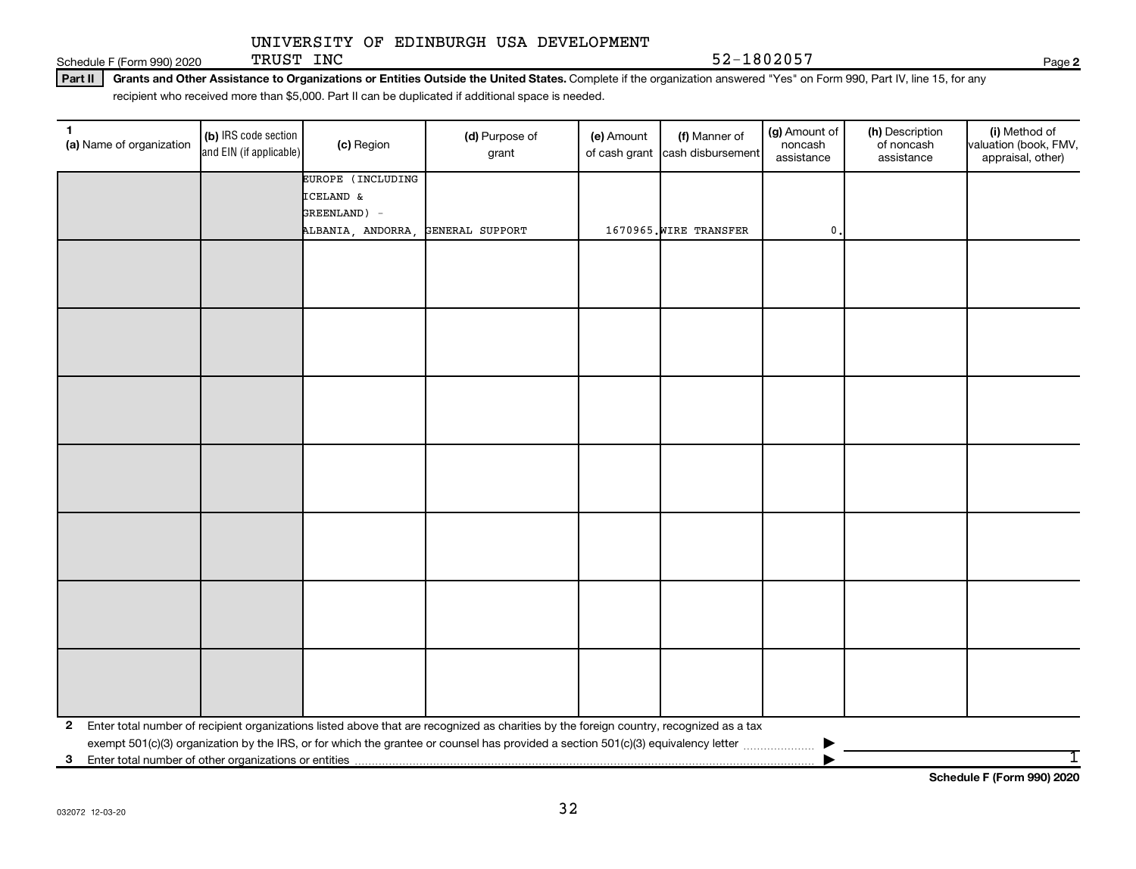Schedule F (Form 990) 2020 TRUST INC

52-1802057

Part II | Grants and Other Assistance to Organizations or Entities Outside the United States. Complete if the organization answered "Yes" on Form 990, Part IV, line 15, for any recipient who received more than \$5,000. Part II can be duplicated if additional space is needed.

| $\mathbf{1}$<br>(a) Name of organization                   | (b) IRS code section<br>and EIN (if applicable) | (c) Region                        | (d) Purpose of<br>grant                                                                                                                 | (e) Amount<br>of cash grant | (f) Manner of<br>cash disbursement | (g) Amount of<br>noncash<br>assistance | (h) Description<br>of noncash<br>assistance | (i) Method of<br>valuation (book, FMV,<br>appraisal, other) |
|------------------------------------------------------------|-------------------------------------------------|-----------------------------------|-----------------------------------------------------------------------------------------------------------------------------------------|-----------------------------|------------------------------------|----------------------------------------|---------------------------------------------|-------------------------------------------------------------|
|                                                            |                                                 | EUROPE (INCLUDING                 |                                                                                                                                         |                             |                                    |                                        |                                             |                                                             |
|                                                            |                                                 | ICELAND &                         |                                                                                                                                         |                             |                                    |                                        |                                             |                                                             |
|                                                            |                                                 | GREENLAND) -                      |                                                                                                                                         |                             |                                    |                                        |                                             |                                                             |
|                                                            |                                                 | ALBANIA, ANDORRA, GENERAL SUPPORT |                                                                                                                                         |                             | 1670965. WIRE TRANSFER             | $\mathbf 0$ .                          |                                             |                                                             |
|                                                            |                                                 |                                   |                                                                                                                                         |                             |                                    |                                        |                                             |                                                             |
|                                                            |                                                 |                                   |                                                                                                                                         |                             |                                    |                                        |                                             |                                                             |
|                                                            |                                                 |                                   |                                                                                                                                         |                             |                                    |                                        |                                             |                                                             |
|                                                            |                                                 |                                   |                                                                                                                                         |                             |                                    |                                        |                                             |                                                             |
|                                                            |                                                 |                                   |                                                                                                                                         |                             |                                    |                                        |                                             |                                                             |
|                                                            |                                                 |                                   |                                                                                                                                         |                             |                                    |                                        |                                             |                                                             |
|                                                            |                                                 |                                   |                                                                                                                                         |                             |                                    |                                        |                                             |                                                             |
|                                                            |                                                 |                                   |                                                                                                                                         |                             |                                    |                                        |                                             |                                                             |
|                                                            |                                                 |                                   |                                                                                                                                         |                             |                                    |                                        |                                             |                                                             |
|                                                            |                                                 |                                   |                                                                                                                                         |                             |                                    |                                        |                                             |                                                             |
|                                                            |                                                 |                                   |                                                                                                                                         |                             |                                    |                                        |                                             |                                                             |
|                                                            |                                                 |                                   |                                                                                                                                         |                             |                                    |                                        |                                             |                                                             |
|                                                            |                                                 |                                   |                                                                                                                                         |                             |                                    |                                        |                                             |                                                             |
|                                                            |                                                 |                                   |                                                                                                                                         |                             |                                    |                                        |                                             |                                                             |
|                                                            |                                                 |                                   |                                                                                                                                         |                             |                                    |                                        |                                             |                                                             |
|                                                            |                                                 |                                   |                                                                                                                                         |                             |                                    |                                        |                                             |                                                             |
|                                                            |                                                 |                                   |                                                                                                                                         |                             |                                    |                                        |                                             |                                                             |
|                                                            |                                                 |                                   |                                                                                                                                         |                             |                                    |                                        |                                             |                                                             |
|                                                            |                                                 |                                   |                                                                                                                                         |                             |                                    |                                        |                                             |                                                             |
|                                                            |                                                 |                                   |                                                                                                                                         |                             |                                    |                                        |                                             |                                                             |
|                                                            |                                                 |                                   |                                                                                                                                         |                             |                                    |                                        |                                             |                                                             |
|                                                            |                                                 |                                   |                                                                                                                                         |                             |                                    |                                        |                                             |                                                             |
|                                                            |                                                 |                                   |                                                                                                                                         |                             |                                    |                                        |                                             |                                                             |
| $\mathbf{2}$                                               |                                                 |                                   | Enter total number of recipient organizations listed above that are recognized as charities by the foreign country, recognized as a tax |                             |                                    |                                        |                                             |                                                             |
|                                                            |                                                 |                                   |                                                                                                                                         |                             |                                    |                                        |                                             |                                                             |
| Enter total number of other organizations or entities<br>3 |                                                 |                                   |                                                                                                                                         |                             |                                    |                                        |                                             | 1                                                           |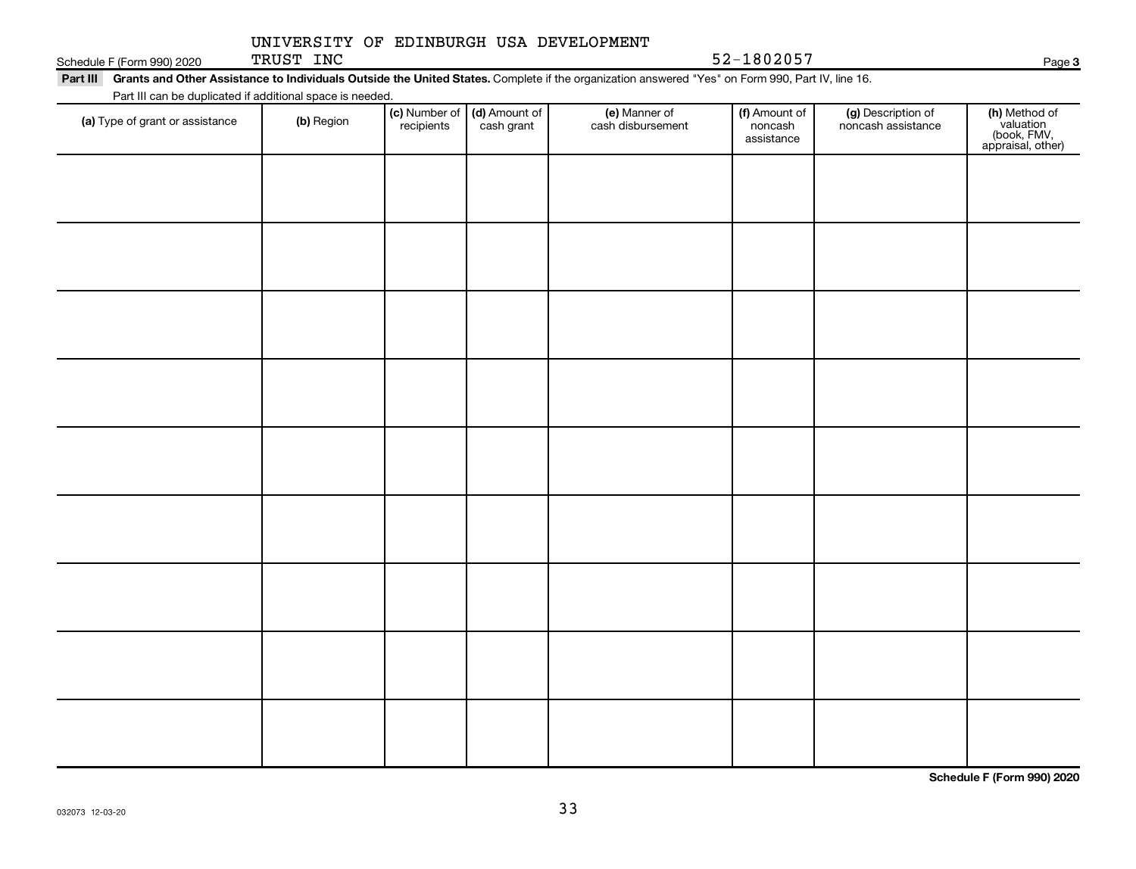#### 032073 12-03-20

|                            |           |  |  | UNIVERSITY OF EDINBURGH USA DEVELOPMENT |
|----------------------------|-----------|--|--|-----------------------------------------|
| Schedule F (Form 990) 2020 | TRUST INC |  |  |                                         |

52-1802057

Part III Grants and Other Assistance to Individuals Outside the United States. Complete if the organization answered "Yes" on Form 990, Part IV, line 16. Part III can be duplicated if additional space is needed.

| and the bank we expire accent advancement<br>(a) Type of grant or assistance | (b) Region | (c) Number of<br>recipients | (d) Amount of<br>cash grant | (e) Manner of<br>cash disbursement | (f) Amount of<br>noncash<br>assistance | (g) Description of<br>noncash assistance | (h) Method of<br>valuation<br>(book, FMV,<br>appraisal, other) |
|------------------------------------------------------------------------------|------------|-----------------------------|-----------------------------|------------------------------------|----------------------------------------|------------------------------------------|----------------------------------------------------------------|
|                                                                              |            |                             |                             |                                    |                                        |                                          |                                                                |
|                                                                              |            |                             |                             |                                    |                                        |                                          |                                                                |
|                                                                              |            |                             |                             |                                    |                                        |                                          |                                                                |
|                                                                              |            |                             |                             |                                    |                                        |                                          |                                                                |
|                                                                              |            |                             |                             |                                    |                                        |                                          |                                                                |
|                                                                              |            |                             |                             |                                    |                                        |                                          |                                                                |
|                                                                              |            |                             |                             |                                    |                                        |                                          |                                                                |
|                                                                              |            |                             |                             |                                    |                                        |                                          |                                                                |
|                                                                              |            |                             |                             |                                    |                                        |                                          |                                                                |
|                                                                              |            |                             |                             |                                    |                                        |                                          |                                                                |

**3**

**Schedule F (Form 990) 2020**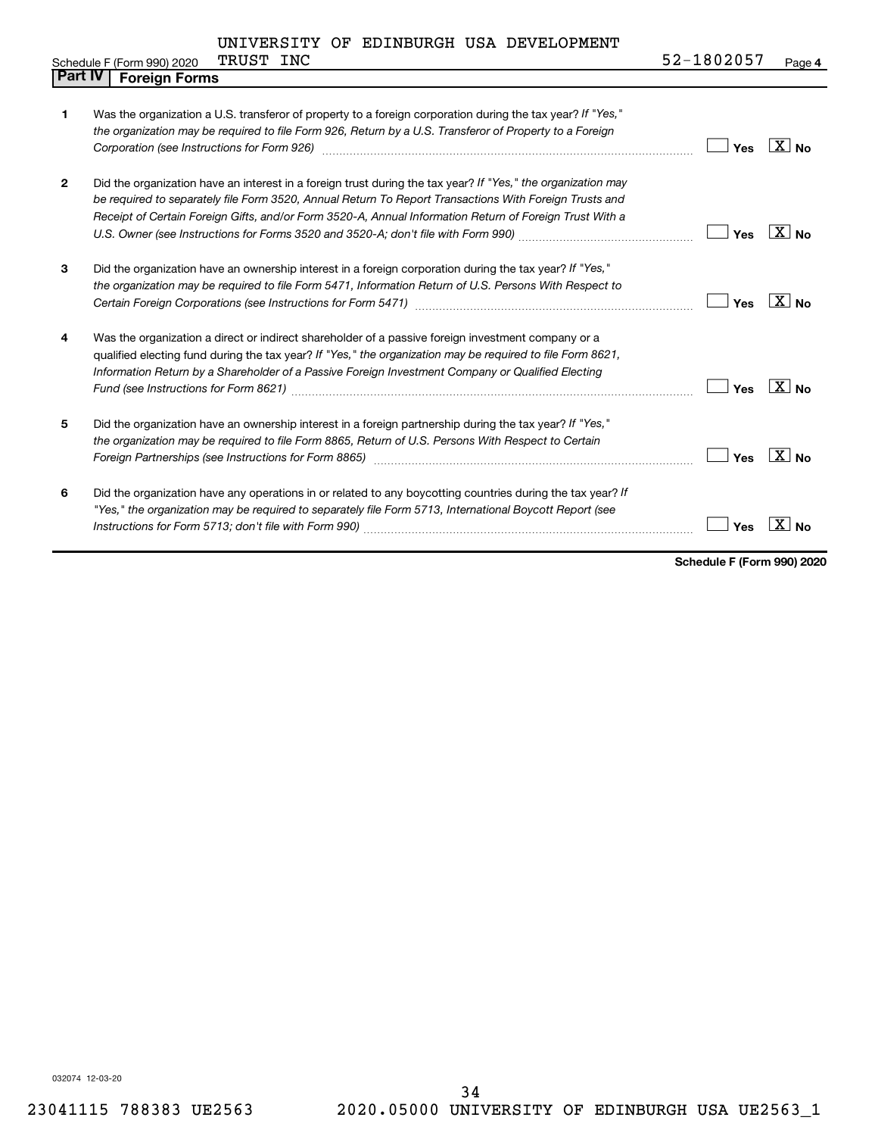|  |  |  |  | UNIVERSITY OF EDINBURGH USA DEVELOPMENT |
|--|--|--|--|-----------------------------------------|
|--|--|--|--|-----------------------------------------|

|                | TRUST<br>INC<br>Schedule F (Form 990) 2020                                                                                                                                                                                                                                                                                              | 52-1802057 | Page 4                               |
|----------------|-----------------------------------------------------------------------------------------------------------------------------------------------------------------------------------------------------------------------------------------------------------------------------------------------------------------------------------------|------------|--------------------------------------|
| <b>Part IV</b> | <b>Foreign Forms</b>                                                                                                                                                                                                                                                                                                                    |            |                                      |
| 1              | Was the organization a U.S. transferor of property to a foreign corporation during the tax year? If "Yes,"<br>the organization may be required to file Form 926, Return by a U.S. Transferor of Property to a Foreign<br>Corporation (see Instructions for Form 926) [11] Corporation (2010] Corporation (see Instructions of Form 926) | Yes        | $X $ No                              |
| $\mathbf{2}$   | Did the organization have an interest in a foreign trust during the tax year? If "Yes," the organization may<br>be required to separately file Form 3520, Annual Return To Report Transactions With Foreign Trusts and<br>Receipt of Certain Foreign Gifts, and/or Form 3520-A, Annual Information Return of Foreign Trust With a       | Yes        | $X _{\text{No}}$                     |
| 3              | Did the organization have an ownership interest in a foreign corporation during the tax year? If "Yes,"<br>the organization may be required to file Form 5471, Information Return of U.S. Persons With Respect to                                                                                                                       | Yes        | $\overline{\mathbf{x}}$<br><b>No</b> |
| 4              | Was the organization a direct or indirect shareholder of a passive foreign investment company or a<br>qualified electing fund during the tax year? If "Yes," the organization may be required to file Form 8621,<br>Information Return by a Shareholder of a Passive Foreign Investment Company or Qualified Electing                   | Yes        | $X$ No                               |
| 5              | Did the organization have an ownership interest in a foreign partnership during the tax year? If "Yes,"<br>the organization may be required to file Form 8865, Return of U.S. Persons With Respect to Certain<br>Foreign Partnerships (see Instructions for Form 8865) manufactured controller controller controller controller         | Yes        | $\overline{X}$ No                    |
| 6              | Did the organization have any operations in or related to any boycotting countries during the tax year? If<br>"Yes," the organization may be required to separately file Form 5713, International Boycott Report (see                                                                                                                   | Yes        | x<br><b>No</b>                       |

**Schedule F (Form 990) 2020**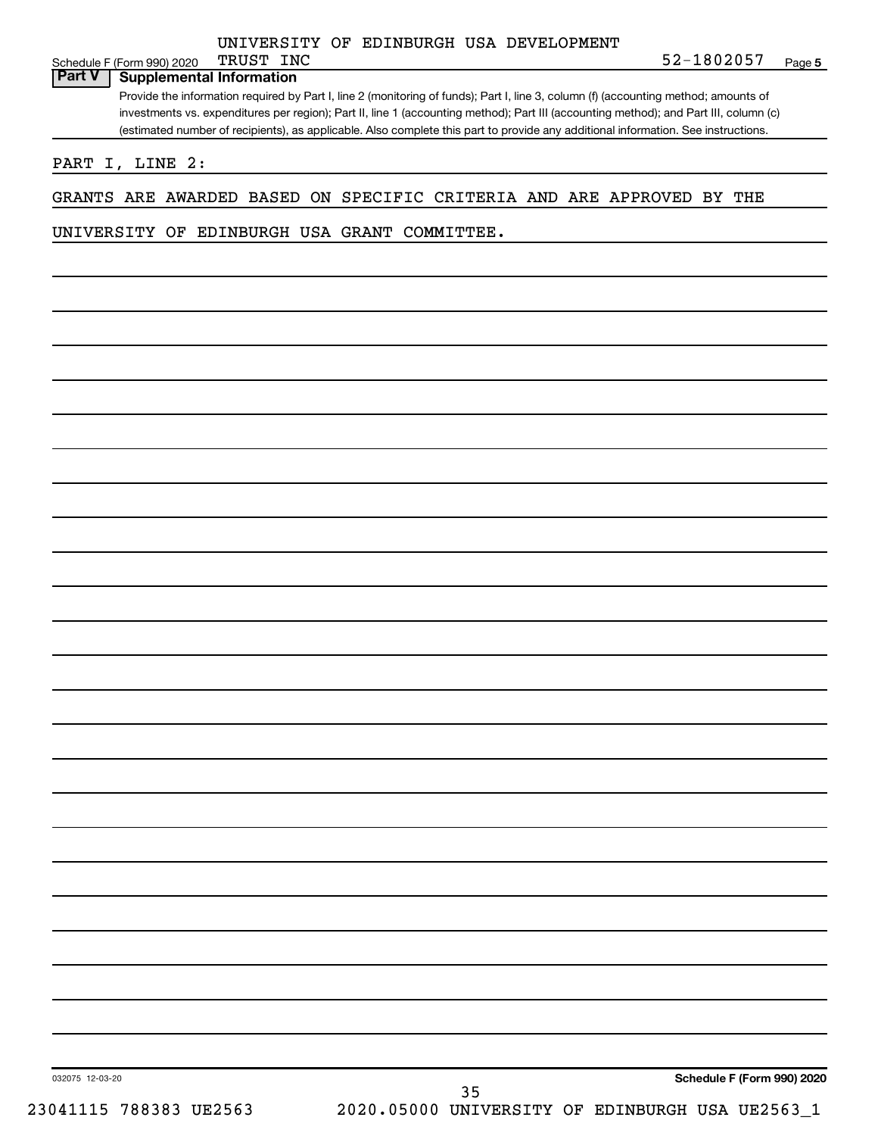|  |  |  |  | UNIVERSITY OF EDINBURGH USA DEVELOPMENT |
|--|--|--|--|-----------------------------------------|
|--|--|--|--|-----------------------------------------|

#### Schedule F (Form 990) 2020  $RUST$  INC **Part V Supplemental Information**

Provide the information required by Part I, line 2 (monitoring of funds); Part I, line 3, column (f) (accounting method; amounts of investments vs. expenditures per region); Part II, line 1 (accounting method); Part III (accounting method); and Part III, column (c) (estimated number of recipients), as applicable. Also complete this part to provide any additional information. See instructions.

#### PART I, LINE 2:

### GRANTS ARE AWARDED BASED ON SPECIFIC CRITERIA AND ARE APPROVED BY THE

### UNIVERSITY OF EDINBURGH USA GRANT COMMITTEE.

032075 12-03-20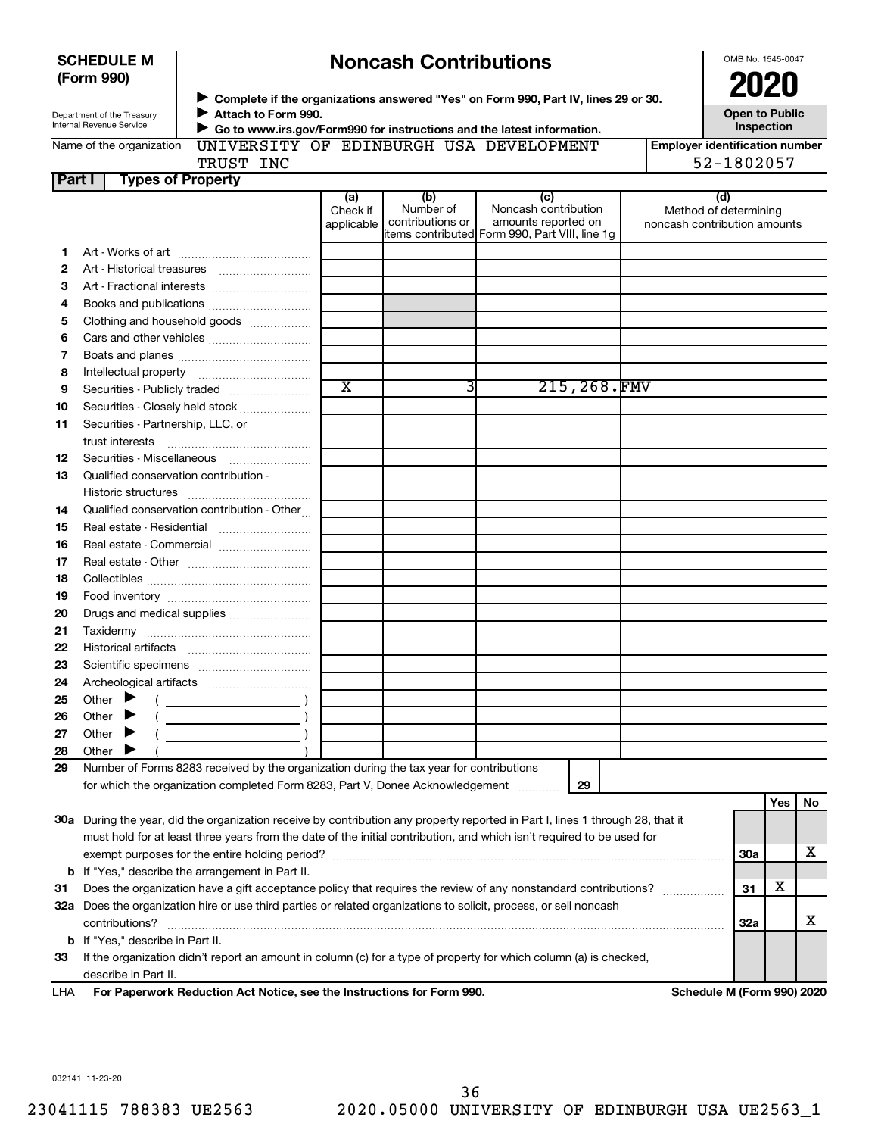| <b>SCHEDULE M</b> |  |
|-------------------|--|
| (Form 990)        |  |

# **Noncash Contributions**

OMB No. 1545-0047

**Employer identification number**

52-1802057

| Department of the Treasury |  |
|----------------------------|--|
| Internal Revenue Service   |  |

◆ Complete if the organizations answered "Yes" on Form 990, Part IV, lines 29 or 30.<br>● Complete if the organizations answered "Yes" on Form 990, Part IV, lines 29 or 30. **Attach to Form 990.**  $\blacktriangleright$  $\blacktriangleright$ 

**Open to Public Inspection**

| Name of the organization | UNI'        |
|--------------------------|-------------|
|                          | <b>MDII</b> |

 **Go to www.irs.gov/Form990 for instructions and the latest information.**

|                        | e of the organization UNIVERSITY OF EDINBURGH USA DEVELOPMENT |  |  |  |
|------------------------|---------------------------------------------------------------|--|--|--|
|                        | TRUST INC                                                     |  |  |  |
| 4 L. Tungo of Dronorhu |                                                               |  |  |  |

| Part i | Types of Property                                                                                                              |                       |                  |                                                                       |                              |            |     |    |
|--------|--------------------------------------------------------------------------------------------------------------------------------|-----------------------|------------------|-----------------------------------------------------------------------|------------------------------|------------|-----|----|
|        |                                                                                                                                | (a)<br>Check if       | (b)<br>Number of | (c)<br>Noncash contribution                                           | Method of determining        | (d)        |     |    |
|        |                                                                                                                                | applicable            | contributions or | amounts reported on<br>items contributed Form 990, Part VIII, line 1q | noncash contribution amounts |            |     |    |
| 1.     |                                                                                                                                |                       |                  |                                                                       |                              |            |     |    |
| 2      |                                                                                                                                |                       |                  |                                                                       |                              |            |     |    |
| 3      | Art - Fractional interests                                                                                                     |                       |                  |                                                                       |                              |            |     |    |
| 4      | Books and publications                                                                                                         |                       |                  |                                                                       |                              |            |     |    |
| 5      | Clothing and household goods                                                                                                   |                       |                  |                                                                       |                              |            |     |    |
| 6      |                                                                                                                                |                       |                  |                                                                       |                              |            |     |    |
| 7      |                                                                                                                                |                       |                  |                                                                       |                              |            |     |    |
| 8      |                                                                                                                                |                       |                  |                                                                       |                              |            |     |    |
| 9      | Securities - Publicly traded                                                                                                   | $\overline{\text{x}}$ | 31               | 215,268.FMV                                                           |                              |            |     |    |
| 10     | Securities - Closely held stock                                                                                                |                       |                  |                                                                       |                              |            |     |    |
| 11     | Securities - Partnership, LLC, or                                                                                              |                       |                  |                                                                       |                              |            |     |    |
|        |                                                                                                                                |                       |                  |                                                                       |                              |            |     |    |
| 12     | Securities - Miscellaneous                                                                                                     |                       |                  |                                                                       |                              |            |     |    |
| 13     | Qualified conservation contribution -                                                                                          |                       |                  |                                                                       |                              |            |     |    |
|        |                                                                                                                                |                       |                  |                                                                       |                              |            |     |    |
| 14     | Qualified conservation contribution - Other                                                                                    |                       |                  |                                                                       |                              |            |     |    |
| 15     | Real estate - Residential                                                                                                      |                       |                  |                                                                       |                              |            |     |    |
| 16     | Real estate - Commercial                                                                                                       |                       |                  |                                                                       |                              |            |     |    |
| 17     |                                                                                                                                |                       |                  |                                                                       |                              |            |     |    |
| 18     |                                                                                                                                |                       |                  |                                                                       |                              |            |     |    |
| 19     |                                                                                                                                |                       |                  |                                                                       |                              |            |     |    |
| 20     | Drugs and medical supplies                                                                                                     |                       |                  |                                                                       |                              |            |     |    |
| 21     |                                                                                                                                |                       |                  |                                                                       |                              |            |     |    |
| 22     |                                                                                                                                |                       |                  |                                                                       |                              |            |     |    |
| 23     |                                                                                                                                |                       |                  |                                                                       |                              |            |     |    |
| 24     |                                                                                                                                |                       |                  |                                                                       |                              |            |     |    |
| 25     | Other $\blacktriangleright$                                                                                                    |                       |                  |                                                                       |                              |            |     |    |
| 26     | Other $\blacktriangleright$                                                                                                    |                       |                  |                                                                       |                              |            |     |    |
| 27     | Other $\blacktriangleright$                                                                                                    |                       |                  |                                                                       |                              |            |     |    |
| 28     | Other $\blacktriangleright$                                                                                                    |                       |                  |                                                                       |                              |            |     |    |
| 29     | Number of Forms 8283 received by the organization during the tax year for contributions                                        |                       |                  |                                                                       |                              |            |     |    |
|        | for which the organization completed Form 8283, Part V, Donee Acknowledgement                                                  |                       |                  | 29                                                                    |                              |            |     |    |
|        |                                                                                                                                |                       |                  |                                                                       |                              |            | Yes | No |
|        | 30a During the year, did the organization receive by contribution any property reported in Part I, lines 1 through 28, that it |                       |                  |                                                                       |                              |            |     |    |
|        | must hold for at least three years from the date of the initial contribution, and which isn't required to be used for          |                       |                  |                                                                       |                              |            |     |    |
|        |                                                                                                                                |                       |                  |                                                                       |                              | <b>30a</b> |     | x  |
|        | <b>b</b> If "Yes," describe the arrangement in Part II.                                                                        |                       |                  |                                                                       |                              |            |     |    |
| 31     | Does the organization have a gift acceptance policy that requires the review of any nonstandard contributions?                 |                       |                  |                                                                       |                              | 31         | х   |    |
|        | 32a Does the organization hire or use third parties or related organizations to solicit, process, or sell noncash              |                       |                  |                                                                       |                              |            |     |    |

**33** If the organization didn't report an amount in column (c) for a type of property for which column (a) is checked, **b** If "Yes," describe in Part II. describe in Part II.

 $\text{contributions?}$   $\ldots$   $\ldots$   $\ldots$   $\ldots$   $\ldots$   $\ldots$   $\ldots$   $\ldots$   $\ldots$   $\ldots$   $\ldots$   $\ldots$   $\ldots$   $\ldots$   $\ldots$   $\ldots$   $\ldots$   $\ldots$   $\ldots$ 

**For Paperwork Reduction Act Notice, see the Instructions for Form 990. Schedule M (Form 990) 2020** LHA

**32a**

X

032141 11-23-20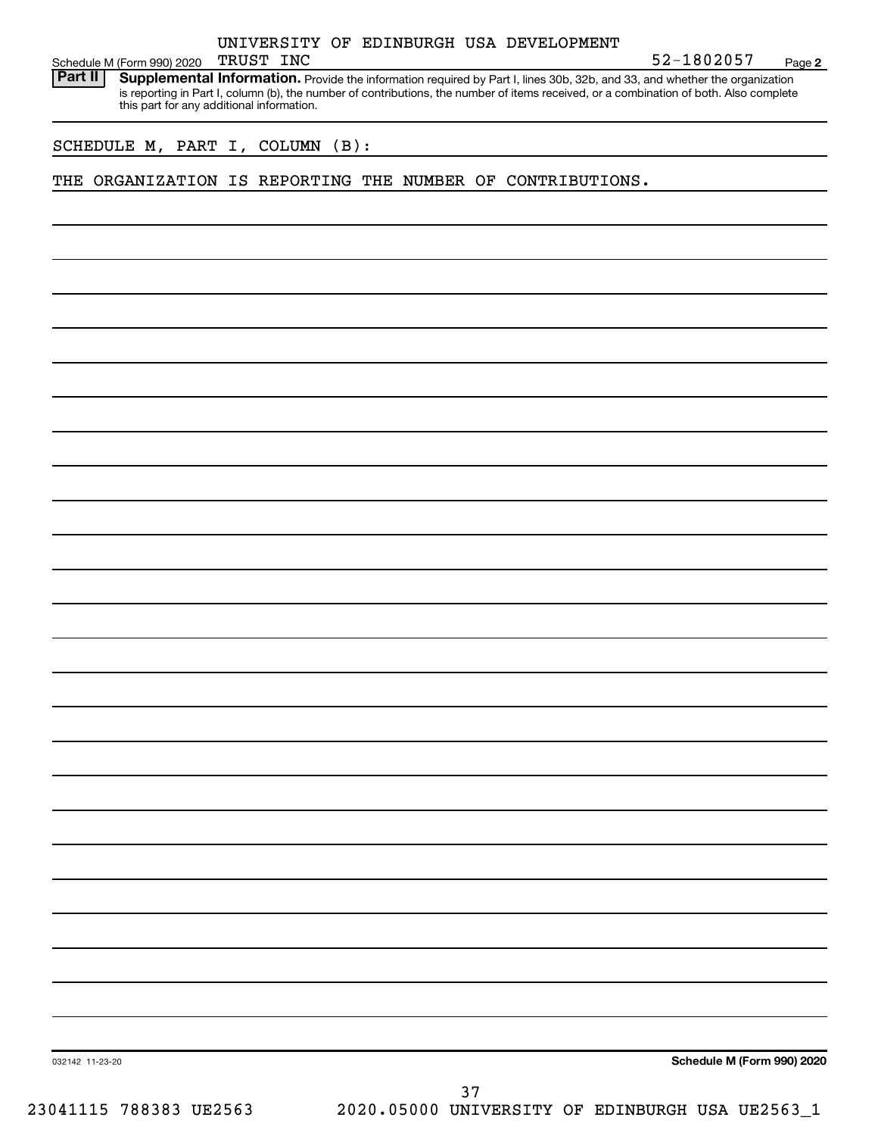| Schedule M (Form 990) 2020                                 |                                           | TRUST INC |  | UNIVERSITY OF EDINBURGH USA DEVELOPMENT |    |  | 52-1802057                                                                                                                                                                                                                                                           | Page 2 |
|------------------------------------------------------------|-------------------------------------------|-----------|--|-----------------------------------------|----|--|----------------------------------------------------------------------------------------------------------------------------------------------------------------------------------------------------------------------------------------------------------------------|--------|
| Part II                                                    | this part for any additional information. |           |  |                                         |    |  | Supplemental Information. Provide the information required by Part I, lines 30b, 32b, and 33, and whether the organization<br>is reporting in Part I, column (b), the number of contributions, the number of items received, or a combination of both. Also complete |        |
| SCHEDULE M, PART I, COLUMN (B):                            |                                           |           |  |                                         |    |  |                                                                                                                                                                                                                                                                      |        |
| THE ORGANIZATION IS REPORTING THE NUMBER OF CONTRIBUTIONS. |                                           |           |  |                                         |    |  |                                                                                                                                                                                                                                                                      |        |
|                                                            |                                           |           |  |                                         |    |  |                                                                                                                                                                                                                                                                      |        |
|                                                            |                                           |           |  |                                         |    |  |                                                                                                                                                                                                                                                                      |        |
|                                                            |                                           |           |  |                                         |    |  |                                                                                                                                                                                                                                                                      |        |
|                                                            |                                           |           |  |                                         |    |  |                                                                                                                                                                                                                                                                      |        |
|                                                            |                                           |           |  |                                         |    |  |                                                                                                                                                                                                                                                                      |        |
|                                                            |                                           |           |  |                                         |    |  |                                                                                                                                                                                                                                                                      |        |
|                                                            |                                           |           |  |                                         |    |  |                                                                                                                                                                                                                                                                      |        |
|                                                            |                                           |           |  |                                         |    |  |                                                                                                                                                                                                                                                                      |        |
|                                                            |                                           |           |  |                                         |    |  |                                                                                                                                                                                                                                                                      |        |
|                                                            |                                           |           |  |                                         |    |  |                                                                                                                                                                                                                                                                      |        |
|                                                            |                                           |           |  |                                         |    |  |                                                                                                                                                                                                                                                                      |        |
|                                                            |                                           |           |  |                                         |    |  |                                                                                                                                                                                                                                                                      |        |
|                                                            |                                           |           |  |                                         |    |  |                                                                                                                                                                                                                                                                      |        |
|                                                            |                                           |           |  |                                         |    |  |                                                                                                                                                                                                                                                                      |        |
|                                                            |                                           |           |  |                                         |    |  |                                                                                                                                                                                                                                                                      |        |
|                                                            |                                           |           |  |                                         |    |  |                                                                                                                                                                                                                                                                      |        |
|                                                            |                                           |           |  |                                         |    |  |                                                                                                                                                                                                                                                                      |        |
|                                                            |                                           |           |  |                                         |    |  |                                                                                                                                                                                                                                                                      |        |
|                                                            |                                           |           |  |                                         |    |  |                                                                                                                                                                                                                                                                      |        |
|                                                            |                                           |           |  |                                         |    |  |                                                                                                                                                                                                                                                                      |        |
|                                                            |                                           |           |  |                                         |    |  |                                                                                                                                                                                                                                                                      |        |
|                                                            |                                           |           |  |                                         |    |  |                                                                                                                                                                                                                                                                      |        |
|                                                            |                                           |           |  |                                         |    |  |                                                                                                                                                                                                                                                                      |        |
|                                                            |                                           |           |  |                                         |    |  |                                                                                                                                                                                                                                                                      |        |
|                                                            |                                           |           |  |                                         |    |  |                                                                                                                                                                                                                                                                      |        |
|                                                            |                                           |           |  |                                         |    |  |                                                                                                                                                                                                                                                                      |        |
|                                                            |                                           |           |  |                                         |    |  |                                                                                                                                                                                                                                                                      |        |
|                                                            |                                           |           |  |                                         |    |  |                                                                                                                                                                                                                                                                      |        |
|                                                            |                                           |           |  |                                         |    |  |                                                                                                                                                                                                                                                                      |        |
|                                                            |                                           |           |  |                                         |    |  |                                                                                                                                                                                                                                                                      |        |
|                                                            |                                           |           |  |                                         |    |  |                                                                                                                                                                                                                                                                      |        |
| 032142 11-23-20                                            |                                           |           |  |                                         |    |  | Schedule M (Form 990) 2020                                                                                                                                                                                                                                           |        |
|                                                            |                                           |           |  |                                         |    |  |                                                                                                                                                                                                                                                                      |        |
|                                                            | 23041115 788383 UE2563                    |           |  |                                         | 37 |  | 2020.05000 UNIVERSITY OF EDINBURGH USA UE2563_1                                                                                                                                                                                                                      |        |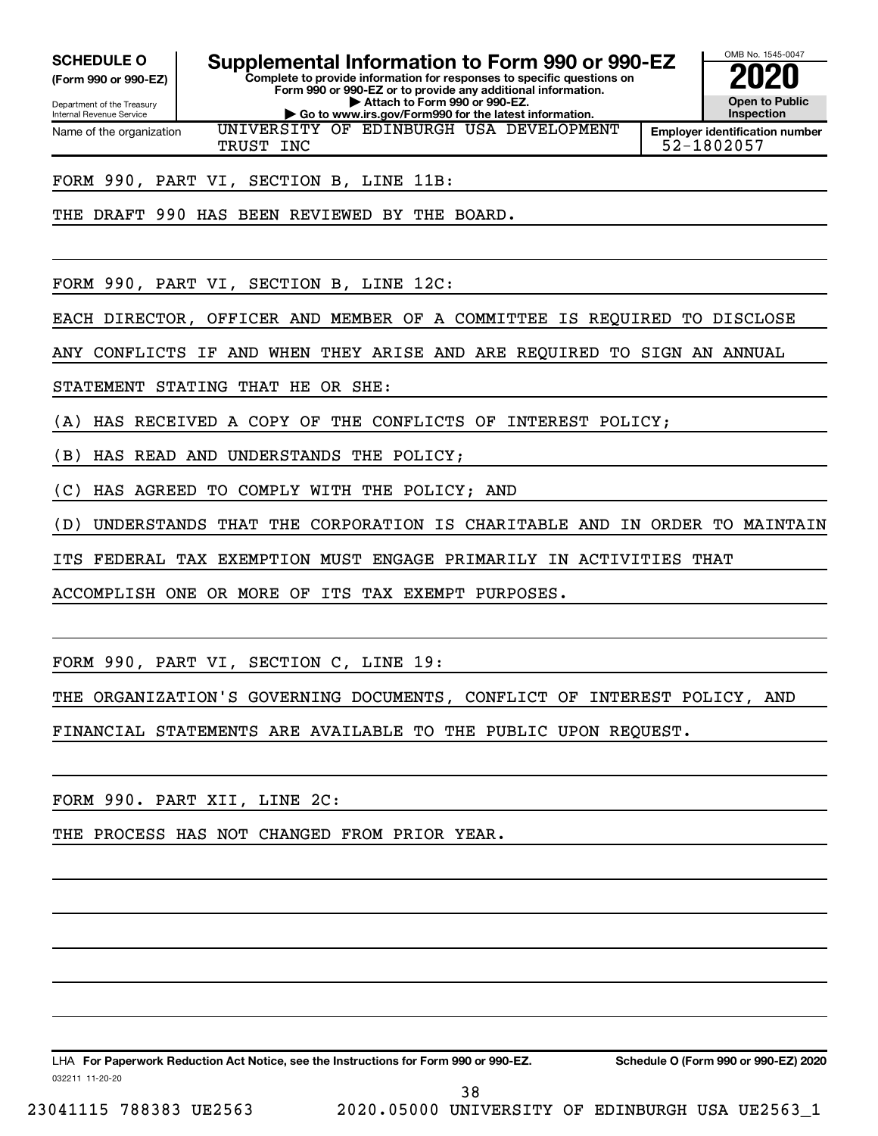**(Form 990 or 990-EZ)**

**Complete to provide information for responses to specific questions on SCHEDULE O Supplemental Information to Form 990 or 990-EZ 2020**<br>(Form 990 or 990-EZ) **2020** 

Department of the Treasury Internal Revenue Service

Name of the organization

**Form 990 or 990-EZ or to provide any additional information. | Attach to Form 990 or 990-EZ. | Go to www.irs.gov/Form990 for the latest information.** UNIVERSITY OF EDINBURGH USA DEVELOPMENT OMB No. 1545-0047 **Open to Public Inspection**

**Employer identification number** TRUST INC 52-1802057

FORM 990, PART VI, SECTION B, LINE 11B:

THE DRAFT 990 HAS BEEN REVIEWED BY THE BOARD.

FORM 990, PART VI, SECTION B, LINE 12C:

EACH DIRECTOR, OFFICER AND MEMBER OF A COMMITTEE IS REQUIRED TO DISCLOSE

ANY CONFLICTS IF AND WHEN THEY ARISE AND ARE REQUIRED TO SIGN AN ANNUAL

STATEMENT STATING THAT HE OR SHE:

(A) HAS RECEIVED A COPY OF THE CONFLICTS OF INTEREST POLICY;

(B) HAS READ AND UNDERSTANDS THE POLICY;

(C) HAS AGREED TO COMPLY WITH THE POLICY; AND

(D) UNDERSTANDS THAT THE CORPORATION IS CHARITABLE AND IN ORDER TO MAINTAIN

ITS FEDERAL TAX EXEMPTION MUST ENGAGE PRIMARILY IN ACTIVITIES THAT

ACCOMPLISH ONE OR MORE OF ITS TAX EXEMPT PURPOSES.

FORM 990, PART VI, SECTION C, LINE 19:

THE ORGANIZATION'S GOVERNING DOCUMENTS, CONFLICT OF INTEREST POLICY, AND

FINANCIAL STATEMENTS ARE AVAILABLE TO THE PUBLIC UPON REQUEST.

FORM 990. PART XII, LINE 2C:

THE PROCESS HAS NOT CHANGED FROM PRIOR YEAR.

032211 11-20-20 **For Paperwork Reduction Act Notice, see the Instructions for Form 990 or 990-EZ. Schedule O (Form 990 or 990-EZ) 2020** LHA

23041115 788383 UE2563 2020.05000 UNIVERSITY OF EDINBURGH USA UE2563\_1

38